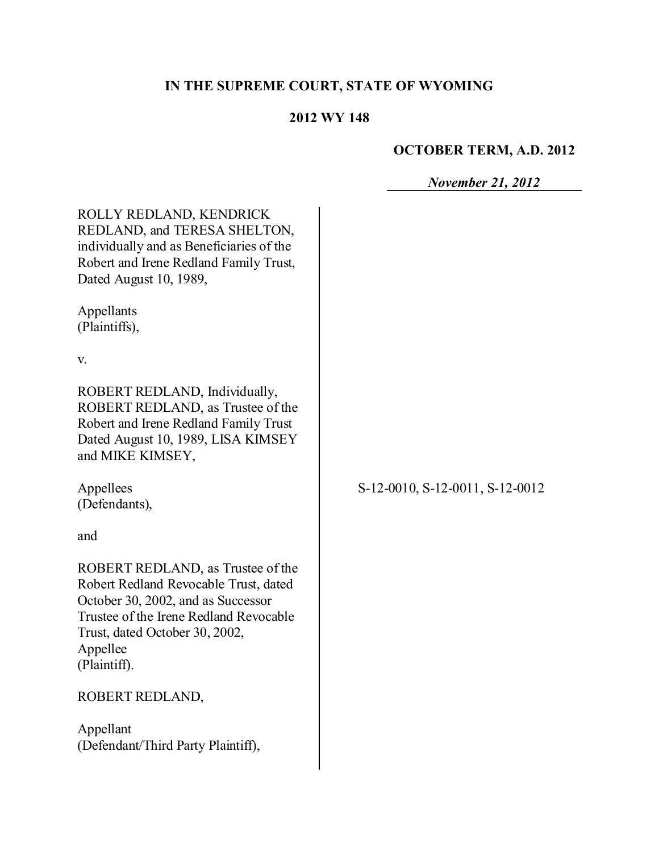# **IN THE SUPREME COURT, STATE OF WYOMING**

#### **2012 WY 148**

## **OCTOBER TERM, A.D. 2012**

*November 21, 2012*

| ROLLY REDLAND, KENDRICK<br>REDLAND, and TERESA SHELTON,<br>individually and as Beneficiaries of the<br>Robert and Irene Redland Family Trust,<br>Dated August 10, 1989,                                                  |                                 |
|--------------------------------------------------------------------------------------------------------------------------------------------------------------------------------------------------------------------------|---------------------------------|
| Appellants<br>(Plaintiffs),                                                                                                                                                                                              |                                 |
| V.                                                                                                                                                                                                                       |                                 |
| ROBERT REDLAND, Individually,<br>ROBERT REDLAND, as Trustee of the<br>Robert and Irene Redland Family Trust<br>Dated August 10, 1989, LISA KIMSEY<br>and MIKE KIMSEY,                                                    |                                 |
| Appellees<br>(Defendants),                                                                                                                                                                                               | S-12-0010, S-12-0011, S-12-0012 |
| and                                                                                                                                                                                                                      |                                 |
| ROBERT REDLAND, as Trustee of the<br>Robert Redland Revocable Trust, dated<br>October 30, 2002, and as Successor<br>Trustee of the Irene Redland Revocable<br>Trust, dated October 30, 2002,<br>Appellee<br>(Plaintiff). |                                 |
| ROBERT REDLAND,                                                                                                                                                                                                          |                                 |
| Appellant<br>(Defendant/Third Party Plaintiff),                                                                                                                                                                          |                                 |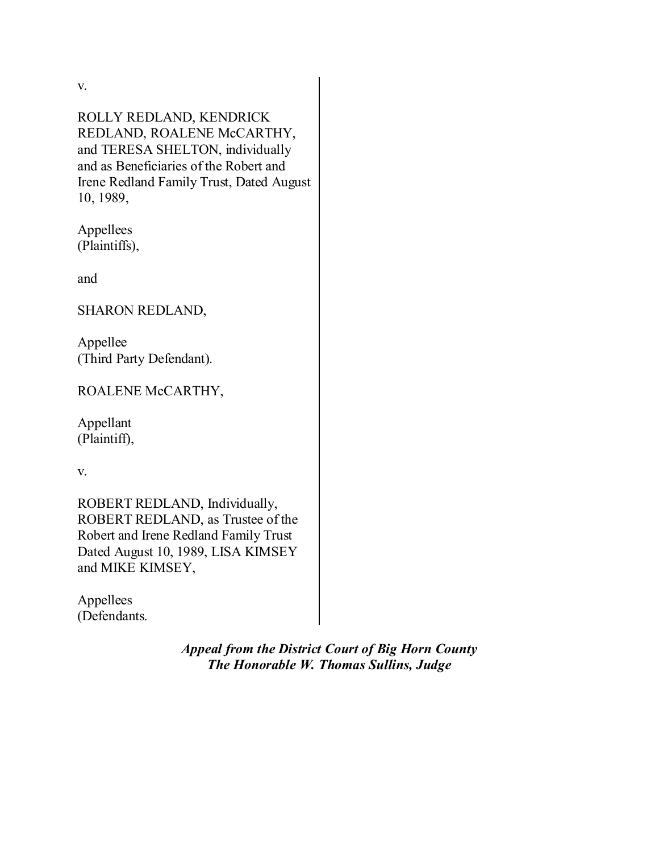v.

ROLLY REDLAND, KENDRICK REDLAND, ROALENE McCARTHY, and TERESA SHELTON, individually and as Beneficiaries of the Robert and Irene Redland Family Trust, Dated August 10, 1989,

Appellees (Plaintiffs),

and

SHARON REDLAND,

Appellee (Third Party Defendant).

ROALENE McCARTHY,

Appellant (Plaintiff),

v.

ROBERT REDLAND, Individually, ROBERT REDLAND, as Trustee of the Robert and Irene Redland Family Trust Dated August 10, 1989, LISA KIMSEY and MIKE KIMSEY,

Appellees (Defendants.

> *Appeal from the District Court of Big Horn County The Honorable W. Thomas Sullins, Judge*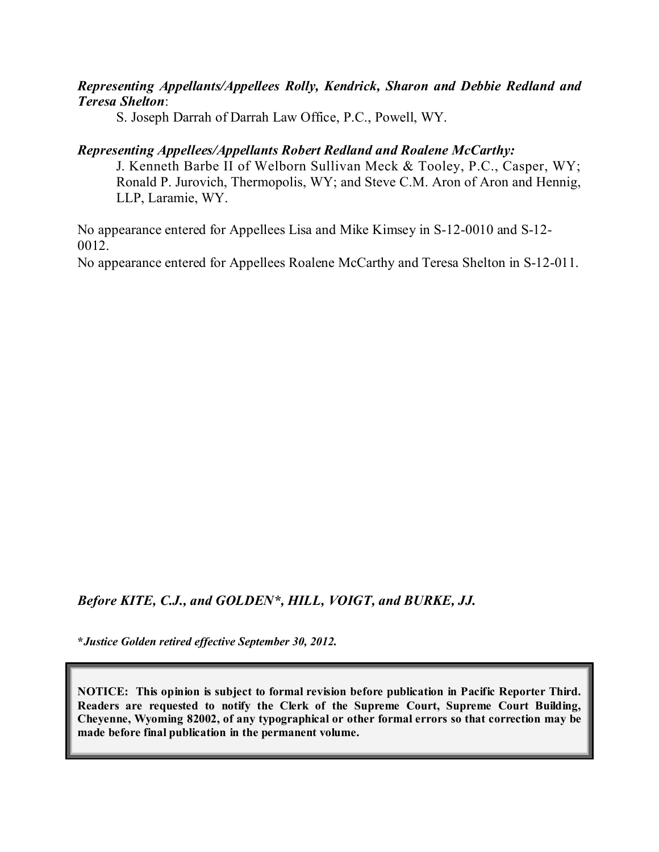#### *Representing Appellants/Appellees Rolly, Kendrick, Sharon and Debbie Redland and Teresa Shelton*:

S. Joseph Darrah of Darrah Law Office, P.C., Powell, WY.

#### *Representing Appellees/Appellants Robert Redland and Roalene McCarthy:*

J. Kenneth Barbe II of Welborn Sullivan Meck & Tooley, P.C., Casper, WY; Ronald P. Jurovich, Thermopolis, WY; and Steve C.M. Aron of Aron and Hennig, LLP, Laramie, WY.

No appearance entered for Appellees Lisa and Mike Kimsey in S-12-0010 and S-12- 0012.

No appearance entered for Appellees Roalene McCarthy and Teresa Shelton in S-12-011.

*Before KITE, C.J., and GOLDEN\*, HILL, VOIGT, and BURKE, JJ.*

**\****Justice Golden retired effective September 30, 2012.*

**NOTICE: This opinion is subject to formal revision before publication in Pacific Reporter Third. Readers are requested to notify the Clerk of the Supreme Court, Supreme Court Building, Cheyenne, Wyoming 82002, of any typographical or other formal errors so that correction may be made before final publication in the permanent volume.**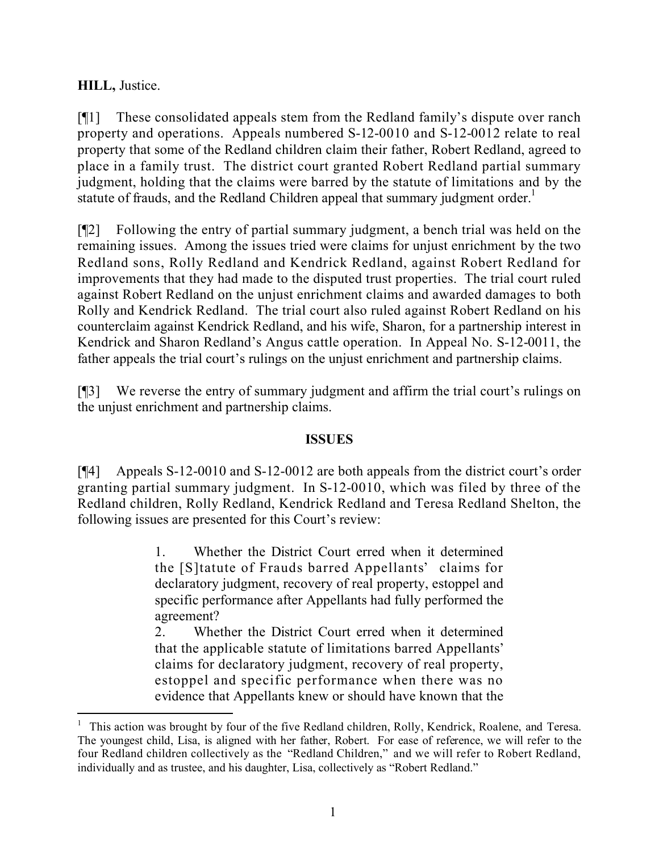#### **HILL,** Justice.

[¶1] These consolidated appeals stem from the Redland family's dispute over ranch property and operations. Appeals numbered S-12-0010 and S-12-0012 relate to real property that some of the Redland children claim their father, Robert Redland, agreed to place in a family trust. The district court granted Robert Redland partial summary judgment, holding that the claims were barred by the statute of limitations and by the statute of frauds, and the Redland Children appeal that summary judgment order.<sup>1</sup>

[¶2] Following the entry of partial summary judgment, a bench trial was held on the remaining issues. Among the issues tried were claims for unjust enrichment by the two Redland sons, Rolly Redland and Kendrick Redland, against Robert Redland for improvements that they had made to the disputed trust properties. The trial court ruled against Robert Redland on the unjust enrichment claims and awarded damages to both Rolly and Kendrick Redland. The trial court also ruled against Robert Redland on his counterclaim against Kendrick Redland, and his wife, Sharon, for a partnership interest in Kendrick and Sharon Redland's Angus cattle operation. In Appeal No. S-12-0011, the father appeals the trial court's rulings on the unjust enrichment and partnership claims.

[¶3] We reverse the entry of summary judgment and affirm the trial court's rulings on the unjust enrichment and partnership claims.

#### **ISSUES**

[¶4] Appeals S-12-0010 and S-12-0012 are both appeals from the district court's order granting partial summary judgment. In S-12-0010, which was filed by three of the Redland children, Rolly Redland, Kendrick Redland and Teresa Redland Shelton, the following issues are presented for this Court's review:

> 1. Whether the District Court erred when it determined the [S]tatute of Frauds barred Appellants' claims for declaratory judgment, recovery of real property, estoppel and specific performance after Appellants had fully performed the agreement?

> 2. Whether the District Court erred when it determined that the applicable statute of limitations barred Appellants' claims for declaratory judgment, recovery of real property, estoppel and specific performance when there was no evidence that Appellants knew or should have known that the

 $\overline{a}$ 

<sup>1</sup> This action was brought by four of the five Redland children, Rolly, Kendrick, Roalene, and Teresa. The youngest child, Lisa, is aligned with her father, Robert. For ease of reference, we will refer to the four Redland children collectively as the "Redland Children," and we will refer to Robert Redland, individually and as trustee, and his daughter, Lisa, collectively as "Robert Redland."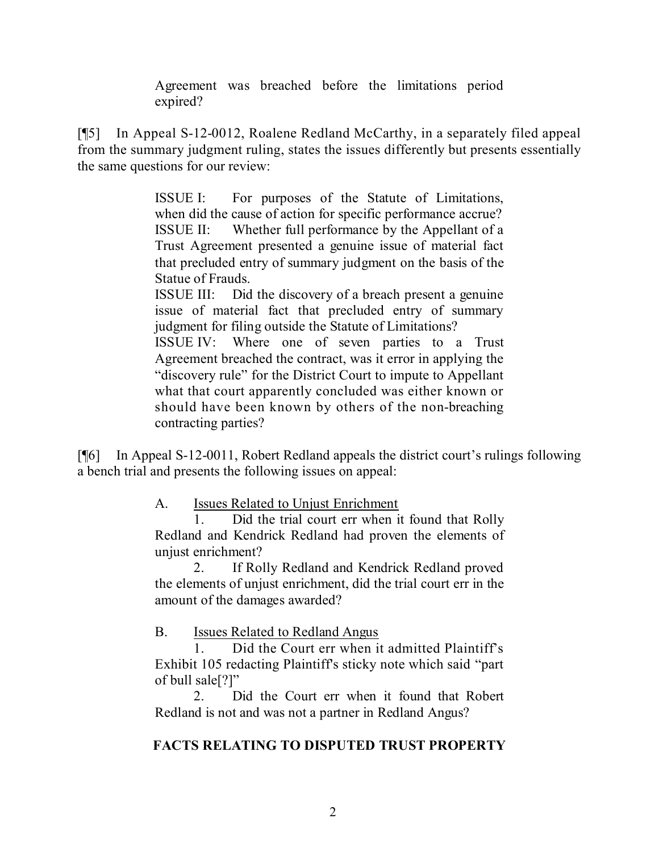Agreement was breached before the limitations period expired?

[¶5] In Appeal S-12-0012, Roalene Redland McCarthy, in a separately filed appeal from the summary judgment ruling, states the issues differently but presents essentially the same questions for our review:

> ISSUE I: For purposes of the Statute of Limitations, when did the cause of action for specific performance accrue? ISSUE II: Whether full performance by the Appellant of a Trust Agreement presented a genuine issue of material fact that precluded entry of summary judgment on the basis of the Statue of Frauds.

> ISSUE III: Did the discovery of a breach present a genuine issue of material fact that precluded entry of summary judgment for filing outside the Statute of Limitations?

> ISSUE IV: Where one of seven parties to a Trust Agreement breached the contract, was it error in applying the "discovery rule" for the District Court to impute to Appellant what that court apparently concluded was either known or should have been known by others of the non-breaching contracting parties?

[¶6] In Appeal S-12-0011, Robert Redland appeals the district court's rulings following a bench trial and presents the following issues on appeal:

A. Issues Related to Unjust Enrichment

1. Did the trial court err when it found that Rolly Redland and Kendrick Redland had proven the elements of unjust enrichment?

2. If Rolly Redland and Kendrick Redland proved the elements of unjust enrichment, did the trial court err in the amount of the damages awarded?

B. Issues Related to Redland Angus

1. Did the Court err when it admitted Plaintiff's Exhibit 105 redacting Plaintiff's sticky note which said "part of bull sale[?]"

2. Did the Court err when it found that Robert Redland is not and was not a partner in Redland Angus?

## **FACTS RELATING TO DISPUTED TRUST PROPERTY**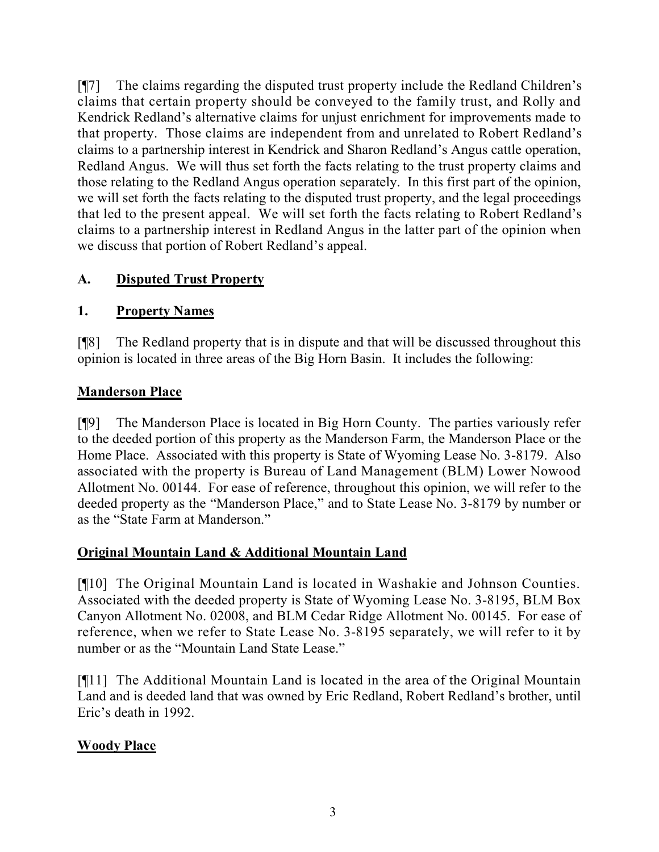[¶7] The claims regarding the disputed trust property include the Redland Children's claims that certain property should be conveyed to the family trust, and Rolly and Kendrick Redland's alternative claims for unjust enrichment for improvements made to that property. Those claims are independent from and unrelated to Robert Redland's claims to a partnership interest in Kendrick and Sharon Redland's Angus cattle operation, Redland Angus. We will thus set forth the facts relating to the trust property claims and those relating to the Redland Angus operation separately. In this first part of the opinion, we will set forth the facts relating to the disputed trust property, and the legal proceedings that led to the present appeal. We will set forth the facts relating to Robert Redland's claims to a partnership interest in Redland Angus in the latter part of the opinion when we discuss that portion of Robert Redland's appeal.

## **A. Disputed Trust Property**

## **1. Property Names**

[¶8] The Redland property that is in dispute and that will be discussed throughout this opinion is located in three areas of the Big Horn Basin. It includes the following:

### **Manderson Place**

[¶9] The Manderson Place is located in Big Horn County. The parties variously refer to the deeded portion of this property as the Manderson Farm, the Manderson Place or the Home Place. Associated with this property is State of Wyoming Lease No. 3-8179. Also associated with the property is Bureau of Land Management (BLM) Lower Nowood Allotment No. 00144. For ease of reference, throughout this opinion, we will refer to the deeded property as the "Manderson Place," and to State Lease No. 3-8179 by number or as the "State Farm at Manderson."

### **Original Mountain Land & Additional Mountain Land**

[¶10] The Original Mountain Land is located in Washakie and Johnson Counties. Associated with the deeded property is State of Wyoming Lease No. 3-8195, BLM Box Canyon Allotment No. 02008, and BLM Cedar Ridge Allotment No. 00145. For ease of reference, when we refer to State Lease No. 3-8195 separately, we will refer to it by number or as the "Mountain Land State Lease."

[¶11] The Additional Mountain Land is located in the area of the Original Mountain Land and is deeded land that was owned by Eric Redland, Robert Redland's brother, until Eric's death in 1992.

## **Woody Place**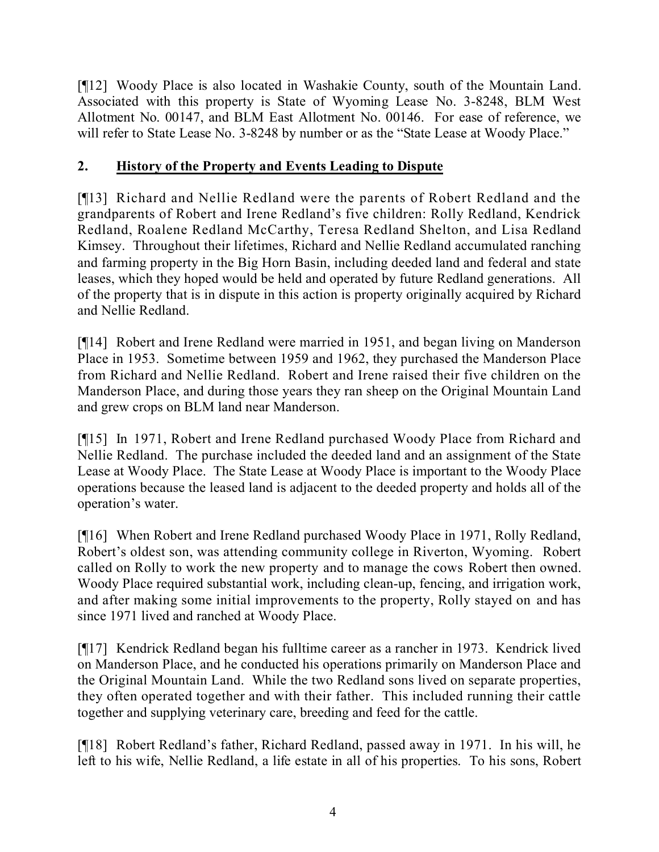[¶12] Woody Place is also located in Washakie County, south of the Mountain Land. Associated with this property is State of Wyoming Lease No. 3-8248, BLM West Allotment No. 00147, and BLM East Allotment No. 00146. For ease of reference, we will refer to State Lease No. 3-8248 by number or as the "State Lease at Woody Place."

### **2. History of the Property and Events Leading to Dispute**

[¶13] Richard and Nellie Redland were the parents of Robert Redland and the grandparents of Robert and Irene Redland's five children: Rolly Redland, Kendrick Redland, Roalene Redland McCarthy, Teresa Redland Shelton, and Lisa Redland Kimsey. Throughout their lifetimes, Richard and Nellie Redland accumulated ranching and farming property in the Big Horn Basin, including deeded land and federal and state leases, which they hoped would be held and operated by future Redland generations. All of the property that is in dispute in this action is property originally acquired by Richard and Nellie Redland.

[¶14] Robert and Irene Redland were married in 1951, and began living on Manderson Place in 1953. Sometime between 1959 and 1962, they purchased the Manderson Place from Richard and Nellie Redland. Robert and Irene raised their five children on the Manderson Place, and during those years they ran sheep on the Original Mountain Land and grew crops on BLM land near Manderson.

[¶15] In 1971, Robert and Irene Redland purchased Woody Place from Richard and Nellie Redland. The purchase included the deeded land and an assignment of the State Lease at Woody Place. The State Lease at Woody Place is important to the Woody Place operations because the leased land is adjacent to the deeded property and holds all of the operation's water.

[¶16] When Robert and Irene Redland purchased Woody Place in 1971, Rolly Redland, Robert's oldest son, was attending community college in Riverton, Wyoming. Robert called on Rolly to work the new property and to manage the cows Robert then owned. Woody Place required substantial work, including clean-up, fencing, and irrigation work, and after making some initial improvements to the property, Rolly stayed on and has since 1971 lived and ranched at Woody Place.

[¶17] Kendrick Redland began his fulltime career as a rancher in 1973. Kendrick lived on Manderson Place, and he conducted his operations primarily on Manderson Place and the Original Mountain Land. While the two Redland sons lived on separate properties, they often operated together and with their father. This included running their cattle together and supplying veterinary care, breeding and feed for the cattle.

[¶18] Robert Redland's father, Richard Redland, passed away in 1971. In his will, he left to his wife, Nellie Redland, a life estate in all of his properties. To his sons, Robert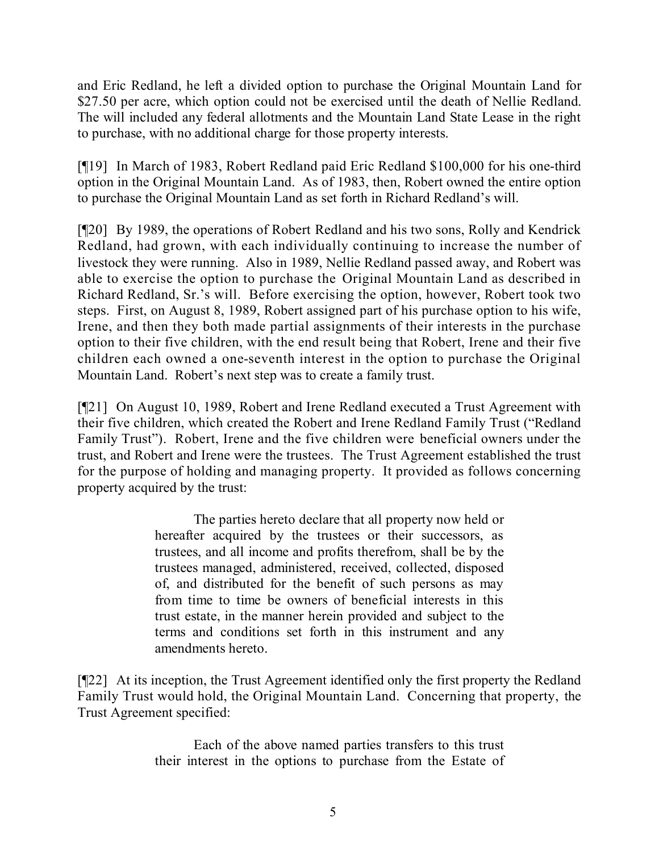and Eric Redland, he left a divided option to purchase the Original Mountain Land for \$27.50 per acre, which option could not be exercised until the death of Nellie Redland. The will included any federal allotments and the Mountain Land State Lease in the right to purchase, with no additional charge for those property interests.

[¶19] In March of 1983, Robert Redland paid Eric Redland \$100,000 for his one-third option in the Original Mountain Land. As of 1983, then, Robert owned the entire option to purchase the Original Mountain Land as set forth in Richard Redland's will.

[¶20] By 1989, the operations of Robert Redland and his two sons, Rolly and Kendrick Redland, had grown, with each individually continuing to increase the number of livestock they were running. Also in 1989, Nellie Redland passed away, and Robert was able to exercise the option to purchase the Original Mountain Land as described in Richard Redland, Sr.'s will. Before exercising the option, however, Robert took two steps. First, on August 8, 1989, Robert assigned part of his purchase option to his wife, Irene, and then they both made partial assignments of their interests in the purchase option to their five children, with the end result being that Robert, Irene and their five children each owned a one-seventh interest in the option to purchase the Original Mountain Land. Robert's next step was to create a family trust.

[¶21] On August 10, 1989, Robert and Irene Redland executed a Trust Agreement with their five children, which created the Robert and Irene Redland Family Trust ("Redland Family Trust"). Robert, Irene and the five children were beneficial owners under the trust, and Robert and Irene were the trustees. The Trust Agreement established the trust for the purpose of holding and managing property. It provided as follows concerning property acquired by the trust:

> The parties hereto declare that all property now held or hereafter acquired by the trustees or their successors, as trustees, and all income and profits therefrom, shall be by the trustees managed, administered, received, collected, disposed of, and distributed for the benefit of such persons as may from time to time be owners of beneficial interests in this trust estate, in the manner herein provided and subject to the terms and conditions set forth in this instrument and any amendments hereto.

[¶22] At its inception, the Trust Agreement identified only the first property the Redland Family Trust would hold, the Original Mountain Land. Concerning that property, the Trust Agreement specified:

> Each of the above named parties transfers to this trust their interest in the options to purchase from the Estate of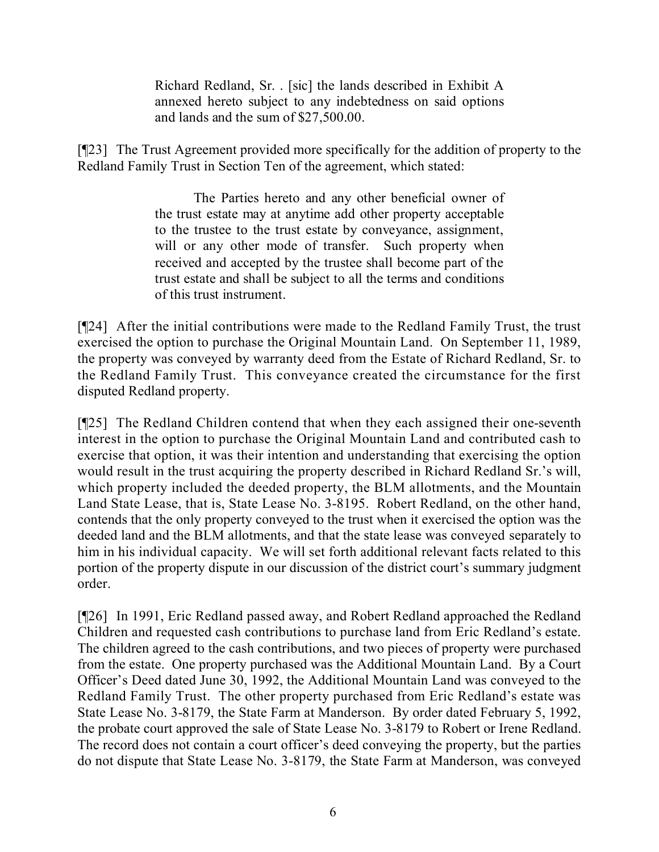Richard Redland, Sr. . [sic] the lands described in Exhibit A annexed hereto subject to any indebtedness on said options and lands and the sum of \$27,500.00.

[¶23] The Trust Agreement provided more specifically for the addition of property to the Redland Family Trust in Section Ten of the agreement, which stated:

> The Parties hereto and any other beneficial owner of the trust estate may at anytime add other property acceptable to the trustee to the trust estate by conveyance, assignment, will or any other mode of transfer. Such property when received and accepted by the trustee shall become part of the trust estate and shall be subject to all the terms and conditions of this trust instrument.

[¶24] After the initial contributions were made to the Redland Family Trust, the trust exercised the option to purchase the Original Mountain Land. On September 11, 1989, the property was conveyed by warranty deed from the Estate of Richard Redland, Sr. to the Redland Family Trust. This conveyance created the circumstance for the first disputed Redland property.

[¶25] The Redland Children contend that when they each assigned their one-seventh interest in the option to purchase the Original Mountain Land and contributed cash to exercise that option, it was their intention and understanding that exercising the option would result in the trust acquiring the property described in Richard Redland Sr.'s will, which property included the deeded property, the BLM allotments, and the Mountain Land State Lease, that is, State Lease No. 3-8195. Robert Redland, on the other hand, contends that the only property conveyed to the trust when it exercised the option was the deeded land and the BLM allotments, and that the state lease was conveyed separately to him in his individual capacity. We will set forth additional relevant facts related to this portion of the property dispute in our discussion of the district court's summary judgment order.

[¶26] In 1991, Eric Redland passed away, and Robert Redland approached the Redland Children and requested cash contributions to purchase land from Eric Redland's estate. The children agreed to the cash contributions, and two pieces of property were purchased from the estate. One property purchased was the Additional Mountain Land. By a Court Officer's Deed dated June 30, 1992, the Additional Mountain Land was conveyed to the Redland Family Trust. The other property purchased from Eric Redland's estate was State Lease No. 3-8179, the State Farm at Manderson. By order dated February 5, 1992, the probate court approved the sale of State Lease No. 3-8179 to Robert or Irene Redland. The record does not contain a court officer's deed conveying the property, but the parties do not dispute that State Lease No. 3-8179, the State Farm at Manderson, was conveyed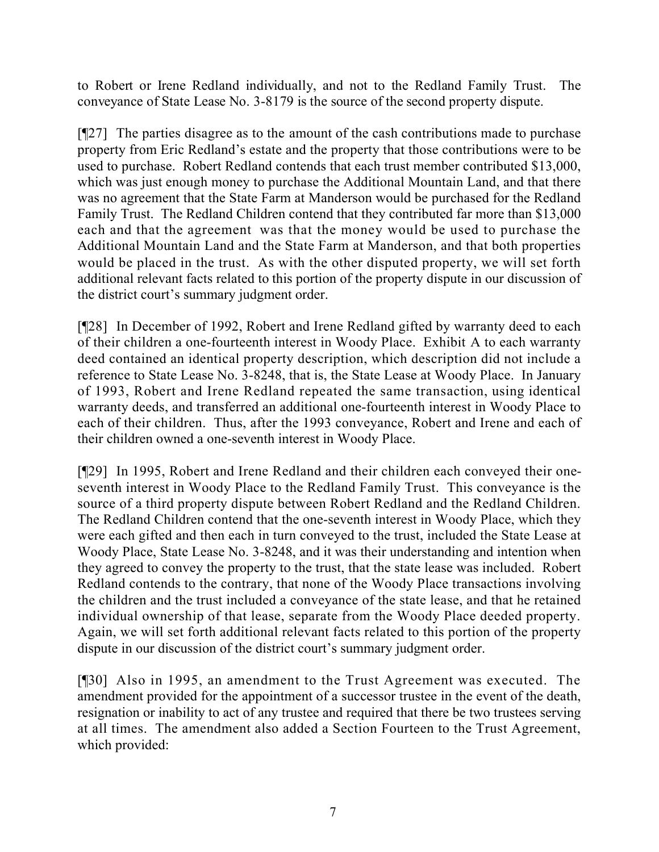to Robert or Irene Redland individually, and not to the Redland Family Trust. The conveyance of State Lease No. 3-8179 is the source of the second property dispute.

[¶27] The parties disagree as to the amount of the cash contributions made to purchase property from Eric Redland's estate and the property that those contributions were to be used to purchase. Robert Redland contends that each trust member contributed \$13,000, which was just enough money to purchase the Additional Mountain Land, and that there was no agreement that the State Farm at Manderson would be purchased for the Redland Family Trust. The Redland Children contend that they contributed far more than \$13,000 each and that the agreement was that the money would be used to purchase the Additional Mountain Land and the State Farm at Manderson, and that both properties would be placed in the trust. As with the other disputed property, we will set forth additional relevant facts related to this portion of the property dispute in our discussion of the district court's summary judgment order.

[¶28] In December of 1992, Robert and Irene Redland gifted by warranty deed to each of their children a one-fourteenth interest in Woody Place. Exhibit A to each warranty deed contained an identical property description, which description did not include a reference to State Lease No. 3-8248, that is, the State Lease at Woody Place. In January of 1993, Robert and Irene Redland repeated the same transaction, using identical warranty deeds, and transferred an additional one-fourteenth interest in Woody Place to each of their children. Thus, after the 1993 conveyance, Robert and Irene and each of their children owned a one-seventh interest in Woody Place.

[¶29] In 1995, Robert and Irene Redland and their children each conveyed their oneseventh interest in Woody Place to the Redland Family Trust. This conveyance is the source of a third property dispute between Robert Redland and the Redland Children. The Redland Children contend that the one-seventh interest in Woody Place, which they were each gifted and then each in turn conveyed to the trust, included the State Lease at Woody Place, State Lease No. 3-8248, and it was their understanding and intention when they agreed to convey the property to the trust, that the state lease was included. Robert Redland contends to the contrary, that none of the Woody Place transactions involving the children and the trust included a conveyance of the state lease, and that he retained individual ownership of that lease, separate from the Woody Place deeded property. Again, we will set forth additional relevant facts related to this portion of the property dispute in our discussion of the district court's summary judgment order.

[¶30] Also in 1995, an amendment to the Trust Agreement was executed. The amendment provided for the appointment of a successor trustee in the event of the death, resignation or inability to act of any trustee and required that there be two trustees serving at all times. The amendment also added a Section Fourteen to the Trust Agreement, which provided: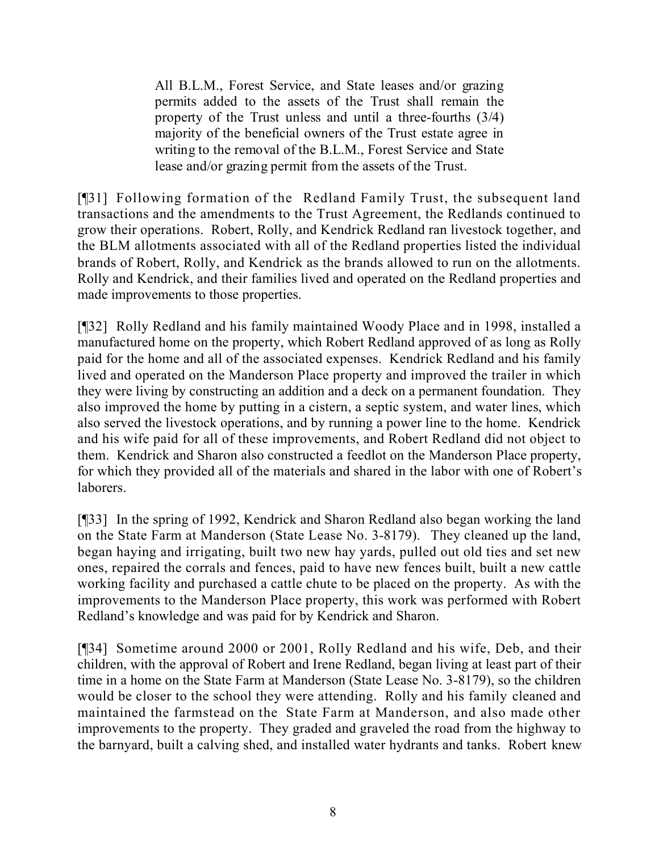All B.L.M., Forest Service, and State leases and/or grazing permits added to the assets of the Trust shall remain the property of the Trust unless and until a three-fourths (3/4) majority of the beneficial owners of the Trust estate agree in writing to the removal of the B.L.M., Forest Service and State lease and/or grazing permit from the assets of the Trust.

[¶31] Following formation of the Redland Family Trust, the subsequent land transactions and the amendments to the Trust Agreement, the Redlands continued to grow their operations. Robert, Rolly, and Kendrick Redland ran livestock together, and the BLM allotments associated with all of the Redland properties listed the individual brands of Robert, Rolly, and Kendrick as the brands allowed to run on the allotments. Rolly and Kendrick, and their families lived and operated on the Redland properties and made improvements to those properties.

[¶32] Rolly Redland and his family maintained Woody Place and in 1998, installed a manufactured home on the property, which Robert Redland approved of as long as Rolly paid for the home and all of the associated expenses. Kendrick Redland and his family lived and operated on the Manderson Place property and improved the trailer in which they were living by constructing an addition and a deck on a permanent foundation. They also improved the home by putting in a cistern, a septic system, and water lines, which also served the livestock operations, and by running a power line to the home. Kendrick and his wife paid for all of these improvements, and Robert Redland did not object to them. Kendrick and Sharon also constructed a feedlot on the Manderson Place property, for which they provided all of the materials and shared in the labor with one of Robert's laborers.

[¶33] In the spring of 1992, Kendrick and Sharon Redland also began working the land on the State Farm at Manderson (State Lease No. 3-8179). They cleaned up the land, began haying and irrigating, built two new hay yards, pulled out old ties and set new ones, repaired the corrals and fences, paid to have new fences built, built a new cattle working facility and purchased a cattle chute to be placed on the property. As with the improvements to the Manderson Place property, this work was performed with Robert Redland's knowledge and was paid for by Kendrick and Sharon.

[¶34] Sometime around 2000 or 2001, Rolly Redland and his wife, Deb, and their children, with the approval of Robert and Irene Redland, began living at least part of their time in a home on the State Farm at Manderson (State Lease No. 3-8179), so the children would be closer to the school they were attending. Rolly and his family cleaned and maintained the farmstead on the State Farm at Manderson, and also made other improvements to the property. They graded and graveled the road from the highway to the barnyard, built a calving shed, and installed water hydrants and tanks. Robert knew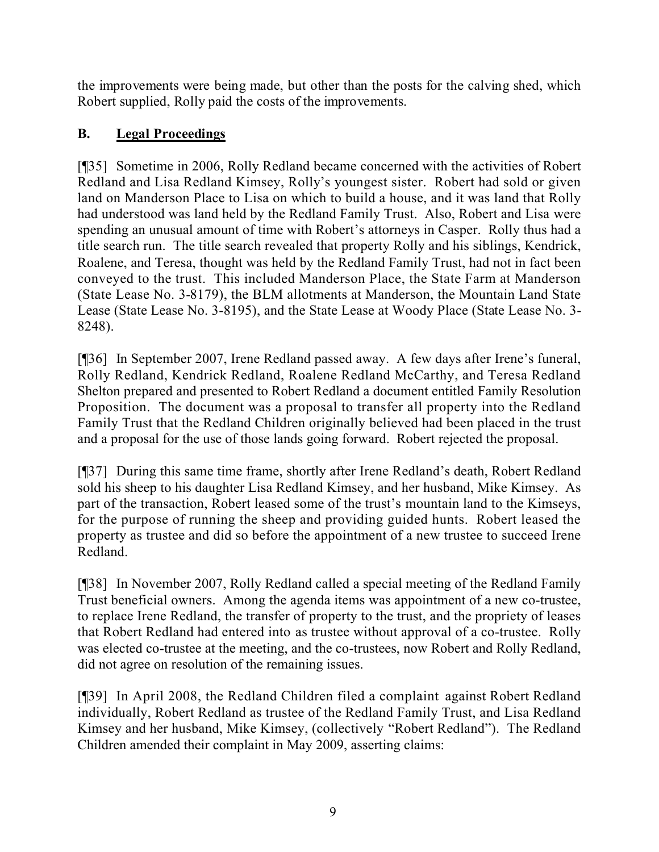the improvements were being made, but other than the posts for the calving shed, which Robert supplied, Rolly paid the costs of the improvements.

## **B. Legal Proceedings**

[¶35] Sometime in 2006, Rolly Redland became concerned with the activities of Robert Redland and Lisa Redland Kimsey, Rolly's youngest sister. Robert had sold or given land on Manderson Place to Lisa on which to build a house, and it was land that Rolly had understood was land held by the Redland Family Trust. Also, Robert and Lisa were spending an unusual amount of time with Robert's attorneys in Casper. Rolly thus had a title search run. The title search revealed that property Rolly and his siblings, Kendrick, Roalene, and Teresa, thought was held by the Redland Family Trust, had not in fact been conveyed to the trust. This included Manderson Place, the State Farm at Manderson (State Lease No. 3-8179), the BLM allotments at Manderson, the Mountain Land State Lease (State Lease No. 3-8195), and the State Lease at Woody Place (State Lease No. 3- 8248).

[¶36] In September 2007, Irene Redland passed away. A few days after Irene's funeral, Rolly Redland, Kendrick Redland, Roalene Redland McCarthy, and Teresa Redland Shelton prepared and presented to Robert Redland a document entitled Family Resolution Proposition. The document was a proposal to transfer all property into the Redland Family Trust that the Redland Children originally believed had been placed in the trust and a proposal for the use of those lands going forward. Robert rejected the proposal.

[¶37] During this same time frame, shortly after Irene Redland's death, Robert Redland sold his sheep to his daughter Lisa Redland Kimsey, and her husband, Mike Kimsey. As part of the transaction, Robert leased some of the trust's mountain land to the Kimseys, for the purpose of running the sheep and providing guided hunts. Robert leased the property as trustee and did so before the appointment of a new trustee to succeed Irene Redland.

[¶38] In November 2007, Rolly Redland called a special meeting of the Redland Family Trust beneficial owners. Among the agenda items was appointment of a new co-trustee, to replace Irene Redland, the transfer of property to the trust, and the propriety of leases that Robert Redland had entered into as trustee without approval of a co-trustee. Rolly was elected co-trustee at the meeting, and the co-trustees, now Robert and Rolly Redland, did not agree on resolution of the remaining issues.

[¶39] In April 2008, the Redland Children filed a complaint against Robert Redland individually, Robert Redland as trustee of the Redland Family Trust, and Lisa Redland Kimsey and her husband, Mike Kimsey, (collectively "Robert Redland"). The Redland Children amended their complaint in May 2009, asserting claims: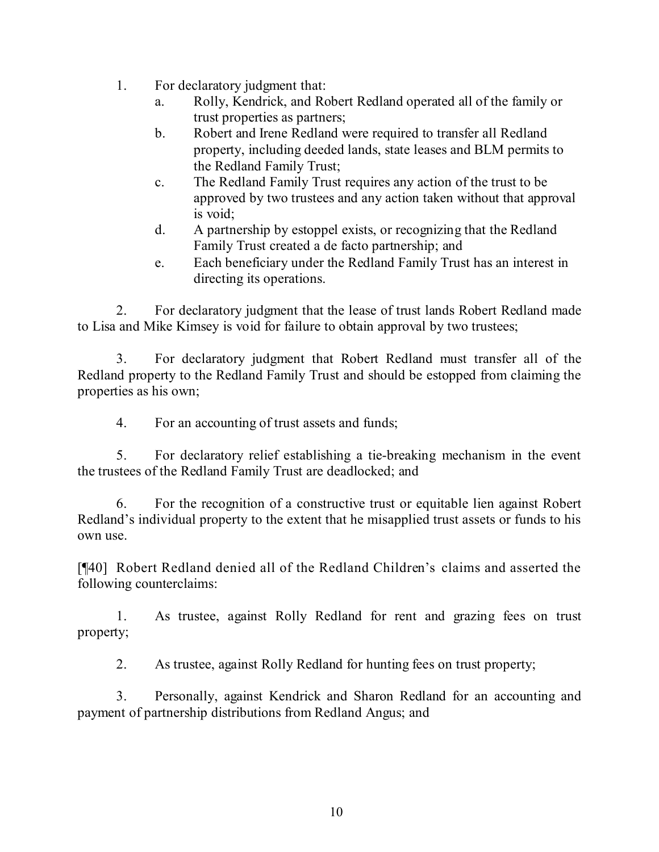- 1. For declaratory judgment that:
	- a. Rolly, Kendrick, and Robert Redland operated all of the family or trust properties as partners;
	- b. Robert and Irene Redland were required to transfer all Redland property, including deeded lands, state leases and BLM permits to the Redland Family Trust;
	- c. The Redland Family Trust requires any action of the trust to be approved by two trustees and any action taken without that approval is void;
	- d. A partnership by estoppel exists, or recognizing that the Redland Family Trust created a de facto partnership; and
	- e. Each beneficiary under the Redland Family Trust has an interest in directing its operations.

2. For declaratory judgment that the lease of trust lands Robert Redland made to Lisa and Mike Kimsey is void for failure to obtain approval by two trustees;

3. For declaratory judgment that Robert Redland must transfer all of the Redland property to the Redland Family Trust and should be estopped from claiming the properties as his own;

4. For an accounting of trust assets and funds;

5. For declaratory relief establishing a tie-breaking mechanism in the event the trustees of the Redland Family Trust are deadlocked; and

6. For the recognition of a constructive trust or equitable lien against Robert Redland's individual property to the extent that he misapplied trust assets or funds to his own use.

[¶40] Robert Redland denied all of the Redland Children's claims and asserted the following counterclaims:

1. As trustee, against Rolly Redland for rent and grazing fees on trust property;

2. As trustee, against Rolly Redland for hunting fees on trust property;

3. Personally, against Kendrick and Sharon Redland for an accounting and payment of partnership distributions from Redland Angus; and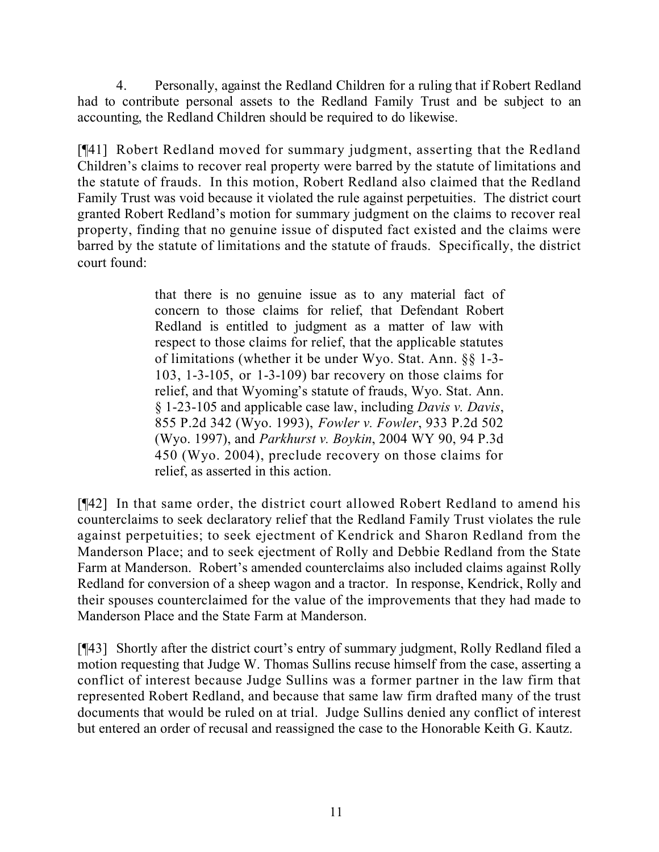4. Personally, against the Redland Children for a ruling that if Robert Redland had to contribute personal assets to the Redland Family Trust and be subject to an accounting, the Redland Children should be required to do likewise.

[¶41] Robert Redland moved for summary judgment, asserting that the Redland Children's claims to recover real property were barred by the statute of limitations and the statute of frauds. In this motion, Robert Redland also claimed that the Redland Family Trust was void because it violated the rule against perpetuities. The district court granted Robert Redland's motion for summary judgment on the claims to recover real property, finding that no genuine issue of disputed fact existed and the claims were barred by the statute of limitations and the statute of frauds. Specifically, the district court found:

> that there is no genuine issue as to any material fact of concern to those claims for relief, that Defendant Robert Redland is entitled to judgment as a matter of law with respect to those claims for relief, that the applicable statutes of limitations (whether it be under Wyo. Stat. Ann. §§ 1-3- 103, 1-3-105, or 1-3-109) bar recovery on those claims for relief, and that Wyoming's statute of frauds, Wyo. Stat. Ann. § 1-23-105 and applicable case law, including *Davis v. Davis*, 855 P.2d 342 (Wyo. 1993), *Fowler v. Fowler*, 933 P.2d 502 (Wyo. 1997), and *Parkhurst v. Boykin*, 2004 WY 90, 94 P.3d 450 (Wyo. 2004), preclude recovery on those claims for relief, as asserted in this action.

[¶42] In that same order, the district court allowed Robert Redland to amend his counterclaims to seek declaratory relief that the Redland Family Trust violates the rule against perpetuities; to seek ejectment of Kendrick and Sharon Redland from the Manderson Place; and to seek ejectment of Rolly and Debbie Redland from the State Farm at Manderson. Robert's amended counterclaims also included claims against Rolly Redland for conversion of a sheep wagon and a tractor. In response, Kendrick, Rolly and their spouses counterclaimed for the value of the improvements that they had made to Manderson Place and the State Farm at Manderson.

[¶43] Shortly after the district court's entry of summary judgment, Rolly Redland filed a motion requesting that Judge W. Thomas Sullins recuse himself from the case, asserting a conflict of interest because Judge Sullins was a former partner in the law firm that represented Robert Redland, and because that same law firm drafted many of the trust documents that would be ruled on at trial. Judge Sullins denied any conflict of interest but entered an order of recusal and reassigned the case to the Honorable Keith G. Kautz.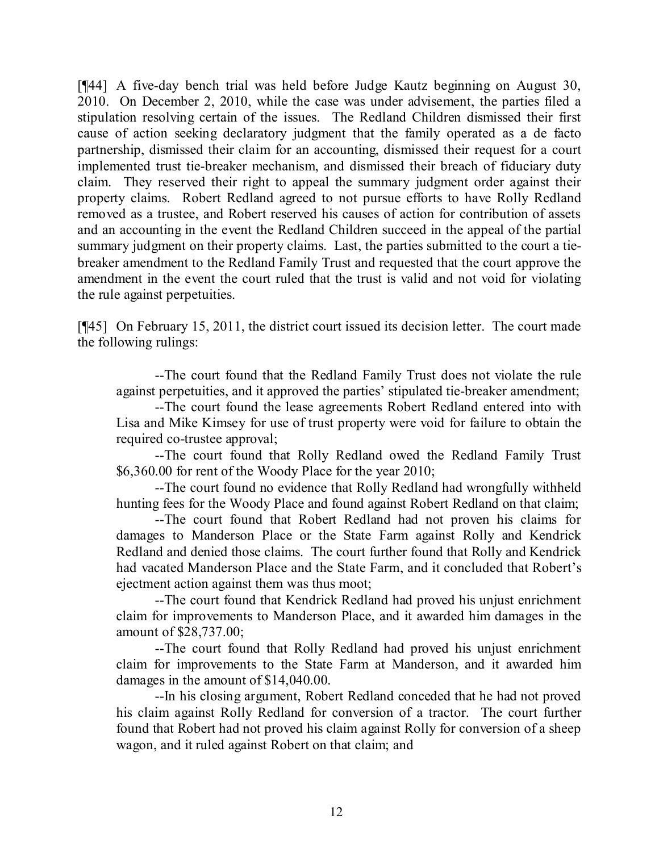[¶44] A five-day bench trial was held before Judge Kautz beginning on August 30, 2010. On December 2, 2010, while the case was under advisement, the parties filed a stipulation resolving certain of the issues. The Redland Children dismissed their first cause of action seeking declaratory judgment that the family operated as a de facto partnership, dismissed their claim for an accounting, dismissed their request for a court implemented trust tie-breaker mechanism, and dismissed their breach of fiduciary duty claim. They reserved their right to appeal the summary judgment order against their property claims. Robert Redland agreed to not pursue efforts to have Rolly Redland removed as a trustee, and Robert reserved his causes of action for contribution of assets and an accounting in the event the Redland Children succeed in the appeal of the partial summary judgment on their property claims. Last, the parties submitted to the court a tiebreaker amendment to the Redland Family Trust and requested that the court approve the amendment in the event the court ruled that the trust is valid and not void for violating the rule against perpetuities.

[¶45] On February 15, 2011, the district court issued its decision letter. The court made the following rulings:

--The court found that the Redland Family Trust does not violate the rule against perpetuities, and it approved the parties' stipulated tie-breaker amendment;

--The court found the lease agreements Robert Redland entered into with Lisa and Mike Kimsey for use of trust property were void for failure to obtain the required co-trustee approval;

--The court found that Rolly Redland owed the Redland Family Trust \$6,360.00 for rent of the Woody Place for the year 2010;

--The court found no evidence that Rolly Redland had wrongfully withheld hunting fees for the Woody Place and found against Robert Redland on that claim;

--The court found that Robert Redland had not proven his claims for damages to Manderson Place or the State Farm against Rolly and Kendrick Redland and denied those claims. The court further found that Rolly and Kendrick had vacated Manderson Place and the State Farm, and it concluded that Robert's ejectment action against them was thus moot;

--The court found that Kendrick Redland had proved his unjust enrichment claim for improvements to Manderson Place, and it awarded him damages in the amount of \$28,737.00;

--The court found that Rolly Redland had proved his unjust enrichment claim for improvements to the State Farm at Manderson, and it awarded him damages in the amount of \$14,040.00.

--In his closing argument, Robert Redland conceded that he had not proved his claim against Rolly Redland for conversion of a tractor. The court further found that Robert had not proved his claim against Rolly for conversion of a sheep wagon, and it ruled against Robert on that claim; and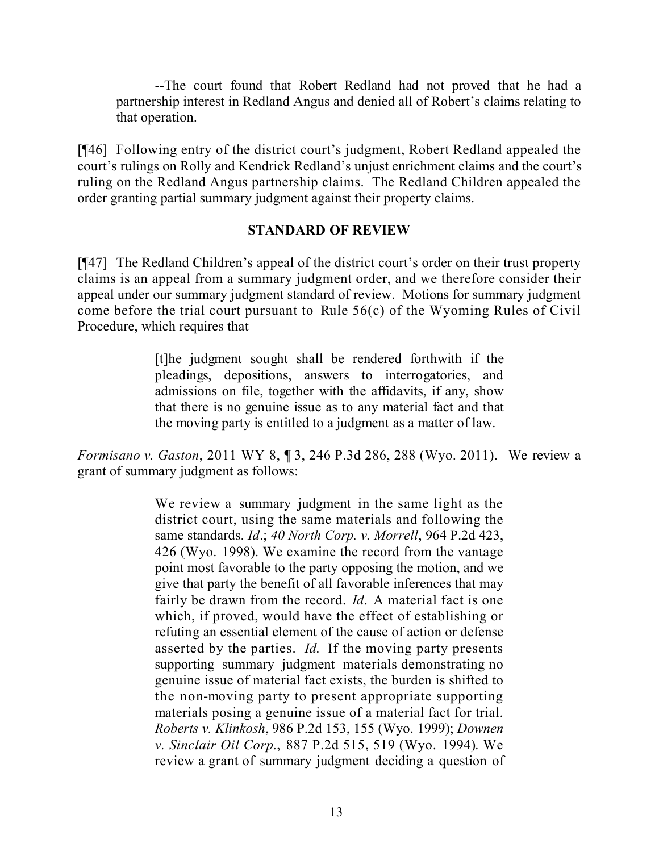--The court found that Robert Redland had not proved that he had a partnership interest in Redland Angus and denied all of Robert's claims relating to that operation.

[¶46] Following entry of the district court's judgment, Robert Redland appealed the court's rulings on Rolly and Kendrick Redland's unjust enrichment claims and the court's ruling on the Redland Angus partnership claims. The Redland Children appealed the order granting partial summary judgment against their property claims.

#### **STANDARD OF REVIEW**

[¶47] The Redland Children's appeal of the district court's order on their trust property claims is an appeal from a summary judgment order, and we therefore consider their appeal under our summary judgment standard of review. Motions for summary judgment come before the trial court pursuant to Rule 56(c) of the Wyoming Rules of Civil Procedure, which requires that

> [t]he judgment sought shall be rendered forthwith if the pleadings, depositions, answers to interrogatories, and admissions on file, together with the affidavits, if any, show that there is no genuine issue as to any material fact and that the moving party is entitled to a judgment as a matter of law.

*Formisano v. Gaston*, 2011 WY 8, ¶ 3, 246 P.3d 286, 288 (Wyo. 2011). We review a grant of summary judgment as follows:

> We review a summary judgment in the same light as the district court, using the same materials and following the same standards. *Id*.; *40 North Corp. v. Morrell*, 964 P.2d 423, 426 (Wyo. 1998). We examine the record from the vantage point most favorable to the party opposing the motion, and we give that party the benefit of all favorable inferences that may fairly be drawn from the record. *Id*. A material fact is one which, if proved, would have the effect of establishing or refuting an essential element of the cause of action or defense asserted by the parties. *Id*. If the moving party presents supporting summary judgment materials demonstrating no genuine issue of material fact exists, the burden is shifted to the non-moving party to present appropriate supporting materials posing a genuine issue of a material fact for trial. *Roberts v. Klinkosh*, 986 P.2d 153, 155 (Wyo. 1999); *Downen v. Sinclair Oil Corp.*, 887 P.2d 515, 519 (Wyo. 1994). We review a grant of summary judgment deciding a question of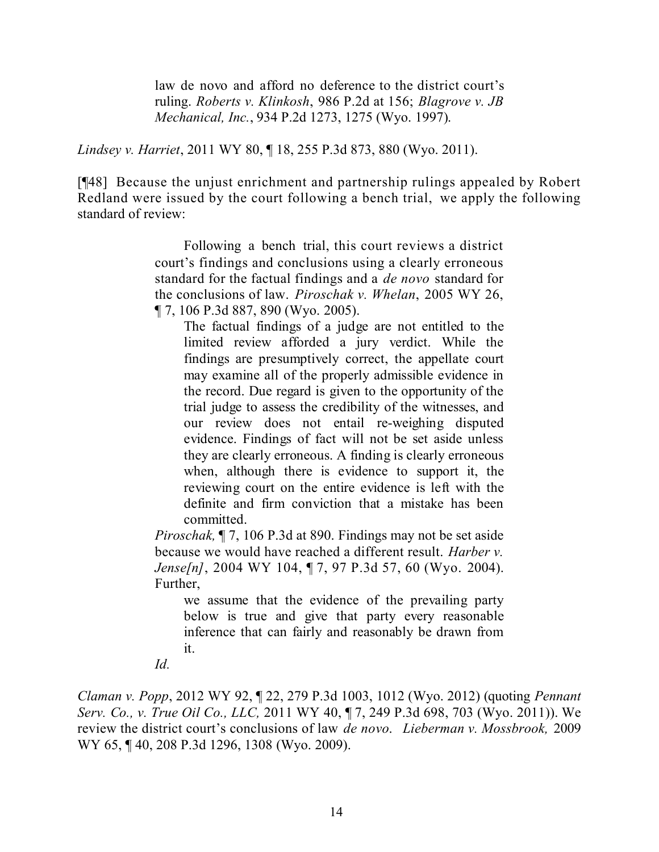law de novo and afford no deference to the district court's ruling. *Roberts v. Klinkosh*, 986 P.2d at 156; *Blagrove v. JB Mechanical, Inc.*, 934 P.2d 1273, 1275 (Wyo. 1997).

*Lindsey v. Harriet*, 2011 WY 80, ¶ 18, 255 P.3d 873, 880 (Wyo. 2011).

[¶48] Because the unjust enrichment and partnership rulings appealed by Robert Redland were issued by the court following a bench trial, we apply the following standard of review:

> Following a bench trial, this court reviews a district court's findings and conclusions using a clearly erroneous standard for the factual findings and a *de novo* standard for the conclusions of law. *Piroschak v. Whelan*, 2005 WY 26, ¶ 7, 106 P.3d 887, 890 (Wyo. 2005).

The factual findings of a judge are not entitled to the limited review afforded a jury verdict. While the findings are presumptively correct, the appellate court may examine all of the properly admissible evidence in the record. Due regard is given to the opportunity of the trial judge to assess the credibility of the witnesses, and our review does not entail re-weighing disputed evidence. Findings of fact will not be set aside unless they are clearly erroneous. A finding is clearly erroneous when, although there is evidence to support it, the reviewing court on the entire evidence is left with the definite and firm conviction that a mistake has been committed.

*Piroschak,* ¶ 7, 106 P.3d at 890. Findings may not be set aside because we would have reached a different result. *Harber v. Jense[n]*, 2004 WY 104, ¶ 7, 97 P.3d 57, 60 (Wyo. 2004). Further,

we assume that the evidence of the prevailing party below is true and give that party every reasonable inference that can fairly and reasonably be drawn from it.

*Id.*

*Claman v. Popp*, 2012 WY 92, ¶ 22, 279 P.3d 1003, 1012 (Wyo. 2012) (quoting *Pennant Serv. Co., v. True Oil Co., LLC,* 2011 WY 40, ¶ 7, 249 P.3d 698, 703 (Wyo. 2011)). We review the district court's conclusions of law *de novo*. *Lieberman v. Mossbrook,* 2009 WY 65, ¶ 40, 208 P.3d 1296, 1308 (Wyo. 2009).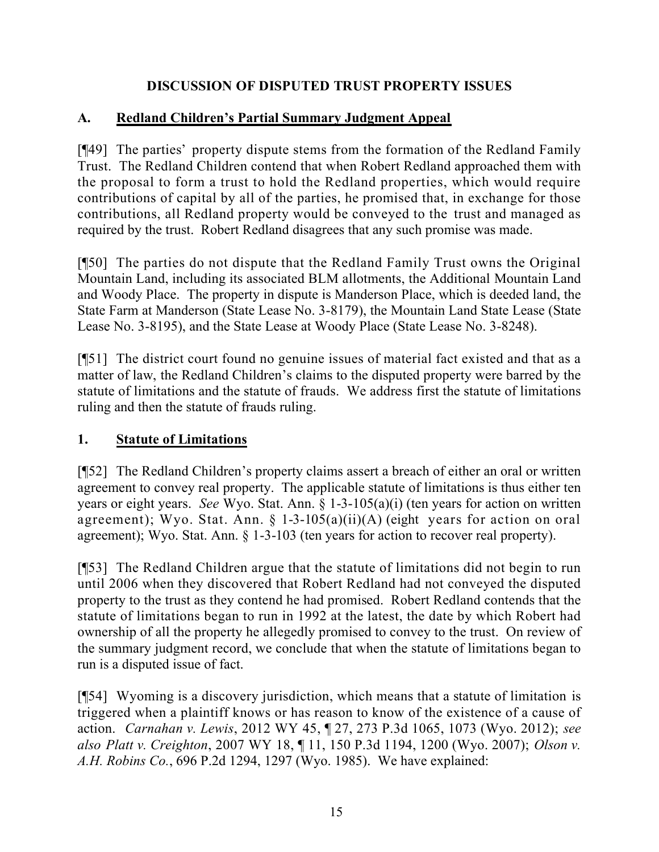### **DISCUSSION OF DISPUTED TRUST PROPERTY ISSUES**

### **A. Redland Children's Partial Summary Judgment Appeal**

[¶49] The parties' property dispute stems from the formation of the Redland Family Trust. The Redland Children contend that when Robert Redland approached them with the proposal to form a trust to hold the Redland properties, which would require contributions of capital by all of the parties, he promised that, in exchange for those contributions, all Redland property would be conveyed to the trust and managed as required by the trust. Robert Redland disagrees that any such promise was made.

[¶50] The parties do not dispute that the Redland Family Trust owns the Original Mountain Land, including its associated BLM allotments, the Additional Mountain Land and Woody Place. The property in dispute is Manderson Place, which is deeded land, the State Farm at Manderson (State Lease No. 3-8179), the Mountain Land State Lease (State Lease No. 3-8195), and the State Lease at Woody Place (State Lease No. 3-8248).

[¶51] The district court found no genuine issues of material fact existed and that as a matter of law, the Redland Children's claims to the disputed property were barred by the statute of limitations and the statute of frauds. We address first the statute of limitations ruling and then the statute of frauds ruling.

### **1. Statute of Limitations**

[¶52] The Redland Children's property claims assert a breach of either an oral or written agreement to convey real property. The applicable statute of limitations is thus either ten years or eight years. *See* Wyo. Stat. Ann. § 1-3-105(a)(i) (ten years for action on written agreement); Wyo. Stat. Ann. § 1-3-105(a)(ii)(A) (eight years for action on oral agreement); Wyo. Stat. Ann. § 1-3-103 (ten years for action to recover real property).

[¶53] The Redland Children argue that the statute of limitations did not begin to run until 2006 when they discovered that Robert Redland had not conveyed the disputed property to the trust as they contend he had promised. Robert Redland contends that the statute of limitations began to run in 1992 at the latest, the date by which Robert had ownership of all the property he allegedly promised to convey to the trust. On review of the summary judgment record, we conclude that when the statute of limitations began to run is a disputed issue of fact.

[¶54] Wyoming is a discovery jurisdiction, which means that a statute of limitation is triggered when a plaintiff knows or has reason to know of the existence of a cause of action. *Carnahan v. Lewis*, 2012 WY 45, ¶ 27, 273 P.3d 1065, 1073 (Wyo. 2012); *see also Platt v. Creighton*, 2007 WY 18, ¶ 11, 150 P.3d 1194, 1200 (Wyo. 2007); *Olson v. A.H. Robins Co.*, 696 P.2d 1294, 1297 (Wyo. 1985). We have explained: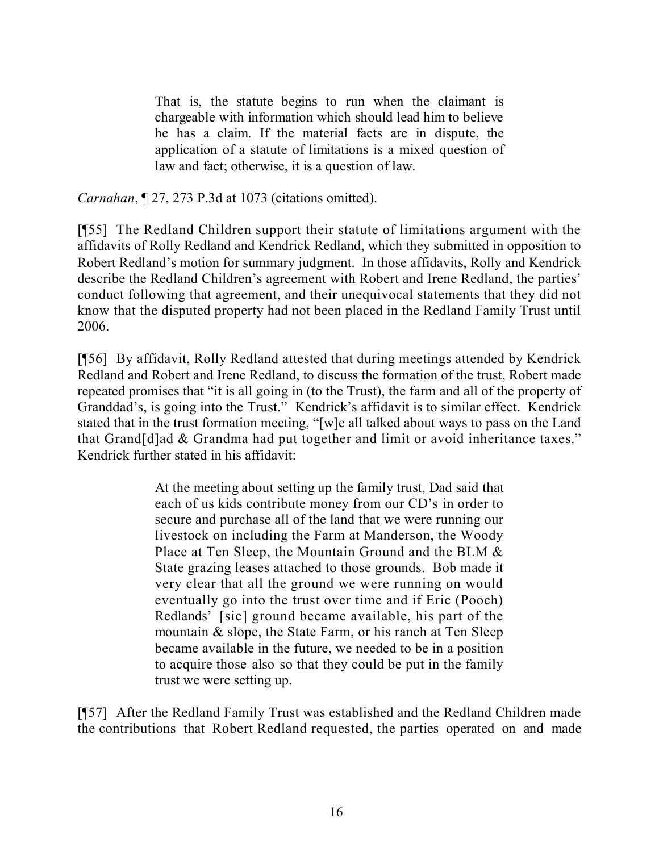That is, the statute begins to run when the claimant is chargeable with information which should lead him to believe he has a claim. If the material facts are in dispute, the application of a statute of limitations is a mixed question of law and fact; otherwise, it is a question of law.

*Carnahan*, ¶ 27, 273 P.3d at 1073 (citations omitted).

[¶55] The Redland Children support their statute of limitations argument with the affidavits of Rolly Redland and Kendrick Redland, which they submitted in opposition to Robert Redland's motion for summary judgment. In those affidavits, Rolly and Kendrick describe the Redland Children's agreement with Robert and Irene Redland, the parties' conduct following that agreement, and their unequivocal statements that they did not know that the disputed property had not been placed in the Redland Family Trust until 2006.

[¶56] By affidavit, Rolly Redland attested that during meetings attended by Kendrick Redland and Robert and Irene Redland, to discuss the formation of the trust, Robert made repeated promises that "it is all going in (to the Trust), the farm and all of the property of Granddad's, is going into the Trust." Kendrick's affidavit is to similar effect. Kendrick stated that in the trust formation meeting, "[w]e all talked about ways to pass on the Land that Grand[d]ad & Grandma had put together and limit or avoid inheritance taxes." Kendrick further stated in his affidavit:

> At the meeting about setting up the family trust, Dad said that each of us kids contribute money from our CD's in order to secure and purchase all of the land that we were running our livestock on including the Farm at Manderson, the Woody Place at Ten Sleep, the Mountain Ground and the BLM & State grazing leases attached to those grounds. Bob made it very clear that all the ground we were running on would eventually go into the trust over time and if Eric (Pooch) Redlands' [sic] ground became available, his part of the mountain & slope, the State Farm, or his ranch at Ten Sleep became available in the future, we needed to be in a position to acquire those also so that they could be put in the family trust we were setting up.

[¶57] After the Redland Family Trust was established and the Redland Children made the contributions that Robert Redland requested, the parties operated on and made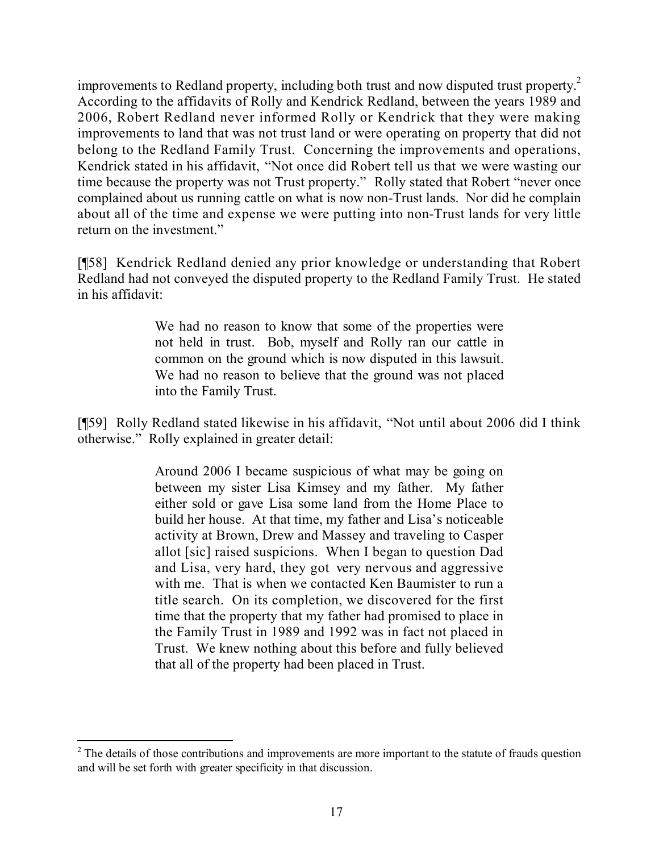improvements to Redland property, including both trust and now disputed trust property. 2 According to the affidavits of Rolly and Kendrick Redland, between the years 1989 and 2006, Robert Redland never informed Rolly or Kendrick that they were making improvements to land that was not trust land or were operating on property that did not belong to the Redland Family Trust. Concerning the improvements and operations, Kendrick stated in his affidavit, "Not once did Robert tell us that we were wasting our time because the property was not Trust property." Rolly stated that Robert "never once complained about us running cattle on what is now non-Trust lands. Nor did he complain about all of the time and expense we were putting into non-Trust lands for very little return on the investment."

[¶58] Kendrick Redland denied any prior knowledge or understanding that Robert Redland had not conveyed the disputed property to the Redland Family Trust. He stated in his affidavit:

> We had no reason to know that some of the properties were not held in trust. Bob, myself and Rolly ran our cattle in common on the ground which is now disputed in this lawsuit. We had no reason to believe that the ground was not placed into the Family Trust.

[¶59] Rolly Redland stated likewise in his affidavit, "Not until about 2006 did I think otherwise." Rolly explained in greater detail:

> Around 2006 I became suspicious of what may be going on between my sister Lisa Kimsey and my father. My father either sold or gave Lisa some land from the Home Place to build her house. At that time, my father and Lisa's noticeable activity at Brown, Drew and Massey and traveling to Casper allot [sic] raised suspicions. When I began to question Dad and Lisa, very hard, they got very nervous and aggressive with me. That is when we contacted Ken Baumister to run a title search. On its completion, we discovered for the first time that the property that my father had promised to place in the Family Trust in 1989 and 1992 was in fact not placed in Trust. We knew nothing about this before and fully believed that all of the property had been placed in Trust.

 $\overline{a}$ <sup>2</sup> The details of those contributions and improvements are more important to the statute of frauds question and will be set forth with greater specificity in that discussion.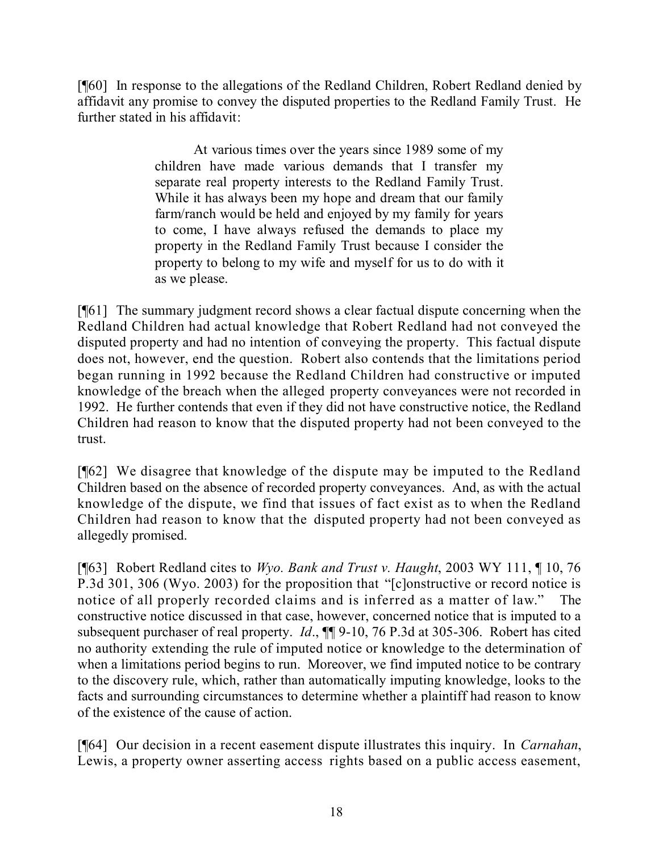[¶60] In response to the allegations of the Redland Children, Robert Redland denied by affidavit any promise to convey the disputed properties to the Redland Family Trust. He further stated in his affidavit:

> At various times over the years since 1989 some of my children have made various demands that I transfer my separate real property interests to the Redland Family Trust. While it has always been my hope and dream that our family farm/ranch would be held and enjoyed by my family for years to come, I have always refused the demands to place my property in the Redland Family Trust because I consider the property to belong to my wife and myself for us to do with it as we please.

[¶61] The summary judgment record shows a clear factual dispute concerning when the Redland Children had actual knowledge that Robert Redland had not conveyed the disputed property and had no intention of conveying the property. This factual dispute does not, however, end the question. Robert also contends that the limitations period began running in 1992 because the Redland Children had constructive or imputed knowledge of the breach when the alleged property conveyances were not recorded in 1992. He further contends that even if they did not have constructive notice, the Redland Children had reason to know that the disputed property had not been conveyed to the trust.

[¶62] We disagree that knowledge of the dispute may be imputed to the Redland Children based on the absence of recorded property conveyances. And, as with the actual knowledge of the dispute, we find that issues of fact exist as to when the Redland Children had reason to know that the disputed property had not been conveyed as allegedly promised.

[¶63] Robert Redland cites to *Wyo. Bank and Trust v. Haught*, 2003 WY 111, ¶ 10, 76 P.3d 301, 306 (Wyo. 2003) for the proposition that "[c]onstructive or record notice is notice of all properly recorded claims and is inferred as a matter of law." The constructive notice discussed in that case, however, concerned notice that is imputed to a subsequent purchaser of real property. *Id*., ¶¶ 9-10, 76 P.3d at 305-306. Robert has cited no authority extending the rule of imputed notice or knowledge to the determination of when a limitations period begins to run. Moreover, we find imputed notice to be contrary to the discovery rule, which, rather than automatically imputing knowledge, looks to the facts and surrounding circumstances to determine whether a plaintiff had reason to know of the existence of the cause of action.

[¶64] Our decision in a recent easement dispute illustrates this inquiry. In *Carnahan*, Lewis, a property owner asserting access rights based on a public access easement,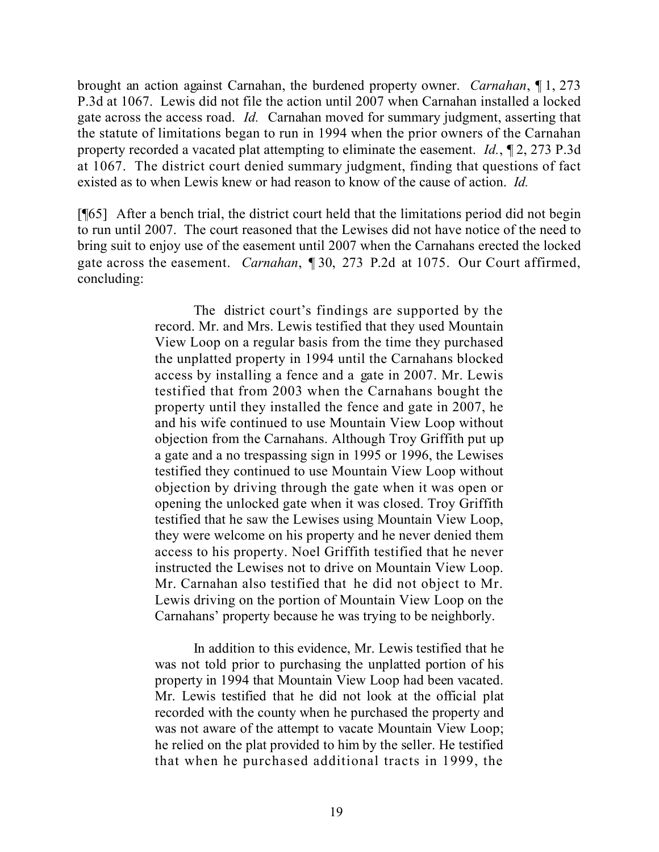brought an action against Carnahan, the burdened property owner. *Carnahan*, ¶ 1, 273 P.3d at 1067. Lewis did not file the action until 2007 when Carnahan installed a locked gate across the access road. *Id.* Carnahan moved for summary judgment, asserting that the statute of limitations began to run in 1994 when the prior owners of the Carnahan property recorded a vacated plat attempting to eliminate the easement. *Id.*, ¶ 2, 273 P.3d at 1067. The district court denied summary judgment, finding that questions of fact existed as to when Lewis knew or had reason to know of the cause of action. *Id.*

[¶65] After a bench trial, the district court held that the limitations period did not begin to run until 2007. The court reasoned that the Lewises did not have notice of the need to bring suit to enjoy use of the easement until 2007 when the Carnahans erected the locked gate across the easement. *Carnahan*, ¶ 30, 273 P.2d at 1075. Our Court affirmed, concluding:

> The district court's findings are supported by the record. Mr. and Mrs. Lewis testified that they used Mountain View Loop on a regular basis from the time they purchased the unplatted property in 1994 until the Carnahans blocked access by installing a fence and a gate in 2007. Mr. Lewis testified that from 2003 when the Carnahans bought the property until they installed the fence and gate in 2007, he and his wife continued to use Mountain View Loop without objection from the Carnahans. Although Troy Griffith put up a gate and a no trespassing sign in 1995 or 1996, the Lewises testified they continued to use Mountain View Loop without objection by driving through the gate when it was open or opening the unlocked gate when it was closed. Troy Griffith testified that he saw the Lewises using Mountain View Loop, they were welcome on his property and he never denied them access to his property. Noel Griffith testified that he never instructed the Lewises not to drive on Mountain View Loop. Mr. Carnahan also testified that he did not object to Mr. Lewis driving on the portion of Mountain View Loop on the Carnahans' property because he was trying to be neighborly.

> In addition to this evidence, Mr. Lewis testified that he was not told prior to purchasing the unplatted portion of his property in 1994 that Mountain View Loop had been vacated. Mr. Lewis testified that he did not look at the official plat recorded with the county when he purchased the property and was not aware of the attempt to vacate Mountain View Loop; he relied on the plat provided to him by the seller. He testified that when he purchased additional tracts in 1999, the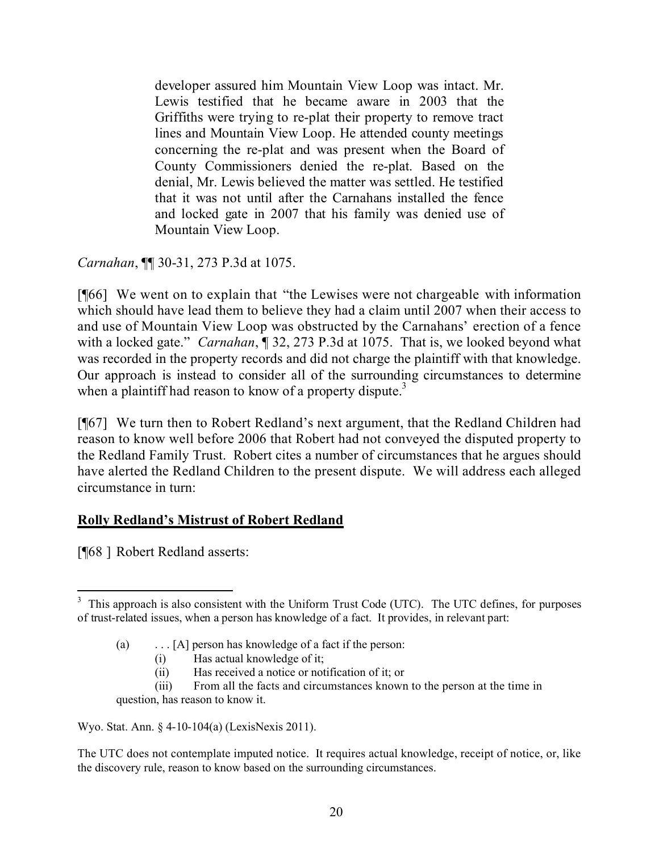developer assured him Mountain View Loop was intact. Mr. Lewis testified that he became aware in 2003 that the Griffiths were trying to re-plat their property to remove tract lines and Mountain View Loop. He attended county meetings concerning the re-plat and was present when the Board of County Commissioners denied the re-plat. Based on the denial, Mr. Lewis believed the matter was settled. He testified that it was not until after the Carnahans installed the fence and locked gate in 2007 that his family was denied use of Mountain View Loop.

*Carnahan*, ¶¶ 30-31, 273 P.3d at 1075.

[¶66] We went on to explain that "the Lewises were not chargeable with information which should have lead them to believe they had a claim until 2007 when their access to and use of Mountain View Loop was obstructed by the Carnahans' erection of a fence with a locked gate." *Carnahan*, ¶ 32, 273 P.3d at 1075. That is, we looked beyond what was recorded in the property records and did not charge the plaintiff with that knowledge. Our approach is instead to consider all of the surrounding circumstances to determine when a plaintiff had reason to know of a property dispute.<sup>3</sup>

[¶67] We turn then to Robert Redland's next argument, that the Redland Children had reason to know well before 2006 that Robert had not conveyed the disputed property to the Redland Family Trust. Robert cites a number of circumstances that he argues should have alerted the Redland Children to the present dispute. We will address each alleged circumstance in turn:

#### **Rolly Redland's Mistrust of Robert Redland**

[¶68 ] Robert Redland asserts:

Wyo. Stat. Ann. § 4-10-104(a) (LexisNexis 2011).

The UTC does not contemplate imputed notice. It requires actual knowledge, receipt of notice, or, like the discovery rule, reason to know based on the surrounding circumstances.

 $\overline{a}$ <sup>3</sup> This approach is also consistent with the Uniform Trust Code (UTC). The UTC defines, for purposes of trust-related issues, when a person has knowledge of a fact. It provides, in relevant part:

<sup>(</sup>a) . . . [A] person has knowledge of a fact if the person:

<sup>(</sup>i) Has actual knowledge of it;

<sup>(</sup>ii) Has received a notice or notification of it; or

<sup>(</sup>iii) From all the facts and circumstances known to the person at the time in question, has reason to know it.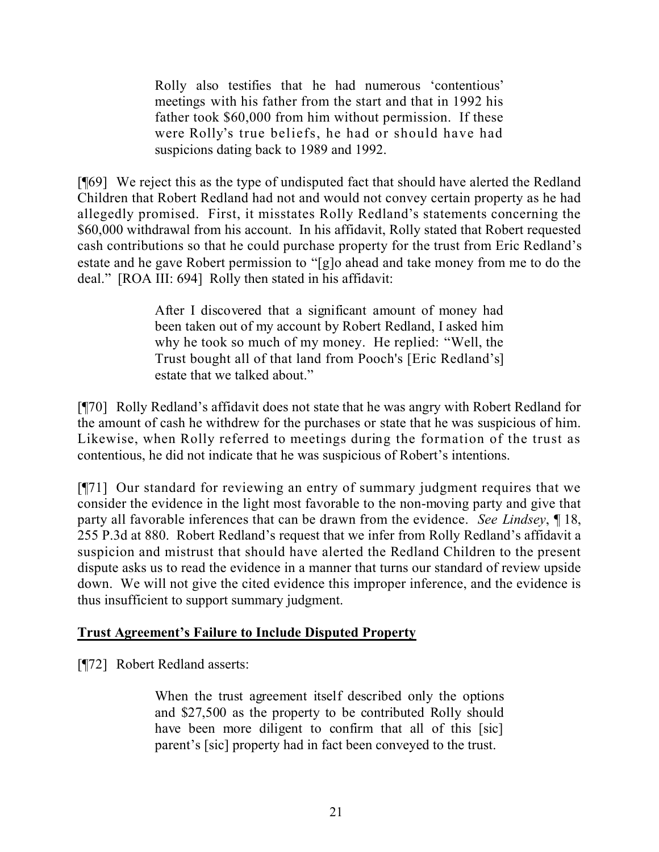Rolly also testifies that he had numerous 'contentious' meetings with his father from the start and that in 1992 his father took \$60,000 from him without permission. If these were Rolly's true beliefs, he had or should have had suspicions dating back to 1989 and 1992.

[¶69] We reject this as the type of undisputed fact that should have alerted the Redland Children that Robert Redland had not and would not convey certain property as he had allegedly promised. First, it misstates Rolly Redland's statements concerning the \$60,000 withdrawal from his account. In his affidavit, Rolly stated that Robert requested cash contributions so that he could purchase property for the trust from Eric Redland's estate and he gave Robert permission to "[g]o ahead and take money from me to do the deal." [ROA III: 694] Rolly then stated in his affidavit:

> After I discovered that a significant amount of money had been taken out of my account by Robert Redland, I asked him why he took so much of my money. He replied: "Well, the Trust bought all of that land from Pooch's [Eric Redland's] estate that we talked about."

[¶70] Rolly Redland's affidavit does not state that he was angry with Robert Redland for the amount of cash he withdrew for the purchases or state that he was suspicious of him. Likewise, when Rolly referred to meetings during the formation of the trust as contentious, he did not indicate that he was suspicious of Robert's intentions.

[¶71] Our standard for reviewing an entry of summary judgment requires that we consider the evidence in the light most favorable to the non-moving party and give that party all favorable inferences that can be drawn from the evidence. *See Lindsey*, ¶ 18, 255 P.3d at 880. Robert Redland's request that we infer from Rolly Redland's affidavit a suspicion and mistrust that should have alerted the Redland Children to the present dispute asks us to read the evidence in a manner that turns our standard of review upside down. We will not give the cited evidence this improper inference, and the evidence is thus insufficient to support summary judgment.

### **Trust Agreement's Failure to Include Disputed Property**

[¶72] Robert Redland asserts:

When the trust agreement itself described only the options and \$27,500 as the property to be contributed Rolly should have been more diligent to confirm that all of this [sic] parent's [sic] property had in fact been conveyed to the trust.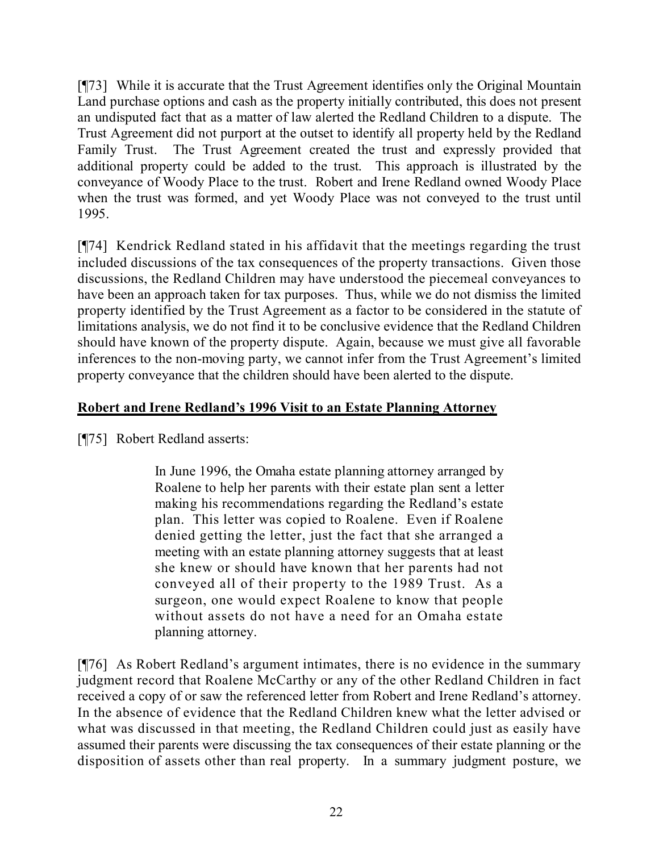[¶73] While it is accurate that the Trust Agreement identifies only the Original Mountain Land purchase options and cash as the property initially contributed, this does not present an undisputed fact that as a matter of law alerted the Redland Children to a dispute. The Trust Agreement did not purport at the outset to identify all property held by the Redland Family Trust. The Trust Agreement created the trust and expressly provided that additional property could be added to the trust. This approach is illustrated by the conveyance of Woody Place to the trust. Robert and Irene Redland owned Woody Place when the trust was formed, and yet Woody Place was not conveyed to the trust until 1995.

[¶74] Kendrick Redland stated in his affidavit that the meetings regarding the trust included discussions of the tax consequences of the property transactions. Given those discussions, the Redland Children may have understood the piecemeal conveyances to have been an approach taken for tax purposes. Thus, while we do not dismiss the limited property identified by the Trust Agreement as a factor to be considered in the statute of limitations analysis, we do not find it to be conclusive evidence that the Redland Children should have known of the property dispute. Again, because we must give all favorable inferences to the non-moving party, we cannot infer from the Trust Agreement's limited property conveyance that the children should have been alerted to the dispute.

#### **Robert and Irene Redland's 1996 Visit to an Estate Planning Attorney**

[¶75] Robert Redland asserts:

In June 1996, the Omaha estate planning attorney arranged by Roalene to help her parents with their estate plan sent a letter making his recommendations regarding the Redland's estate plan. This letter was copied to Roalene. Even if Roalene denied getting the letter, just the fact that she arranged a meeting with an estate planning attorney suggests that at least she knew or should have known that her parents had not conveyed all of their property to the 1989 Trust. As a surgeon, one would expect Roalene to know that people without assets do not have a need for an Omaha estate planning attorney.

[¶76] As Robert Redland's argument intimates, there is no evidence in the summary judgment record that Roalene McCarthy or any of the other Redland Children in fact received a copy of or saw the referenced letter from Robert and Irene Redland's attorney. In the absence of evidence that the Redland Children knew what the letter advised or what was discussed in that meeting, the Redland Children could just as easily have assumed their parents were discussing the tax consequences of their estate planning or the disposition of assets other than real property. In a summary judgment posture, we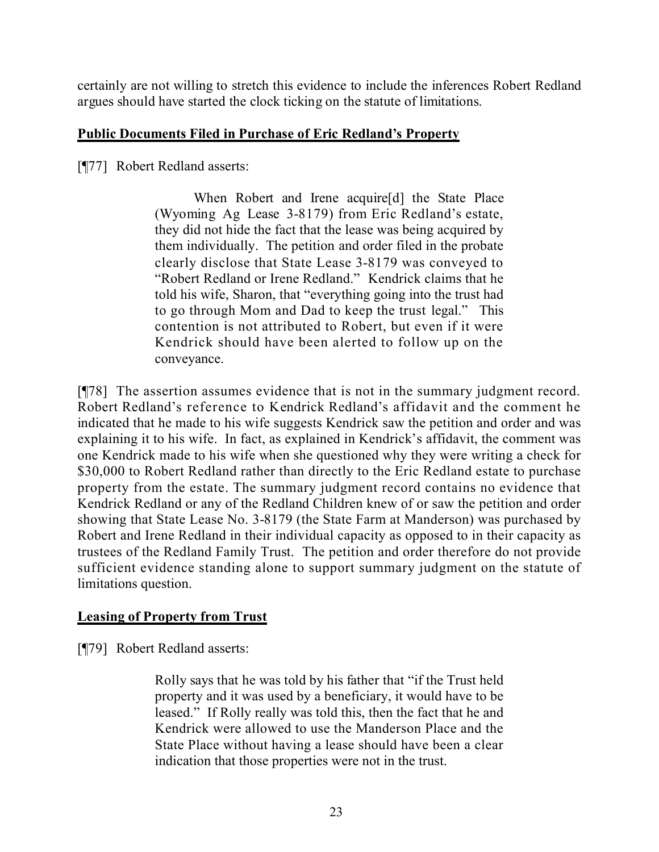certainly are not willing to stretch this evidence to include the inferences Robert Redland argues should have started the clock ticking on the statute of limitations.

#### **Public Documents Filed in Purchase of Eric Redland's Property**

[¶77] Robert Redland asserts:

When Robert and Irene acquire[d] the State Place (Wyoming Ag Lease 3-8179) from Eric Redland's estate, they did not hide the fact that the lease was being acquired by them individually. The petition and order filed in the probate clearly disclose that State Lease 3-8179 was conveyed to "Robert Redland or Irene Redland." Kendrick claims that he told his wife, Sharon, that "everything going into the trust had to go through Mom and Dad to keep the trust legal." This contention is not attributed to Robert, but even if it were Kendrick should have been alerted to follow up on the conveyance.

[¶78] The assertion assumes evidence that is not in the summary judgment record. Robert Redland's reference to Kendrick Redland's affidavit and the comment he indicated that he made to his wife suggests Kendrick saw the petition and order and was explaining it to his wife. In fact, as explained in Kendrick's affidavit, the comment was one Kendrick made to his wife when she questioned why they were writing a check for \$30,000 to Robert Redland rather than directly to the Eric Redland estate to purchase property from the estate. The summary judgment record contains no evidence that Kendrick Redland or any of the Redland Children knew of or saw the petition and order showing that State Lease No. 3-8179 (the State Farm at Manderson) was purchased by Robert and Irene Redland in their individual capacity as opposed to in their capacity as trustees of the Redland Family Trust. The petition and order therefore do not provide sufficient evidence standing alone to support summary judgment on the statute of limitations question.

### **Leasing of Property from Trust**

[¶79] Robert Redland asserts:

Rolly says that he was told by his father that "if the Trust held property and it was used by a beneficiary, it would have to be leased." If Rolly really was told this, then the fact that he and Kendrick were allowed to use the Manderson Place and the State Place without having a lease should have been a clear indication that those properties were not in the trust.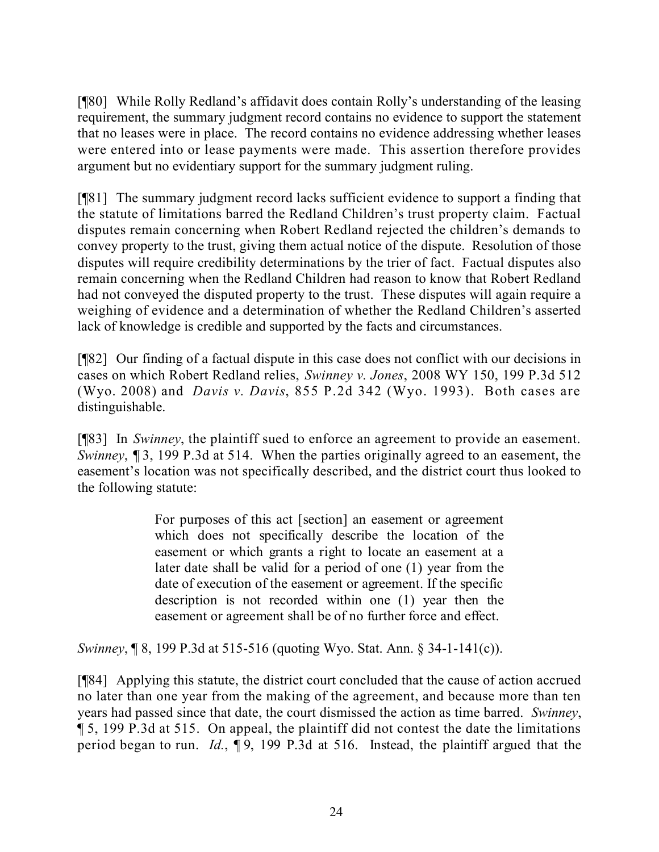[¶80] While Rolly Redland's affidavit does contain Rolly's understanding of the leasing requirement, the summary judgment record contains no evidence to support the statement that no leases were in place. The record contains no evidence addressing whether leases were entered into or lease payments were made. This assertion therefore provides argument but no evidentiary support for the summary judgment ruling.

[¶81] The summary judgment record lacks sufficient evidence to support a finding that the statute of limitations barred the Redland Children's trust property claim. Factual disputes remain concerning when Robert Redland rejected the children's demands to convey property to the trust, giving them actual notice of the dispute. Resolution of those disputes will require credibility determinations by the trier of fact. Factual disputes also remain concerning when the Redland Children had reason to know that Robert Redland had not conveyed the disputed property to the trust. These disputes will again require a weighing of evidence and a determination of whether the Redland Children's asserted lack of knowledge is credible and supported by the facts and circumstances.

[¶82] Our finding of a factual dispute in this case does not conflict with our decisions in cases on which Robert Redland relies, *Swinney v. Jones*, 2008 WY 150, 199 P.3d 512 (Wyo. 2008) and *Davis v. Davis*, 855 P.2d 342 (Wyo. 1993). Both cases are distinguishable.

[¶83] In *Swinney*, the plaintiff sued to enforce an agreement to provide an easement. *Swinney*, 13, 199 P.3d at 514. When the parties originally agreed to an easement, the easement's location was not specifically described, and the district court thus looked to the following statute:

> For purposes of this act [section] an easement or agreement which does not specifically describe the location of the easement or which grants a right to locate an easement at a later date shall be valid for a period of one (1) year from the date of execution of the easement or agreement. If the specific description is not recorded within one (1) year then the easement or agreement shall be of no further force and effect.

*Swinney*, ¶ 8, 199 P.3d at 515-516 (quoting Wyo. Stat. Ann. § 34-1-141(c)).

[¶84] Applying this statute, the district court concluded that the cause of action accrued no later than one year from the making of the agreement, and because more than ten years had passed since that date, the court dismissed the action as time barred. *Swinney*, ¶ 5, 199 P.3d at 515. On appeal, the plaintiff did not contest the date the limitations period began to run. *Id.*, ¶ 9, 199 P.3d at 516. Instead, the plaintiff argued that the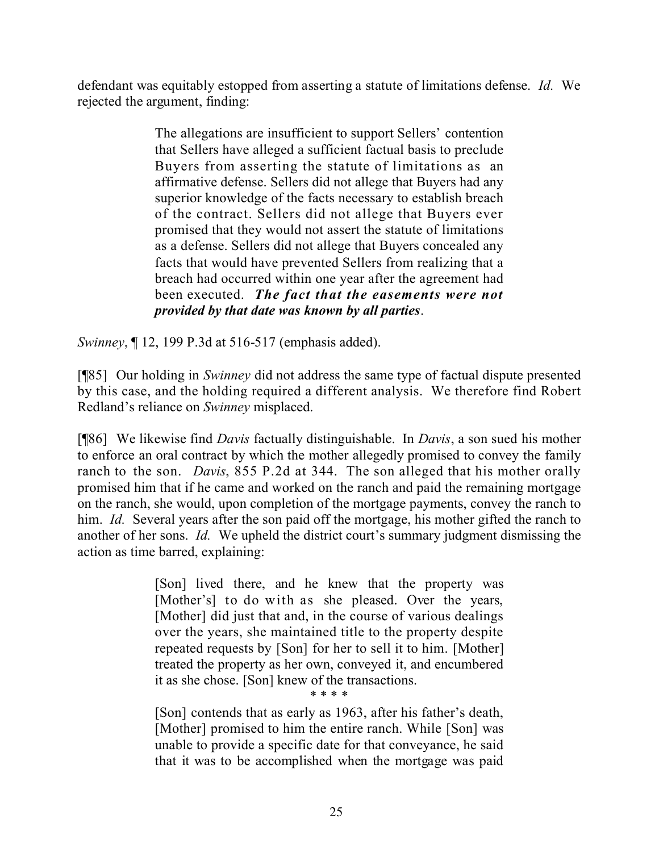defendant was equitably estopped from asserting a statute of limitations defense. *Id.* We rejected the argument, finding:

> The allegations are insufficient to support Sellers' contention that Sellers have alleged a sufficient factual basis to preclude Buyers from asserting the statute of limitations as an affirmative defense. Sellers did not allege that Buyers had any superior knowledge of the facts necessary to establish breach of the contract. Sellers did not allege that Buyers ever promised that they would not assert the statute of limitations as a defense. Sellers did not allege that Buyers concealed any facts that would have prevented Sellers from realizing that a breach had occurred within one year after the agreement had been executed. *The fact that the easements were not provided by that date was known by all parties*.

*Swinney*, ¶ 12, 199 P.3d at 516-517 (emphasis added).

[¶85] Our holding in *Swinney* did not address the same type of factual dispute presented by this case, and the holding required a different analysis. We therefore find Robert Redland's reliance on *Swinney* misplaced.

[¶86] We likewise find *Davis* factually distinguishable. In *Davis*, a son sued his mother to enforce an oral contract by which the mother allegedly promised to convey the family ranch to the son. *Davis*, 855 P.2d at 344. The son alleged that his mother orally promised him that if he came and worked on the ranch and paid the remaining mortgage on the ranch, she would, upon completion of the mortgage payments, convey the ranch to him. *Id.* Several years after the son paid off the mortgage, his mother gifted the ranch to another of her sons. *Id.* We upheld the district court's summary judgment dismissing the action as time barred, explaining:

> [Son] lived there, and he knew that the property was [Mother's] to do with as she pleased. Over the years, [Mother] did just that and, in the course of various dealings over the years, she maintained title to the property despite repeated requests by [Son] for her to sell it to him. [Mother] treated the property as her own, conveyed it, and encumbered it as she chose. [Son] knew of the transactions.

\* \* \* \*

[Son] contends that as early as 1963, after his father's death, [Mother] promised to him the entire ranch. While [Son] was unable to provide a specific date for that conveyance, he said that it was to be accomplished when the mortgage was paid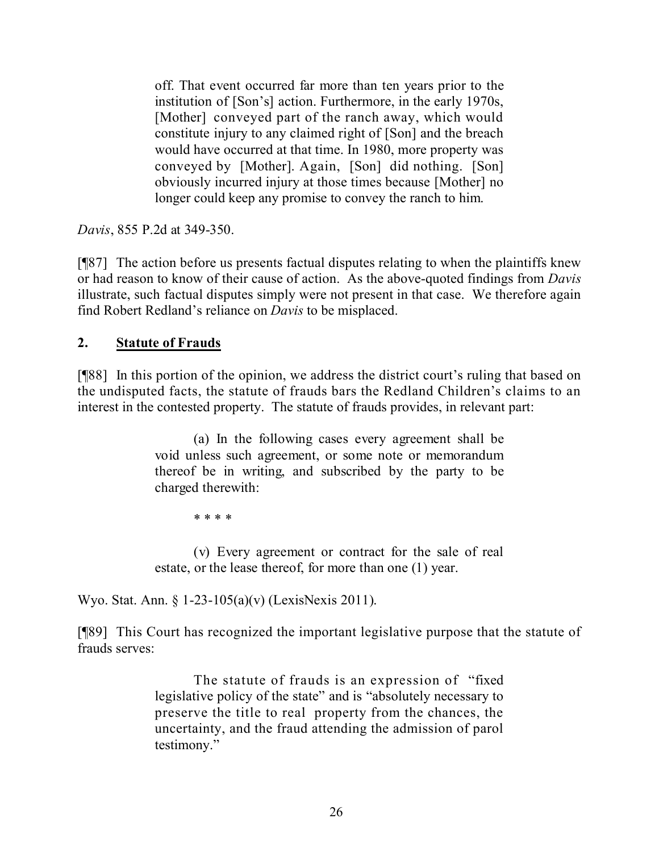off. That event occurred far more than ten years prior to the institution of [Son's] action. Furthermore, in the early 1970s, [Mother] conveyed part of the ranch away, which would constitute injury to any claimed right of [Son] and the breach would have occurred at that time. In 1980, more property was conveyed by [Mother]. Again, [Son] did nothing. [Son] obviously incurred injury at those times because [Mother] no longer could keep any promise to convey the ranch to him.

*Davis*, 855 P.2d at 349-350.

[¶87] The action before us presents factual disputes relating to when the plaintiffs knew or had reason to know of their cause of action. As the above-quoted findings from *Davis* illustrate, such factual disputes simply were not present in that case. We therefore again find Robert Redland's reliance on *Davis* to be misplaced.

### **2. Statute of Frauds**

[¶88] In this portion of the opinion, we address the district court's ruling that based on the undisputed facts, the statute of frauds bars the Redland Children's claims to an interest in the contested property. The statute of frauds provides, in relevant part:

> (a) In the following cases every agreement shall be void unless such agreement, or some note or memorandum thereof be in writing, and subscribed by the party to be charged therewith:

> > \* \* \* \*

(v) Every agreement or contract for the sale of real estate, or the lease thereof, for more than one (1) year.

Wyo. Stat. Ann. § 1-23-105(a)(v) (LexisNexis 2011).

[¶89] This Court has recognized the important legislative purpose that the statute of frauds serves:

> The statute of frauds is an expression of "fixed legislative policy of the state" and is "absolutely necessary to preserve the title to real property from the chances, the uncertainty, and the fraud attending the admission of parol testimony."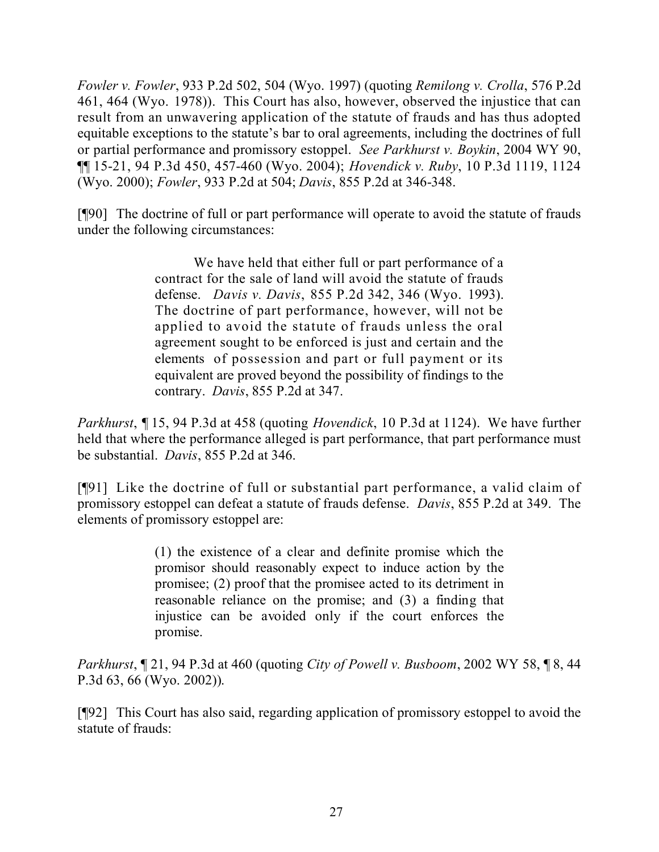*Fowler v. Fowler*, 933 P.2d 502, 504 (Wyo. 1997) (quoting *Remilong v. Crolla*, 576 P.2d 461, 464 (Wyo. 1978)). This Court has also, however, observed the injustice that can result from an unwavering application of the statute of frauds and has thus adopted equitable exceptions to the statute's bar to oral agreements, including the doctrines of full or partial performance and promissory estoppel. *See Parkhurst v. Boykin*, 2004 WY 90, ¶¶ 15-21, 94 P.3d 450, 457-460 (Wyo. 2004); *Hovendick v. Ruby*, 10 P.3d 1119, 1124 (Wyo. 2000); *Fowler*, 933 P.2d at 504; *Davis*, 855 P.2d at 346-348.

[¶90] The doctrine of full or part performance will operate to avoid the statute of frauds under the following circumstances:

> We have held that either full or part performance of a contract for the sale of land will avoid the statute of frauds defense. *Davis v. Davis*, 855 P.2d 342, 346 (Wyo. 1993). The doctrine of part performance, however, will not be applied to avoid the statute of frauds unless the oral agreement sought to be enforced is just and certain and the elements of possession and part or full payment or its equivalent are proved beyond the possibility of findings to the contrary. *Davis*, 855 P.2d at 347.

*Parkhurst*, ¶ 15, 94 P.3d at 458 (quoting *Hovendick*, 10 P.3d at 1124). We have further held that where the performance alleged is part performance, that part performance must be substantial. *Davis*, 855 P.2d at 346.

[¶91] Like the doctrine of full or substantial part performance, a valid claim of promissory estoppel can defeat a statute of frauds defense. *Davis*, 855 P.2d at 349. The elements of promissory estoppel are:

> (1) the existence of a clear and definite promise which the promisor should reasonably expect to induce action by the promisee; (2) proof that the promisee acted to its detriment in reasonable reliance on the promise; and (3) a finding that injustice can be avoided only if the court enforces the promise.

*Parkhurst*, ¶ 21, 94 P.3d at 460 (quoting *City of Powell v. Busboom*, 2002 WY 58, ¶ 8, 44 P.3d 63, 66 (Wyo. 2002)).

[¶92] This Court has also said, regarding application of promissory estoppel to avoid the statute of frauds: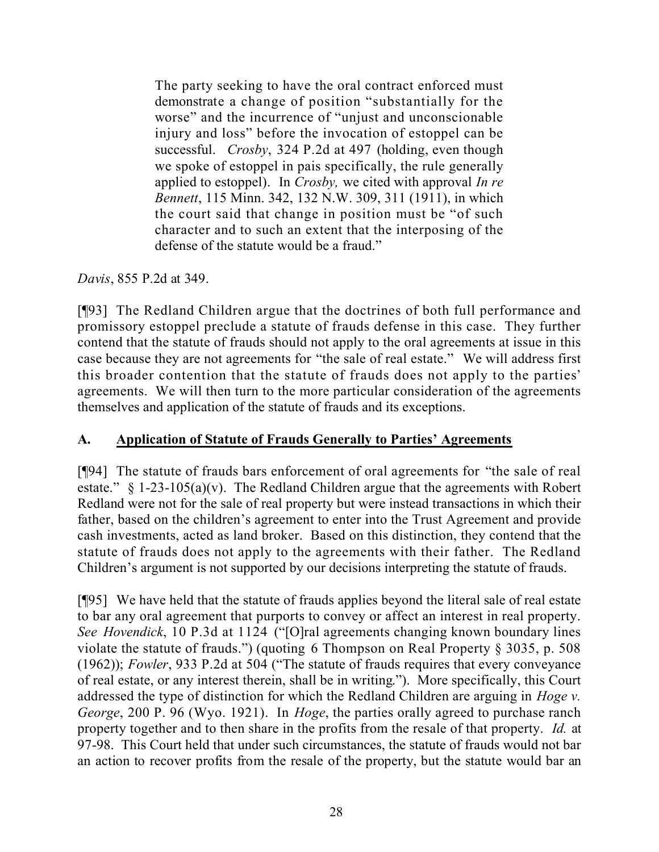The party seeking to have the oral contract enforced must demonstrate a change of position "substantially for the worse" and the incurrence of "unjust and unconscionable injury and loss" before the invocation of estoppel can be successful. *Crosby*, 324 P.2d at 497 (holding, even though we spoke of estoppel in pais specifically, the rule generally applied to estoppel). In *Crosby,* we cited with approval *In re Bennett*, 115 Minn. 342, 132 N.W. 309, 311 (1911), in which the court said that change in position must be "of such character and to such an extent that the interposing of the defense of the statute would be a fraud."

*Davis*, 855 P.2d at 349.

[¶93] The Redland Children argue that the doctrines of both full performance and promissory estoppel preclude a statute of frauds defense in this case. They further contend that the statute of frauds should not apply to the oral agreements at issue in this case because they are not agreements for "the sale of real estate." We will address first this broader contention that the statute of frauds does not apply to the parties' agreements. We will then turn to the more particular consideration of the agreements themselves and application of the statute of frauds and its exceptions.

### **A. Application of Statute of Frauds Generally to Parties' Agreements**

[¶94] The statute of frauds bars enforcement of oral agreements for "the sale of real estate."  $\S$  1-23-105(a)(v). The Redland Children argue that the agreements with Robert Redland were not for the sale of real property but were instead transactions in which their father, based on the children's agreement to enter into the Trust Agreement and provide cash investments, acted as land broker. Based on this distinction, they contend that the statute of frauds does not apply to the agreements with their father. The Redland Children's argument is not supported by our decisions interpreting the statute of frauds.

[¶95] We have held that the statute of frauds applies beyond the literal sale of real estate to bar any oral agreement that purports to convey or affect an interest in real property. *See Hovendick*, 10 P.3d at 1124 ("[O]ral agreements changing known boundary lines violate the statute of frauds.") (quoting 6 Thompson on Real Property § 3035, p. 508 (1962)); *Fowler*, 933 P.2d at 504 ("The statute of frauds requires that every conveyance of real estate, or any interest therein, shall be in writing."). More specifically, this Court addressed the type of distinction for which the Redland Children are arguing in *Hoge v. George*, 200 P. 96 (Wyo. 1921). In *Hoge*, the parties orally agreed to purchase ranch property together and to then share in the profits from the resale of that property. *Id.* at 97-98. This Court held that under such circumstances, the statute of frauds would not bar an action to recover profits from the resale of the property, but the statute would bar an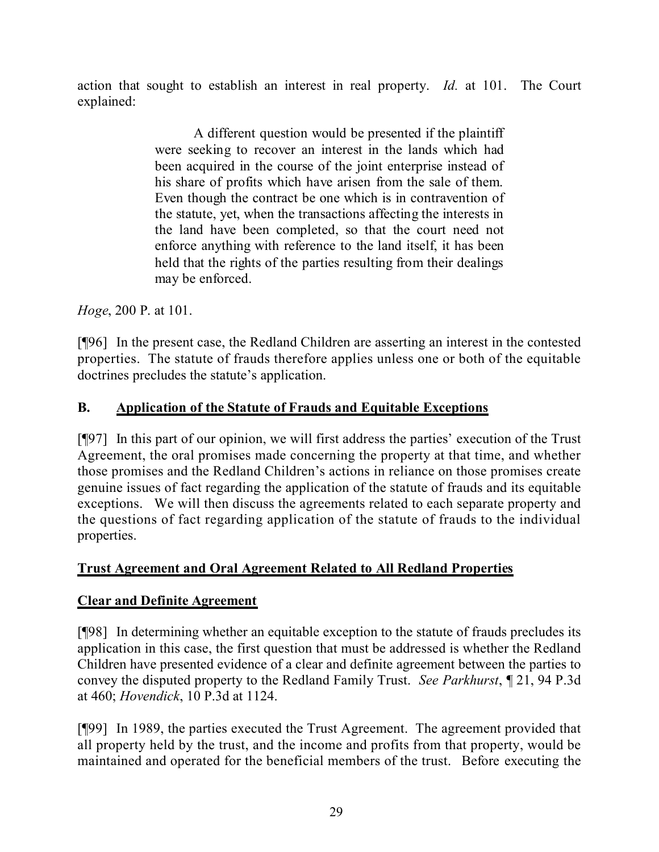action that sought to establish an interest in real property. *Id.* at 101. The Court explained:

> A different question would be presented if the plaintiff were seeking to recover an interest in the lands which had been acquired in the course of the joint enterprise instead of his share of profits which have arisen from the sale of them. Even though the contract be one which is in contravention of the statute, yet, when the transactions affecting the interests in the land have been completed, so that the court need not enforce anything with reference to the land itself, it has been held that the rights of the parties resulting from their dealings may be enforced.

*Hoge*, 200 P. at 101.

[¶96] In the present case, the Redland Children are asserting an interest in the contested properties. The statute of frauds therefore applies unless one or both of the equitable doctrines precludes the statute's application.

### **B. Application of the Statute of Frauds and Equitable Exceptions**

[¶97] In this part of our opinion, we will first address the parties' execution of the Trust Agreement, the oral promises made concerning the property at that time, and whether those promises and the Redland Children's actions in reliance on those promises create genuine issues of fact regarding the application of the statute of frauds and its equitable exceptions. We will then discuss the agreements related to each separate property and the questions of fact regarding application of the statute of frauds to the individual properties.

### **Trust Agreement and Oral Agreement Related to All Redland Properties**

### **Clear and Definite Agreement**

[¶98] In determining whether an equitable exception to the statute of frauds precludes its application in this case, the first question that must be addressed is whether the Redland Children have presented evidence of a clear and definite agreement between the parties to convey the disputed property to the Redland Family Trust. *See Parkhurst*, ¶ 21, 94 P.3d at 460; *Hovendick*, 10 P.3d at 1124.

[¶99] In 1989, the parties executed the Trust Agreement. The agreement provided that all property held by the trust, and the income and profits from that property, would be maintained and operated for the beneficial members of the trust. Before executing the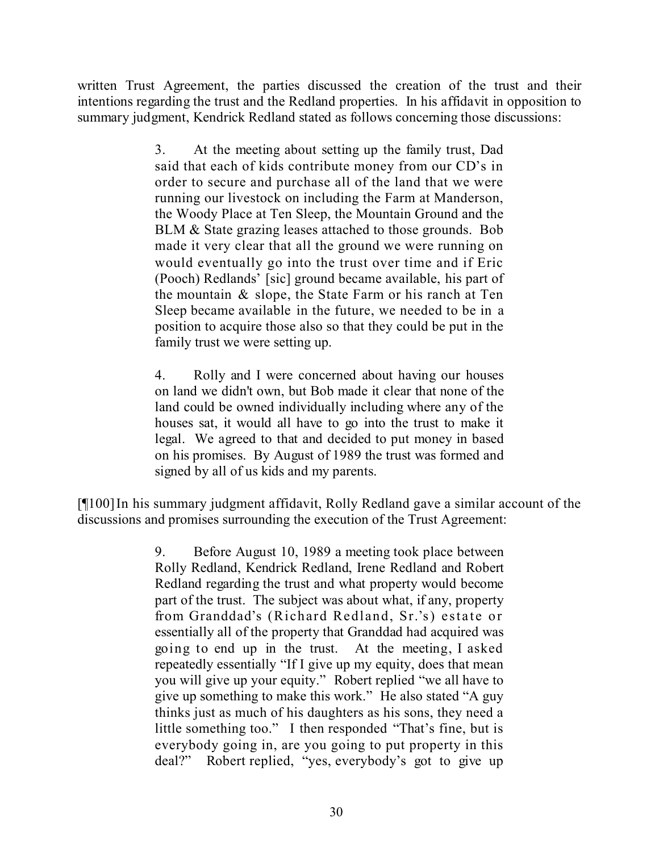written Trust Agreement, the parties discussed the creation of the trust and their intentions regarding the trust and the Redland properties. In his affidavit in opposition to summary judgment, Kendrick Redland stated as follows concerning those discussions:

> 3. At the meeting about setting up the family trust, Dad said that each of kids contribute money from our CD's in order to secure and purchase all of the land that we were running our livestock on including the Farm at Manderson, the Woody Place at Ten Sleep, the Mountain Ground and the BLM & State grazing leases attached to those grounds. Bob made it very clear that all the ground we were running on would eventually go into the trust over time and if Eric (Pooch) Redlands' [sic] ground became available, his part of the mountain & slope, the State Farm or his ranch at Ten Sleep became available in the future, we needed to be in a position to acquire those also so that they could be put in the family trust we were setting up.

> 4. Rolly and I were concerned about having our houses on land we didn't own, but Bob made it clear that none of the land could be owned individually including where any of the houses sat, it would all have to go into the trust to make it legal. We agreed to that and decided to put money in based on his promises. By August of 1989 the trust was formed and signed by all of us kids and my parents.

[¶100]In his summary judgment affidavit, Rolly Redland gave a similar account of the discussions and promises surrounding the execution of the Trust Agreement:

> 9. Before August 10, 1989 a meeting took place between Rolly Redland, Kendrick Redland, Irene Redland and Robert Redland regarding the trust and what property would become part of the trust. The subject was about what, if any, property from Granddad's (Richard Redland, Sr.'s) estate or essentially all of the property that Granddad had acquired was going to end up in the trust. At the meeting, I asked repeatedly essentially "If I give up my equity, does that mean you will give up your equity." Robert replied "we all have to give up something to make this work." He also stated "A guy thinks just as much of his daughters as his sons, they need a little something too." I then responded "That's fine, but is everybody going in, are you going to put property in this deal?" Robert replied, "yes, everybody's got to give up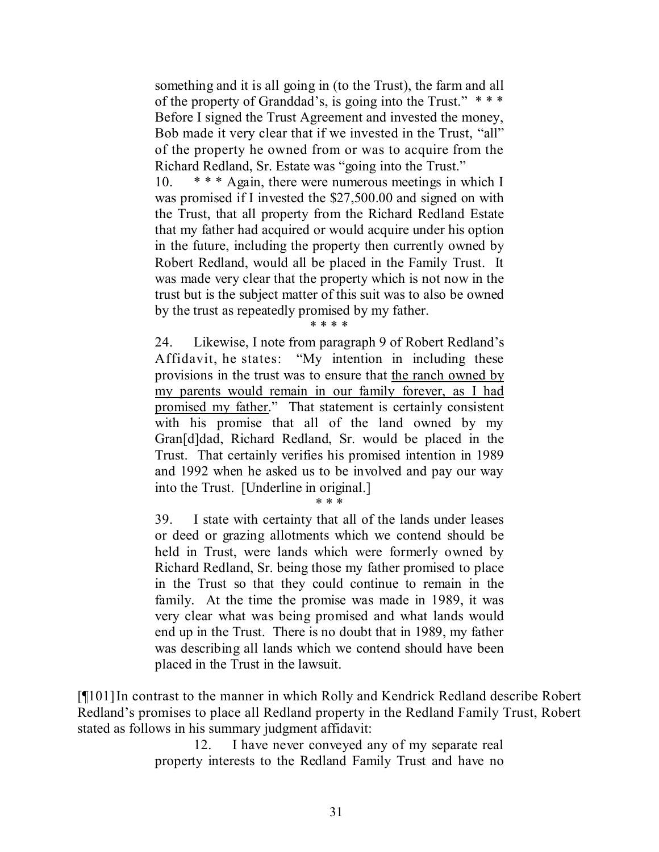something and it is all going in (to the Trust), the farm and all of the property of Granddad's, is going into the Trust."  $***$ Before I signed the Trust Agreement and invested the money, Bob made it very clear that if we invested in the Trust, "all" of the property he owned from or was to acquire from the Richard Redland, Sr. Estate was "going into the Trust."

10. \* \* \* Again, there were numerous meetings in which I was promised if I invested the \$27,500.00 and signed on with the Trust, that all property from the Richard Redland Estate that my father had acquired or would acquire under his option in the future, including the property then currently owned by Robert Redland, would all be placed in the Family Trust. It was made very clear that the property which is not now in the trust but is the subject matter of this suit was to also be owned by the trust as repeatedly promised by my father.

\* \* \* \*

24. Likewise, I note from paragraph 9 of Robert Redland's Affidavit, he states: "My intention in including these provisions in the trust was to ensure that the ranch owned by my parents would remain in our family forever, as I had promised my father." That statement is certainly consistent with his promise that all of the land owned by my Gran[d]dad, Richard Redland, Sr. would be placed in the Trust. That certainly verifies his promised intention in 1989 and 1992 when he asked us to be involved and pay our way into the Trust. [Underline in original.]

\* \* \*

39. I state with certainty that all of the lands under leases or deed or grazing allotments which we contend should be held in Trust, were lands which were formerly owned by Richard Redland, Sr. being those my father promised to place in the Trust so that they could continue to remain in the family. At the time the promise was made in 1989, it was very clear what was being promised and what lands would end up in the Trust. There is no doubt that in 1989, my father was describing all lands which we contend should have been placed in the Trust in the lawsuit.

[¶101]In contrast to the manner in which Rolly and Kendrick Redland describe Robert Redland's promises to place all Redland property in the Redland Family Trust, Robert stated as follows in his summary judgment affidavit:

> 12. I have never conveyed any of my separate real property interests to the Redland Family Trust and have no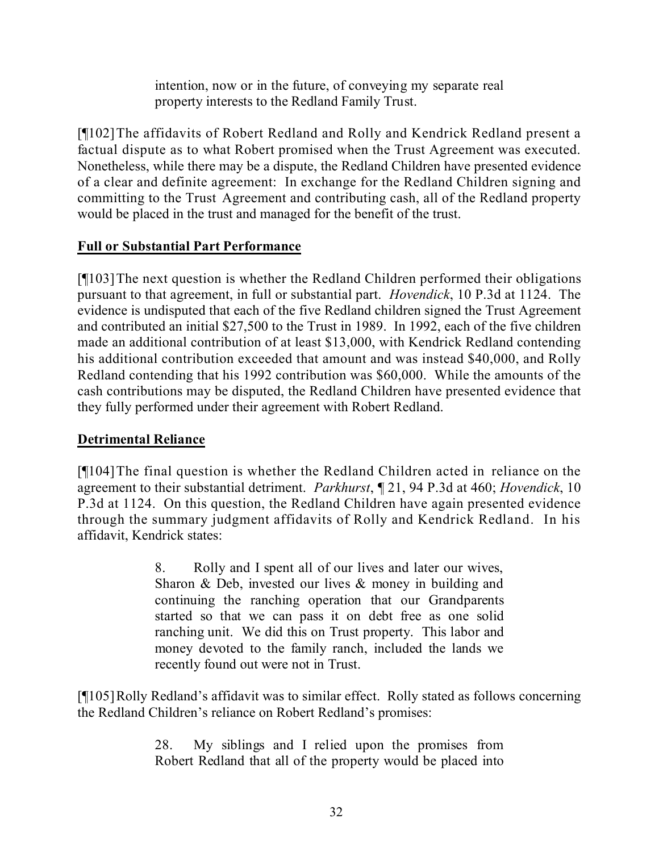intention, now or in the future, of conveying my separate real property interests to the Redland Family Trust.

[¶102]The affidavits of Robert Redland and Rolly and Kendrick Redland present a factual dispute as to what Robert promised when the Trust Agreement was executed. Nonetheless, while there may be a dispute, the Redland Children have presented evidence of a clear and definite agreement: In exchange for the Redland Children signing and committing to the Trust Agreement and contributing cash, all of the Redland property would be placed in the trust and managed for the benefit of the trust.

### **Full or Substantial Part Performance**

[¶103]The next question is whether the Redland Children performed their obligations pursuant to that agreement, in full or substantial part. *Hovendick*, 10 P.3d at 1124. The evidence is undisputed that each of the five Redland children signed the Trust Agreement and contributed an initial \$27,500 to the Trust in 1989. In 1992, each of the five children made an additional contribution of at least \$13,000, with Kendrick Redland contending his additional contribution exceeded that amount and was instead \$40,000, and Rolly Redland contending that his 1992 contribution was \$60,000. While the amounts of the cash contributions may be disputed, the Redland Children have presented evidence that they fully performed under their agreement with Robert Redland.

### **Detrimental Reliance**

[¶104]The final question is whether the Redland Children acted in reliance on the agreement to their substantial detriment. *Parkhurst*, ¶ 21, 94 P.3d at 460; *Hovendick*, 10 P.3d at 1124. On this question, the Redland Children have again presented evidence through the summary judgment affidavits of Rolly and Kendrick Redland. In his affidavit, Kendrick states:

> 8. Rolly and I spent all of our lives and later our wives, Sharon & Deb, invested our lives & money in building and continuing the ranching operation that our Grandparents started so that we can pass it on debt free as one solid ranching unit. We did this on Trust property. This labor and money devoted to the family ranch, included the lands we recently found out were not in Trust.

[¶105]Rolly Redland's affidavit was to similar effect. Rolly stated as follows concerning the Redland Children's reliance on Robert Redland's promises:

> 28. My siblings and I relied upon the promises from Robert Redland that all of the property would be placed into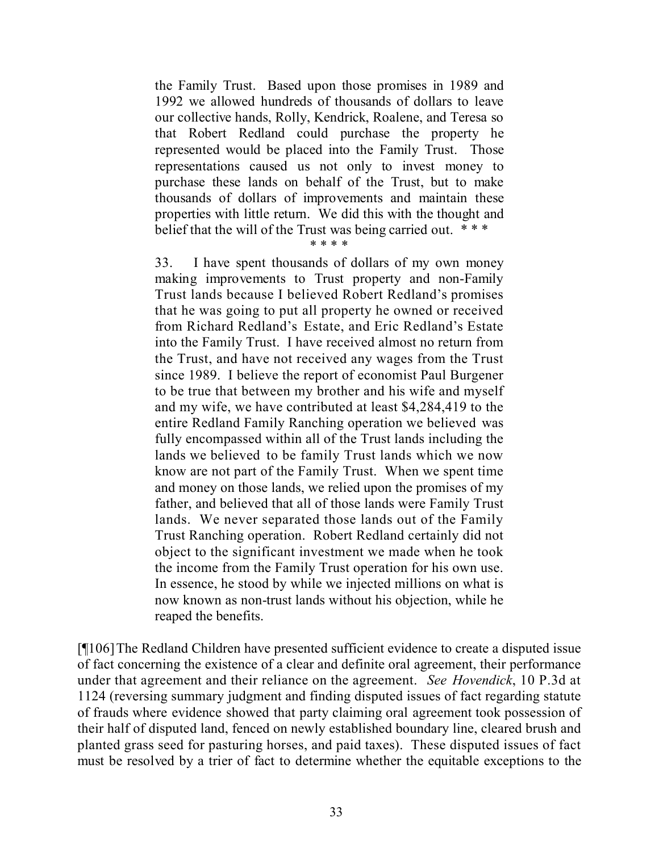the Family Trust. Based upon those promises in 1989 and 1992 we allowed hundreds of thousands of dollars to leave our collective hands, Rolly, Kendrick, Roalene, and Teresa so that Robert Redland could purchase the property he represented would be placed into the Family Trust. Those representations caused us not only to invest money to purchase these lands on behalf of the Trust, but to make thousands of dollars of improvements and maintain these properties with little return. We did this with the thought and belief that the will of the Trust was being carried out. \* \* \*

\* \* \* \*

33. I have spent thousands of dollars of my own money making improvements to Trust property and non-Family Trust lands because I believed Robert Redland's promises that he was going to put all property he owned or received from Richard Redland's Estate, and Eric Redland's Estate into the Family Trust. I have received almost no return from the Trust, and have not received any wages from the Trust since 1989. I believe the report of economist Paul Burgener to be true that between my brother and his wife and myself and my wife, we have contributed at least \$4,284,419 to the entire Redland Family Ranching operation we believed was fully encompassed within all of the Trust lands including the lands we believed to be family Trust lands which we now know are not part of the Family Trust. When we spent time and money on those lands, we relied upon the promises of my father, and believed that all of those lands were Family Trust lands. We never separated those lands out of the Family Trust Ranching operation. Robert Redland certainly did not object to the significant investment we made when he took the income from the Family Trust operation for his own use. In essence, he stood by while we injected millions on what is now known as non-trust lands without his objection, while he reaped the benefits.

[¶106]The Redland Children have presented sufficient evidence to create a disputed issue of fact concerning the existence of a clear and definite oral agreement, their performance under that agreement and their reliance on the agreement. *See Hovendick*, 10 P.3d at 1124 (reversing summary judgment and finding disputed issues of fact regarding statute of frauds where evidence showed that party claiming oral agreement took possession of their half of disputed land, fenced on newly established boundary line, cleared brush and planted grass seed for pasturing horses, and paid taxes). These disputed issues of fact must be resolved by a trier of fact to determine whether the equitable exceptions to the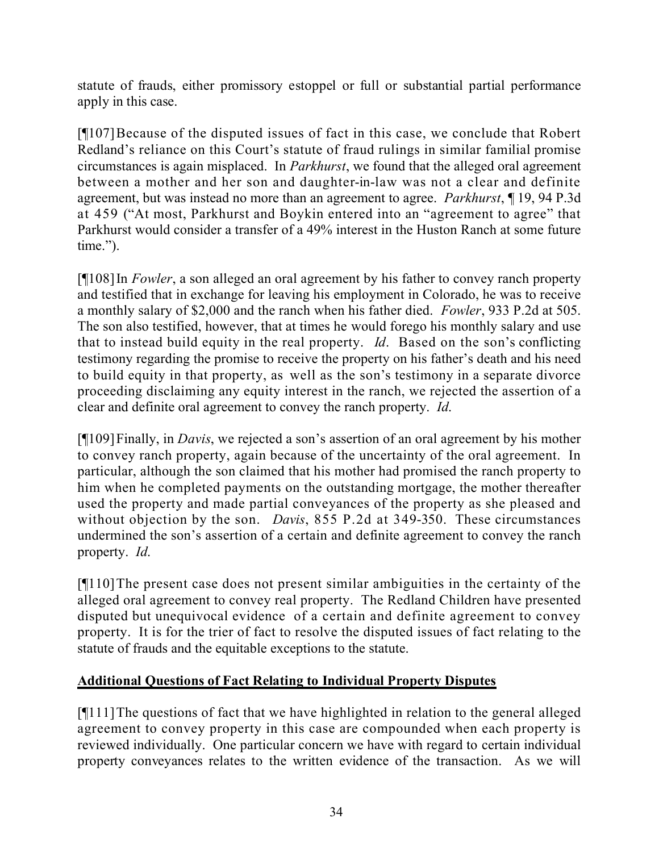statute of frauds, either promissory estoppel or full or substantial partial performance apply in this case.

[¶107]Because of the disputed issues of fact in this case, we conclude that Robert Redland's reliance on this Court's statute of fraud rulings in similar familial promise circumstances is again misplaced. In *Parkhurst*, we found that the alleged oral agreement between a mother and her son and daughter-in-law was not a clear and definite agreement, but was instead no more than an agreement to agree. *Parkhurst*, ¶ 19, 94 P.3d at 459 ("At most, Parkhurst and Boykin entered into an "agreement to agree" that Parkhurst would consider a transfer of a 49% interest in the Huston Ranch at some future time.").

[¶108]In *Fowler*, a son alleged an oral agreement by his father to convey ranch property and testified that in exchange for leaving his employment in Colorado, he was to receive a monthly salary of \$2,000 and the ranch when his father died. *Fowler*, 933 P.2d at 505. The son also testified, however, that at times he would forego his monthly salary and use that to instead build equity in the real property. *Id*. Based on the son's conflicting testimony regarding the promise to receive the property on his father's death and his need to build equity in that property, as well as the son's testimony in a separate divorce proceeding disclaiming any equity interest in the ranch, we rejected the assertion of a clear and definite oral agreement to convey the ranch property. *Id*.

[¶109]Finally, in *Davis*, we rejected a son's assertion of an oral agreement by his mother to convey ranch property, again because of the uncertainty of the oral agreement. In particular, although the son claimed that his mother had promised the ranch property to him when he completed payments on the outstanding mortgage, the mother thereafter used the property and made partial conveyances of the property as she pleased and without objection by the son. *Davis*, 855 P.2d at 349-350. These circumstances undermined the son's assertion of a certain and definite agreement to convey the ranch property. *Id*.

[¶110]The present case does not present similar ambiguities in the certainty of the alleged oral agreement to convey real property. The Redland Children have presented disputed but unequivocal evidence of a certain and definite agreement to convey property. It is for the trier of fact to resolve the disputed issues of fact relating to the statute of frauds and the equitable exceptions to the statute.

### **Additional Questions of Fact Relating to Individual Property Disputes**

[¶111]The questions of fact that we have highlighted in relation to the general alleged agreement to convey property in this case are compounded when each property is reviewed individually. One particular concern we have with regard to certain individual property conveyances relates to the written evidence of the transaction. As we will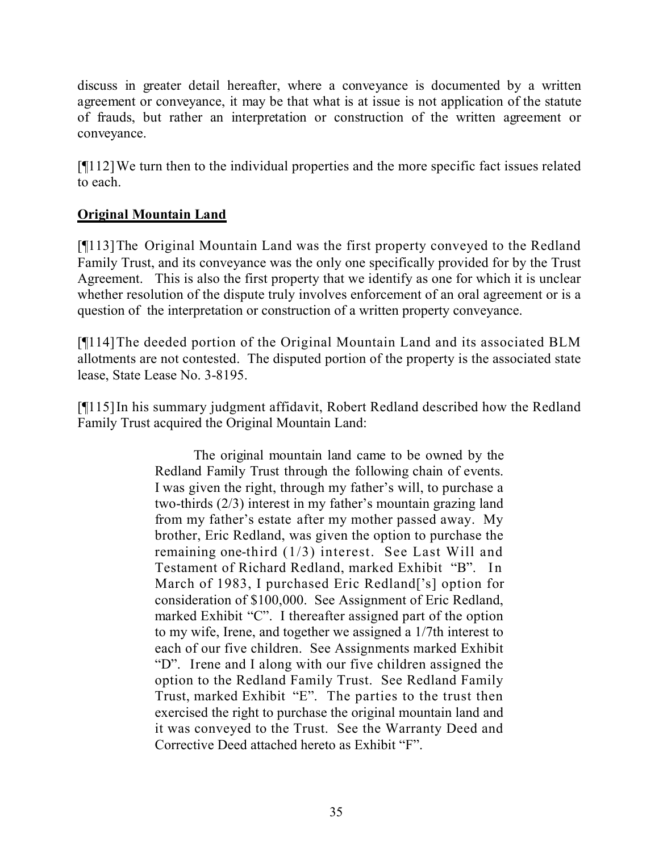discuss in greater detail hereafter, where a conveyance is documented by a written agreement or conveyance, it may be that what is at issue is not application of the statute of frauds, but rather an interpretation or construction of the written agreement or conveyance.

[¶112]We turn then to the individual properties and the more specific fact issues related to each.

### **Original Mountain Land**

[¶113]The Original Mountain Land was the first property conveyed to the Redland Family Trust, and its conveyance was the only one specifically provided for by the Trust Agreement. This is also the first property that we identify as one for which it is unclear whether resolution of the dispute truly involves enforcement of an oral agreement or is a question of the interpretation or construction of a written property conveyance.

[¶114]The deeded portion of the Original Mountain Land and its associated BLM allotments are not contested. The disputed portion of the property is the associated state lease, State Lease No. 3-8195.

[¶115]In his summary judgment affidavit, Robert Redland described how the Redland Family Trust acquired the Original Mountain Land:

> The original mountain land came to be owned by the Redland Family Trust through the following chain of events. I was given the right, through my father's will, to purchase a two-thirds (2/3) interest in my father's mountain grazing land from my father's estate after my mother passed away. My brother, Eric Redland, was given the option to purchase the remaining one-third (1/3) interest. See Last Will and Testament of Richard Redland, marked Exhibit "B". In March of 1983, I purchased Eric Redland<sup>['s]</sup> option for consideration of \$100,000. See Assignment of Eric Redland, marked Exhibit "C". I thereafter assigned part of the option to my wife, Irene, and together we assigned a 1/7th interest to each of our five children. See Assignments marked Exhibit "D". Irene and I along with our five children assigned the option to the Redland Family Trust. See Redland Family Trust, marked Exhibit "E". The parties to the trust then exercised the right to purchase the original mountain land and it was conveyed to the Trust. See the Warranty Deed and Corrective Deed attached hereto as Exhibit "F".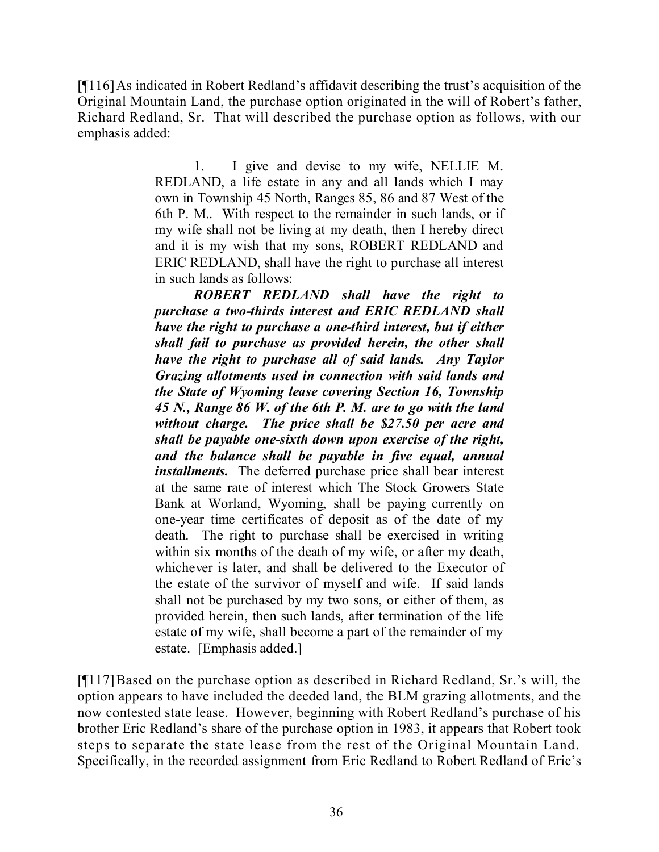[¶116]As indicated in Robert Redland's affidavit describing the trust's acquisition of the Original Mountain Land, the purchase option originated in the will of Robert's father, Richard Redland, Sr. That will described the purchase option as follows, with our emphasis added:

> 1. I give and devise to my wife, NELLIE M. REDLAND, a life estate in any and all lands which I may own in Township 45 North, Ranges 85, 86 and 87 West of the 6th P. M.. With respect to the remainder in such lands, or if my wife shall not be living at my death, then I hereby direct and it is my wish that my sons, ROBERT REDLAND and ERIC REDLAND, shall have the right to purchase all interest in such lands as follows:

> *ROBERT REDLAND shall have the right to purchase a two-thirds interest and ERIC REDLAND shall have the right to purchase a one-third interest, but if either shall fail to purchase as provided herein, the other shall have the right to purchase all of said lands. Any Taylor Grazing allotments used in connection with said lands and the State of Wyoming lease covering Section 16, Township 45 N., Range 86 W. of the 6th P. M. are to go with the land without charge. The price shall be \$27.50 per acre and shall be payable one-sixth down upon exercise of the right, and the balance shall be payable in five equal, annual installments.* The deferred purchase price shall bear interest at the same rate of interest which The Stock Growers State Bank at Worland, Wyoming, shall be paying currently on one-year time certificates of deposit as of the date of my death. The right to purchase shall be exercised in writing within six months of the death of my wife, or after my death, whichever is later, and shall be delivered to the Executor of the estate of the survivor of myself and wife. If said lands shall not be purchased by my two sons, or either of them, as provided herein, then such lands, after termination of the life estate of my wife, shall become a part of the remainder of my estate. [Emphasis added.]

[¶117]Based on the purchase option as described in Richard Redland, Sr.'s will, the option appears to have included the deeded land, the BLM grazing allotments, and the now contested state lease. However, beginning with Robert Redland's purchase of his brother Eric Redland's share of the purchase option in 1983, it appears that Robert took steps to separate the state lease from the rest of the Original Mountain Land. Specifically, in the recorded assignment from Eric Redland to Robert Redland of Eric's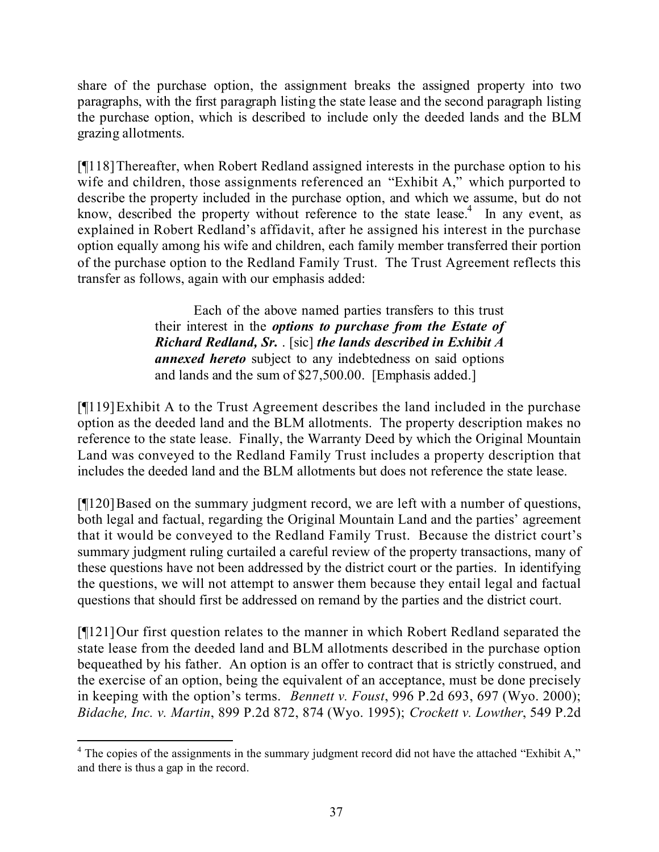share of the purchase option, the assignment breaks the assigned property into two paragraphs, with the first paragraph listing the state lease and the second paragraph listing the purchase option, which is described to include only the deeded lands and the BLM grazing allotments.

[¶118]Thereafter, when Robert Redland assigned interests in the purchase option to his wife and children, those assignments referenced an "Exhibit A," which purported to describe the property included in the purchase option, and which we assume, but do not know, described the property without reference to the state lease.<sup>4</sup> In any event, as explained in Robert Redland's affidavit, after he assigned his interest in the purchase option equally among his wife and children, each family member transferred their portion of the purchase option to the Redland Family Trust. The Trust Agreement reflects this transfer as follows, again with our emphasis added:

> Each of the above named parties transfers to this trust their interest in the *options to purchase from the Estate of Richard Redland, Sr.* . [sic] *the lands described in Exhibit A annexed hereto* subject to any indebtedness on said options and lands and the sum of \$27,500.00. [Emphasis added.]

[¶119]Exhibit A to the Trust Agreement describes the land included in the purchase option as the deeded land and the BLM allotments. The property description makes no reference to the state lease. Finally, the Warranty Deed by which the Original Mountain Land was conveyed to the Redland Family Trust includes a property description that includes the deeded land and the BLM allotments but does not reference the state lease.

[¶120]Based on the summary judgment record, we are left with a number of questions, both legal and factual, regarding the Original Mountain Land and the parties' agreement that it would be conveyed to the Redland Family Trust. Because the district court's summary judgment ruling curtailed a careful review of the property transactions, many of these questions have not been addressed by the district court or the parties. In identifying the questions, we will not attempt to answer them because they entail legal and factual questions that should first be addressed on remand by the parties and the district court.

[¶121]Our first question relates to the manner in which Robert Redland separated the state lease from the deeded land and BLM allotments described in the purchase option bequeathed by his father. An option is an offer to contract that is strictly construed, and the exercise of an option, being the equivalent of an acceptance, must be done precisely in keeping with the option's terms. *Bennett v. Foust*, 996 P.2d 693, 697 (Wyo. 2000); *Bidache, Inc. v. Martin*, 899 P.2d 872, 874 (Wyo. 1995); *Crockett v. Lowther*, 549 P.2d

 $\overline{a}$ <sup>4</sup> The copies of the assignments in the summary judgment record did not have the attached "Exhibit A," and there is thus a gap in the record.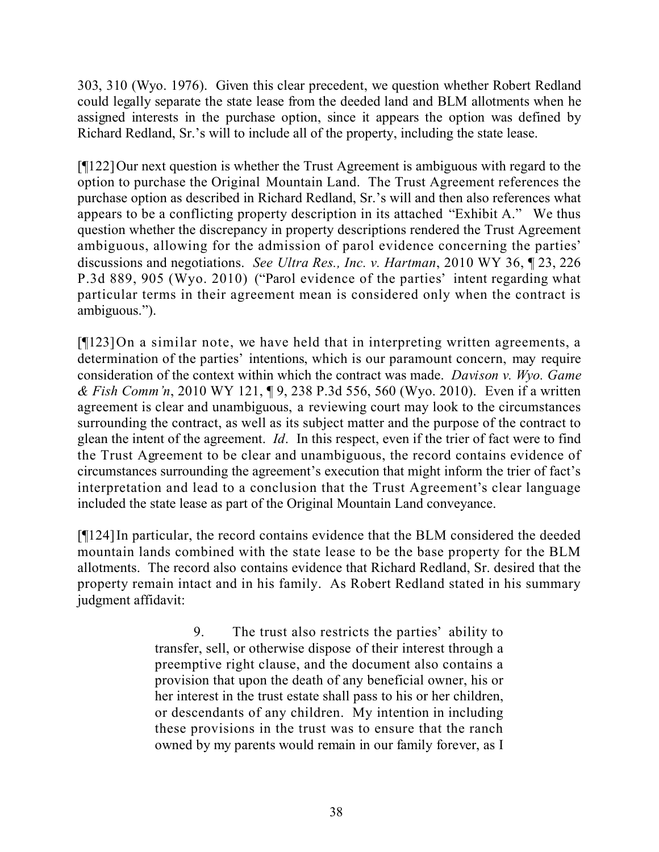303, 310 (Wyo. 1976). Given this clear precedent, we question whether Robert Redland could legally separate the state lease from the deeded land and BLM allotments when he assigned interests in the purchase option, since it appears the option was defined by Richard Redland, Sr.'s will to include all of the property, including the state lease.

[¶122]Our next question is whether the Trust Agreement is ambiguous with regard to the option to purchase the Original Mountain Land. The Trust Agreement references the purchase option as described in Richard Redland, Sr.'s will and then also references what appears to be a conflicting property description in its attached "Exhibit A." We thus question whether the discrepancy in property descriptions rendered the Trust Agreement ambiguous, allowing for the admission of parol evidence concerning the parties' discussions and negotiations. *See Ultra Res., Inc. v. Hartman*, 2010 WY 36, ¶ 23, 226 P.3d 889, 905 (Wyo. 2010) ("Parol evidence of the parties' intent regarding what particular terms in their agreement mean is considered only when the contract is ambiguous.").

[¶123]On a similar note, we have held that in interpreting written agreements, a determination of the parties' intentions, which is our paramount concern, may require consideration of the context within which the contract was made. *Davison v. Wyo. Game & Fish Comm'n*, 2010 WY 121, ¶ 9, 238 P.3d 556, 560 (Wyo. 2010). Even if a written agreement is clear and unambiguous, a reviewing court may look to the circumstances surrounding the contract, as well as its subject matter and the purpose of the contract to glean the intent of the agreement. *Id*. In this respect, even if the trier of fact were to find the Trust Agreement to be clear and unambiguous, the record contains evidence of circumstances surrounding the agreement's execution that might inform the trier of fact's interpretation and lead to a conclusion that the Trust Agreement's clear language included the state lease as part of the Original Mountain Land conveyance.

[¶124]In particular, the record contains evidence that the BLM considered the deeded mountain lands combined with the state lease to be the base property for the BLM allotments. The record also contains evidence that Richard Redland, Sr. desired that the property remain intact and in his family. As Robert Redland stated in his summary judgment affidavit:

> 9. The trust also restricts the parties' ability to transfer, sell, or otherwise dispose of their interest through a preemptive right clause, and the document also contains a provision that upon the death of any beneficial owner, his or her interest in the trust estate shall pass to his or her children, or descendants of any children. My intention in including these provisions in the trust was to ensure that the ranch owned by my parents would remain in our family forever, as I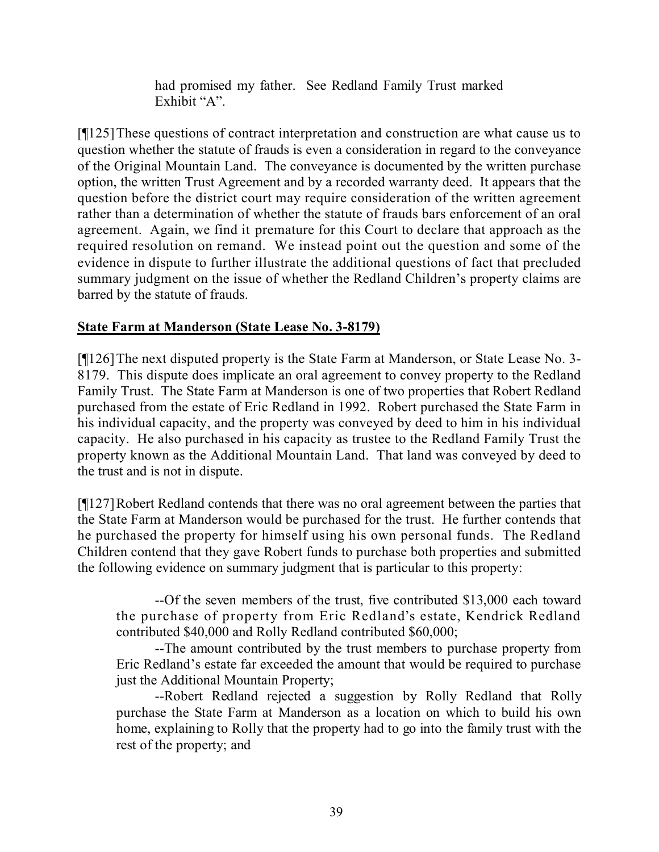had promised my father. See Redland Family Trust marked Exhibit "A".

[¶125]These questions of contract interpretation and construction are what cause us to question whether the statute of frauds is even a consideration in regard to the conveyance of the Original Mountain Land. The conveyance is documented by the written purchase option, the written Trust Agreement and by a recorded warranty deed. It appears that the question before the district court may require consideration of the written agreement rather than a determination of whether the statute of frauds bars enforcement of an oral agreement. Again, we find it premature for this Court to declare that approach as the required resolution on remand. We instead point out the question and some of the evidence in dispute to further illustrate the additional questions of fact that precluded summary judgment on the issue of whether the Redland Children's property claims are barred by the statute of frauds.

### **State Farm at Manderson (State Lease No. 3-8179)**

[¶126]The next disputed property is the State Farm at Manderson, or State Lease No. 3- 8179. This dispute does implicate an oral agreement to convey property to the Redland Family Trust. The State Farm at Manderson is one of two properties that Robert Redland purchased from the estate of Eric Redland in 1992. Robert purchased the State Farm in his individual capacity, and the property was conveyed by deed to him in his individual capacity. He also purchased in his capacity as trustee to the Redland Family Trust the property known as the Additional Mountain Land. That land was conveyed by deed to the trust and is not in dispute.

[¶127]Robert Redland contends that there was no oral agreement between the parties that the State Farm at Manderson would be purchased for the trust. He further contends that he purchased the property for himself using his own personal funds. The Redland Children contend that they gave Robert funds to purchase both properties and submitted the following evidence on summary judgment that is particular to this property:

--Of the seven members of the trust, five contributed \$13,000 each toward the purchase of property from Eric Redland's estate, Kendrick Redland contributed \$40,000 and Rolly Redland contributed \$60,000;

--The amount contributed by the trust members to purchase property from Eric Redland's estate far exceeded the amount that would be required to purchase just the Additional Mountain Property;

--Robert Redland rejected a suggestion by Rolly Redland that Rolly purchase the State Farm at Manderson as a location on which to build his own home, explaining to Rolly that the property had to go into the family trust with the rest of the property; and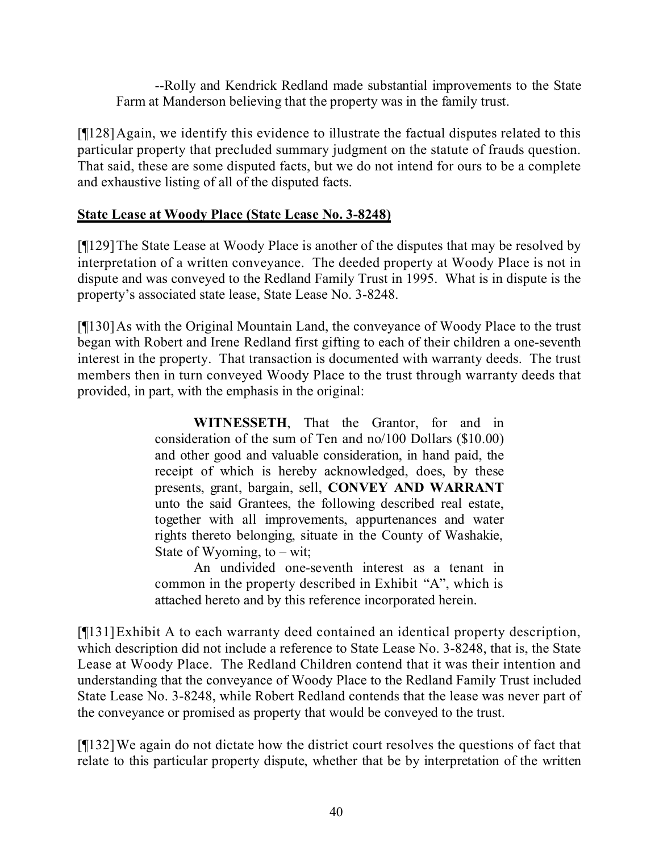--Rolly and Kendrick Redland made substantial improvements to the State Farm at Manderson believing that the property was in the family trust.

[¶128]Again, we identify this evidence to illustrate the factual disputes related to this particular property that precluded summary judgment on the statute of frauds question. That said, these are some disputed facts, but we do not intend for ours to be a complete and exhaustive listing of all of the disputed facts.

#### **State Lease at Woody Place (State Lease No. 3-8248)**

[¶129]The State Lease at Woody Place is another of the disputes that may be resolved by interpretation of a written conveyance. The deeded property at Woody Place is not in dispute and was conveyed to the Redland Family Trust in 1995. What is in dispute is the property's associated state lease, State Lease No. 3-8248.

[¶130] As with the Original Mountain Land, the conveyance of Woody Place to the trust began with Robert and Irene Redland first gifting to each of their children a one-seventh interest in the property. That transaction is documented with warranty deeds. The trust members then in turn conveyed Woody Place to the trust through warranty deeds that provided, in part, with the emphasis in the original:

> **WITNESSETH**, That the Grantor, for and in consideration of the sum of Ten and no/100 Dollars (\$10.00) and other good and valuable consideration, in hand paid, the receipt of which is hereby acknowledged, does, by these presents, grant, bargain, sell, **CONVEY AND WARRANT** unto the said Grantees, the following described real estate, together with all improvements, appurtenances and water rights thereto belonging, situate in the County of Washakie, State of Wyoming, to  $-$  wit;

> An undivided one-seventh interest as a tenant in common in the property described in Exhibit "A", which is attached hereto and by this reference incorporated herein.

[¶131]Exhibit A to each warranty deed contained an identical property description, which description did not include a reference to State Lease No. 3-8248, that is, the State Lease at Woody Place. The Redland Children contend that it was their intention and understanding that the conveyance of Woody Place to the Redland Family Trust included State Lease No. 3-8248, while Robert Redland contends that the lease was never part of the conveyance or promised as property that would be conveyed to the trust.

[¶132]We again do not dictate how the district court resolves the questions of fact that relate to this particular property dispute, whether that be by interpretation of the written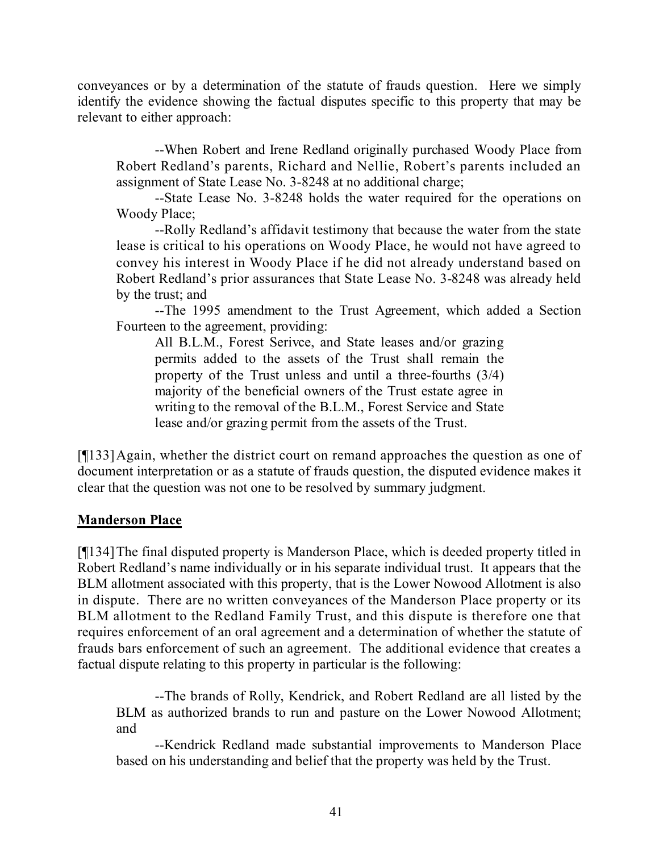conveyances or by a determination of the statute of frauds question. Here we simply identify the evidence showing the factual disputes specific to this property that may be relevant to either approach:

--When Robert and Irene Redland originally purchased Woody Place from Robert Redland's parents, Richard and Nellie, Robert's parents included an assignment of State Lease No. 3-8248 at no additional charge;

--State Lease No. 3-8248 holds the water required for the operations on Woody Place;

--Rolly Redland's affidavit testimony that because the water from the state lease is critical to his operations on Woody Place, he would not have agreed to convey his interest in Woody Place if he did not already understand based on Robert Redland's prior assurances that State Lease No. 3-8248 was already held by the trust; and

--The 1995 amendment to the Trust Agreement, which added a Section Fourteen to the agreement, providing:

All B.L.M., Forest Serivce, and State leases and/or grazing permits added to the assets of the Trust shall remain the property of the Trust unless and until a three-fourths (3/4) majority of the beneficial owners of the Trust estate agree in writing to the removal of the B.L.M., Forest Service and State lease and/or grazing permit from the assets of the Trust.

[¶133]Again, whether the district court on remand approaches the question as one of document interpretation or as a statute of frauds question, the disputed evidence makes it clear that the question was not one to be resolved by summary judgment.

#### **Manderson Place**

[¶134]The final disputed property is Manderson Place, which is deeded property titled in Robert Redland's name individually or in his separate individual trust. It appears that the BLM allotment associated with this property, that is the Lower Nowood Allotment is also in dispute. There are no written conveyances of the Manderson Place property or its BLM allotment to the Redland Family Trust, and this dispute is therefore one that requires enforcement of an oral agreement and a determination of whether the statute of frauds bars enforcement of such an agreement. The additional evidence that creates a factual dispute relating to this property in particular is the following:

--The brands of Rolly, Kendrick, and Robert Redland are all listed by the BLM as authorized brands to run and pasture on the Lower Nowood Allotment; and

--Kendrick Redland made substantial improvements to Manderson Place based on his understanding and belief that the property was held by the Trust.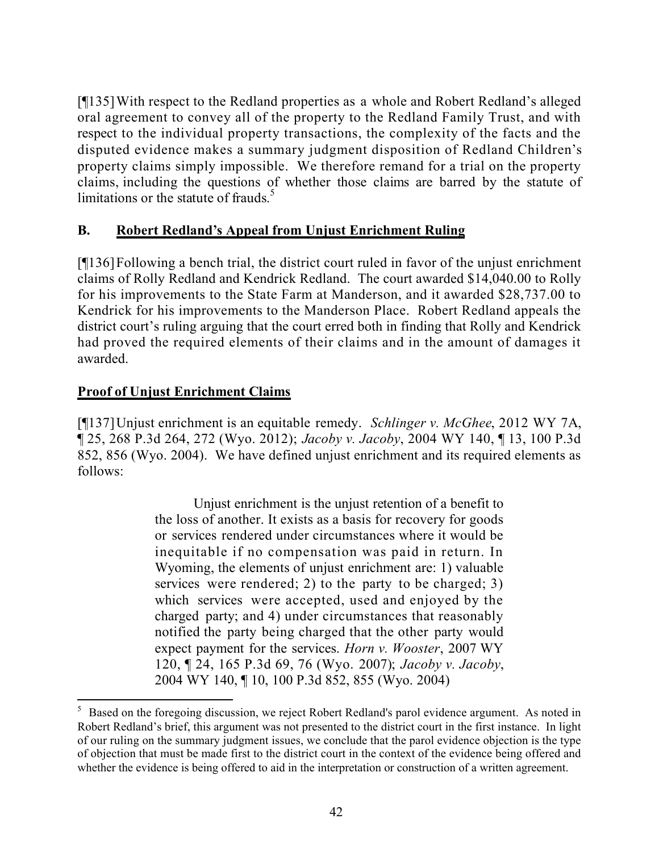[¶135]With respect to the Redland properties as a whole and Robert Redland's alleged oral agreement to convey all of the property to the Redland Family Trust, and with respect to the individual property transactions, the complexity of the facts and the disputed evidence makes a summary judgment disposition of Redland Children's property claims simply impossible. We therefore remand for a trial on the property claims, including the questions of whether those claims are barred by the statute of limitations or the statute of frauds.<sup>5</sup>

#### **B. Robert Redland's Appeal from Unjust Enrichment Ruling**

[¶136]Following a bench trial, the district court ruled in favor of the unjust enrichment claims of Rolly Redland and Kendrick Redland. The court awarded \$14,040.00 to Rolly for his improvements to the State Farm at Manderson, and it awarded \$28,737.00 to Kendrick for his improvements to the Manderson Place. Robert Redland appeals the district court's ruling arguing that the court erred both in finding that Rolly and Kendrick had proved the required elements of their claims and in the amount of damages it awarded.

#### **Proof of Unjust Enrichment Claims**

 $\overline{a}$ 

[¶137]Unjust enrichment is an equitable remedy. *Schlinger v. McGhee*, 2012 WY 7A, ¶ 25, 268 P.3d 264, 272 (Wyo. 2012); *Jacoby v. Jacoby*, 2004 WY 140, ¶ 13, 100 P.3d 852, 856 (Wyo. 2004). We have defined unjust enrichment and its required elements as follows:

> Unjust enrichment is the unjust retention of a benefit to the loss of another. It exists as a basis for recovery for goods or services rendered under circumstances where it would be inequitable if no compensation was paid in return. In Wyoming, the elements of unjust enrichment are: 1) valuable services were rendered; 2) to the party to be charged; 3) which services were accepted, used and enjoyed by the charged party; and 4) under circumstances that reasonably notified the party being charged that the other party would expect payment for the services. *Horn v. Wooster*, 2007 WY 120, ¶ 24, 165 P.3d 69, 76 (Wyo. 2007); *Jacoby v. Jacoby*, 2004 WY 140, ¶ 10, 100 P.3d 852, 855 (Wyo. 2004)

<sup>&</sup>lt;sup>5</sup> Based on the foregoing discussion, we reject Robert Redland's parol evidence argument. As noted in Robert Redland's brief, this argument was not presented to the district court in the first instance. In light of our ruling on the summary judgment issues, we conclude that the parol evidence objection is the type of objection that must be made first to the district court in the context of the evidence being offered and whether the evidence is being offered to aid in the interpretation or construction of a written agreement.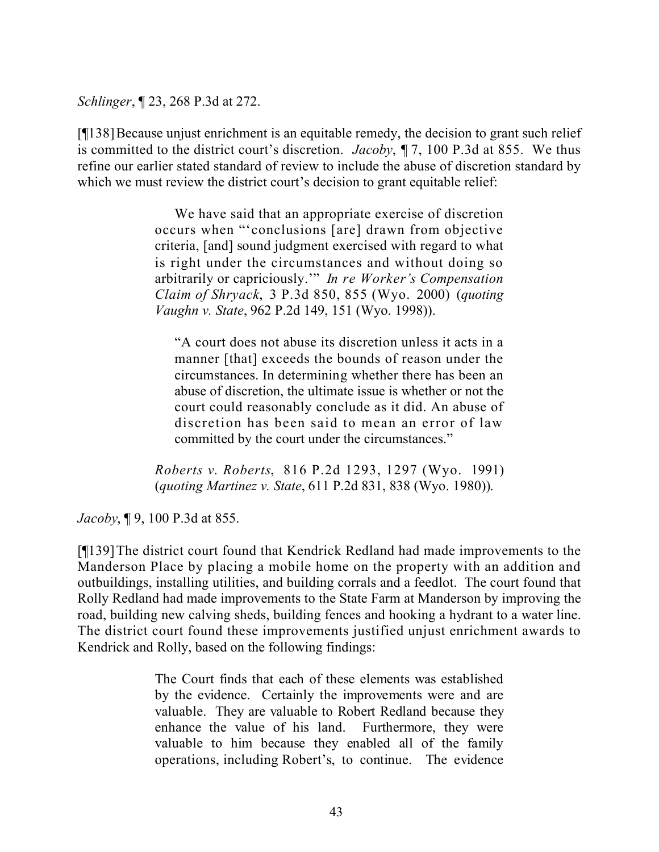*Schlinger*, ¶ 23, 268 P.3d at 272.

[¶138]Because unjust enrichment is an equitable remedy, the decision to grant such relief is committed to the district court's discretion. *Jacoby*, ¶ 7, 100 P.3d at 855. We thus refine our earlier stated standard of review to include the abuse of discretion standard by which we must review the district court's decision to grant equitable relief:

> We have said that an appropriate exercise of discretion occurs when "'conclusions [are] drawn from objective criteria, [and] sound judgment exercised with regard to what is right under the circumstances and without doing so arbitrarily or capriciously.'" *In re Worker's Compensation Claim of Shryack*, 3 P.3d 850, 855 (Wyo. 2000) (*quoting Vaughn v. State*, 962 P.2d 149, 151 (Wyo. 1998)).

"A court does not abuse its discretion unless it acts in a manner [that] exceeds the bounds of reason under the circumstances. In determining whether there has been an abuse of discretion, the ultimate issue is whether or not the court could reasonably conclude as it did. An abuse of discretion has been said to mean an error of law committed by the court under the circumstances."

*Roberts v. Roberts*, 816 P.2d 1293, 1297 (Wyo. 1991) (*quoting Martinez v. State*, 611 P.2d 831, 838 (Wyo. 1980)).

*Jacoby*, ¶ 9, 100 P.3d at 855.

[¶139]The district court found that Kendrick Redland had made improvements to the Manderson Place by placing a mobile home on the property with an addition and outbuildings, installing utilities, and building corrals and a feedlot. The court found that Rolly Redland had made improvements to the State Farm at Manderson by improving the road, building new calving sheds, building fences and hooking a hydrant to a water line. The district court found these improvements justified unjust enrichment awards to Kendrick and Rolly, based on the following findings:

> The Court finds that each of these elements was established by the evidence. Certainly the improvements were and are valuable. They are valuable to Robert Redland because they enhance the value of his land. Furthermore, they were valuable to him because they enabled all of the family operations, including Robert's, to continue. The evidence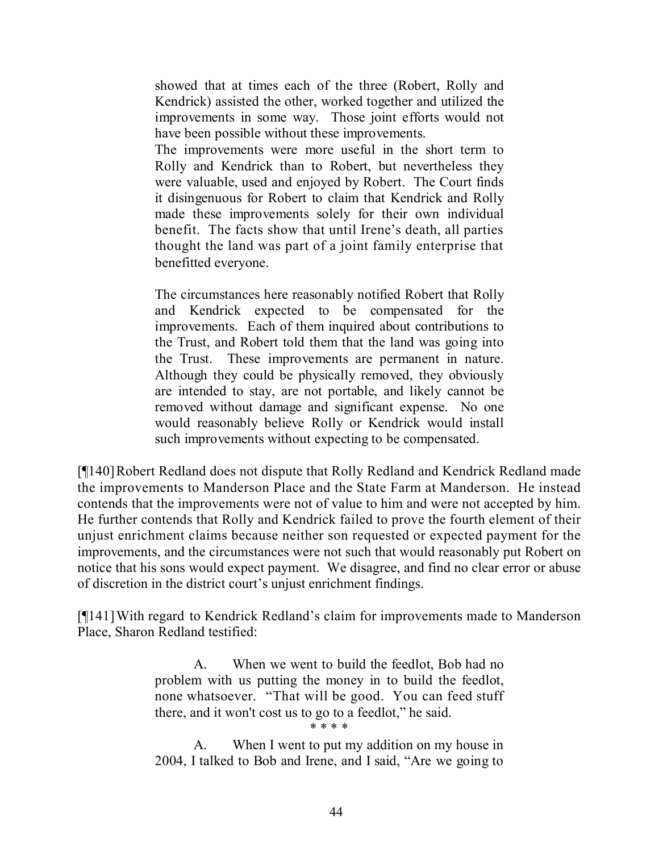showed that at times each of the three (Robert, Rolly and Kendrick) assisted the other, worked together and utilized the improvements in some way. Those joint efforts would not have been possible without these improvements.

The improvements were more useful in the short term to Rolly and Kendrick than to Robert, but nevertheless they were valuable, used and enjoyed by Robert. The Court finds it disingenuous for Robert to claim that Kendrick and Rolly made these improvements solely for their own individual benefit. The facts show that until Irene's death, all parties thought the land was part of a joint family enterprise that benefitted everyone.

The circumstances here reasonably notified Robert that Rolly and Kendrick expected to be compensated for the improvements. Each of them inquired about contributions to the Trust, and Robert told them that the land was going into the Trust. These improvements are permanent in nature. Although they could be physically removed, they obviously are intended to stay, are not portable, and likely cannot be removed without damage and significant expense. No one would reasonably believe Rolly or Kendrick would install such improvements without expecting to be compensated.

[¶140]Robert Redland does not dispute that Rolly Redland and Kendrick Redland made the improvements to Manderson Place and the State Farm at Manderson. He instead contends that the improvements were not of value to him and were not accepted by him. He further contends that Rolly and Kendrick failed to prove the fourth element of their unjust enrichment claims because neither son requested or expected payment for the improvements, and the circumstances were not such that would reasonably put Robert on notice that his sons would expect payment. We disagree, and find no clear error or abuse of discretion in the district court's unjust enrichment findings.

[¶141]With regard to Kendrick Redland's claim for improvements made to Manderson Place, Sharon Redland testified:

> A. When we went to build the feedlot, Bob had no problem with us putting the money in to build the feedlot, none whatsoever. "That will be good. You can feed stuff there, and it won't cost us to go to a feedlot," he said. \* \* \* \*

> A. When I went to put my addition on my house in 2004, I talked to Bob and Irene, and I said, "Are we going to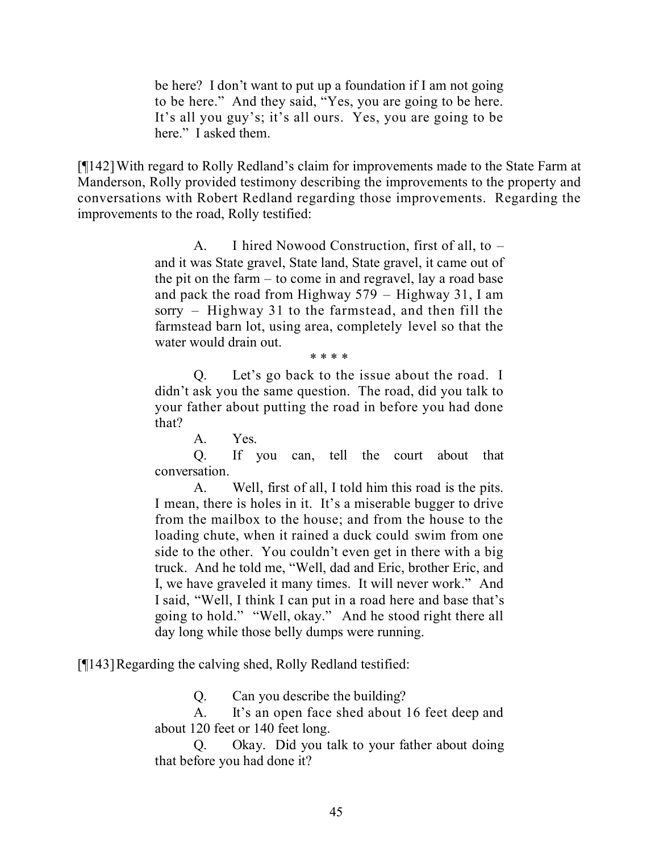be here? I don't want to put up a foundation if I am not going to be here." And they said, "Yes, you are going to be here. It's all you guy's; it's all ours. Yes, you are going to be here." I asked them.

[¶142]With regard to Rolly Redland's claim for improvements made to the State Farm at Manderson, Rolly provided testimony describing the improvements to the property and conversations with Robert Redland regarding those improvements. Regarding the improvements to the road, Rolly testified:

> A. I hired Nowood Construction, first of all, to – and it was State gravel, State land, State gravel, it came out of the pit on the farm – to come in and regravel, lay a road base and pack the road from Highway 579 – Highway 31, I am sorry – Highway 31 to the farmstead, and then fill the farmstead barn lot, using area, completely level so that the water would drain out.

> > \* \* \* \*

Q. Let's go back to the issue about the road. I didn't ask you the same question. The road, did you talk to your father about putting the road in before you had done that?

A. Yes.

Q. If you can, tell the court about that conversation.

A. Well, first of all, I told him this road is the pits. I mean, there is holes in it. It's a miserable bugger to drive from the mailbox to the house; and from the house to the loading chute, when it rained a duck could swim from one side to the other. You couldn't even get in there with a big truck. And he told me, "Well, dad and Eric, brother Eric, and I, we have graveled it many times. It will never work." And I said, "Well, I think I can put in a road here and base that's going to hold." "Well, okay." And he stood right there all day long while those belly dumps were running.

[¶143]Regarding the calving shed, Rolly Redland testified:

Q. Can you describe the building?

A. It's an open face shed about 16 feet deep and about 120 feet or 140 feet long.

Q. Okay. Did you talk to your father about doing that before you had done it?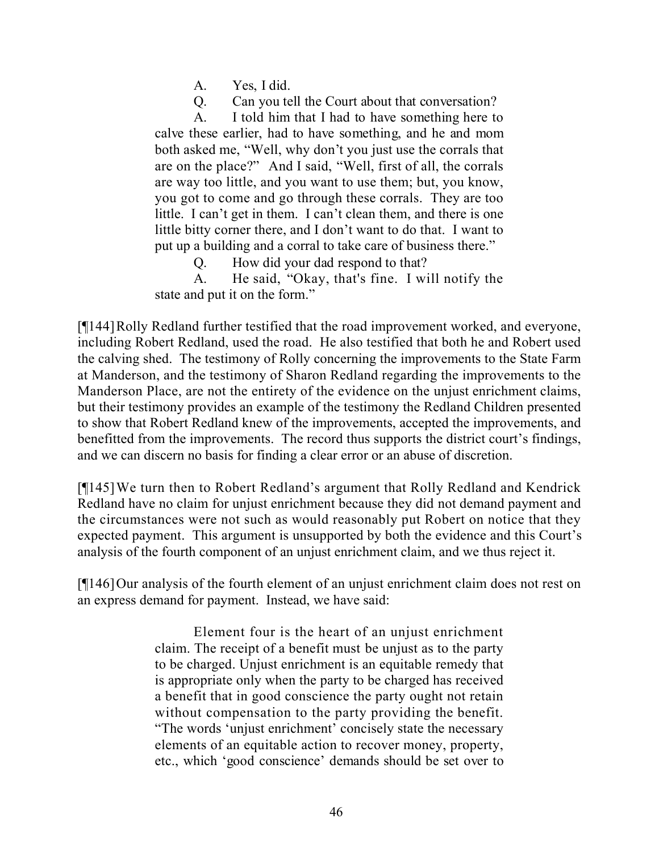A. Yes, I did.

Q. Can you tell the Court about that conversation?

A. I told him that I had to have something here to calve these earlier, had to have something, and he and mom both asked me, "Well, why don't you just use the corrals that are on the place?" And I said, "Well, first of all, the corrals are way too little, and you want to use them; but, you know, you got to come and go through these corrals. They are too little. I can't get in them. I can't clean them, and there is one little bitty corner there, and I don't want to do that. I want to put up a building and a corral to take care of business there."

Q. How did your dad respond to that?

A. He said, "Okay, that's fine. I will notify the state and put it on the form."

[¶144]Rolly Redland further testified that the road improvement worked, and everyone, including Robert Redland, used the road. He also testified that both he and Robert used the calving shed. The testimony of Rolly concerning the improvements to the State Farm at Manderson, and the testimony of Sharon Redland regarding the improvements to the Manderson Place, are not the entirety of the evidence on the unjust enrichment claims, but their testimony provides an example of the testimony the Redland Children presented to show that Robert Redland knew of the improvements, accepted the improvements, and benefitted from the improvements. The record thus supports the district court's findings, and we can discern no basis for finding a clear error or an abuse of discretion.

[¶145]We turn then to Robert Redland's argument that Rolly Redland and Kendrick Redland have no claim for unjust enrichment because they did not demand payment and the circumstances were not such as would reasonably put Robert on notice that they expected payment. This argument is unsupported by both the evidence and this Court's analysis of the fourth component of an unjust enrichment claim, and we thus reject it.

[¶146]Our analysis of the fourth element of an unjust enrichment claim does not rest on an express demand for payment. Instead, we have said:

> Element four is the heart of an unjust enrichment claim. The receipt of a benefit must be unjust as to the party to be charged. Unjust enrichment is an equitable remedy that is appropriate only when the party to be charged has received a benefit that in good conscience the party ought not retain without compensation to the party providing the benefit. "The words 'unjust enrichment' concisely state the necessary elements of an equitable action to recover money, property, etc., which 'good conscience' demands should be set over to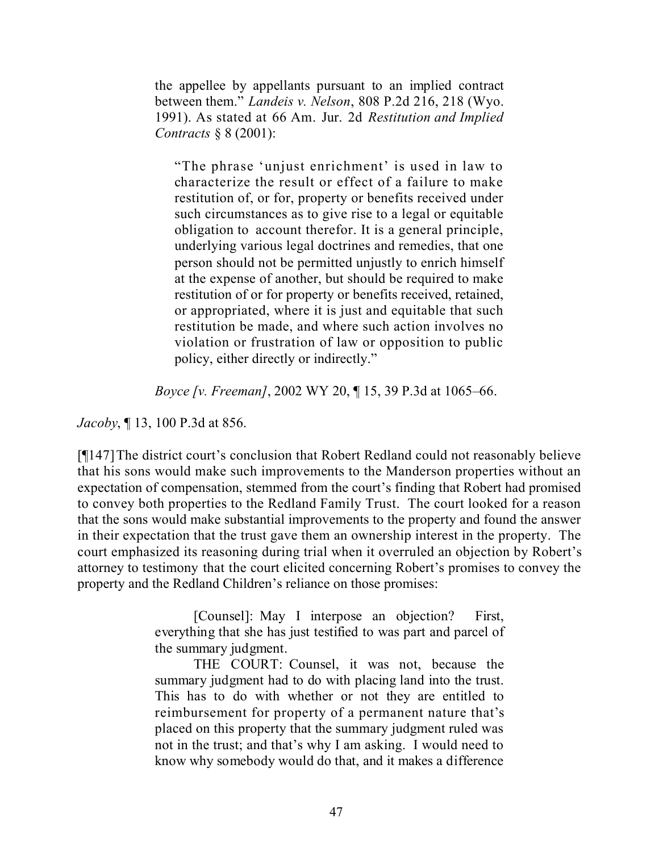the appellee by appellants pursuant to an implied contract between them." *Landeis v. Nelson*, 808 P.2d 216, 218 (Wyo. 1991). As stated at 66 Am. Jur. 2d *Restitution and Implied Contracts* § 8 (2001):

"The phrase 'unjust enrichment' is used in law to characterize the result or effect of a failure to make restitution of, or for, property or benefits received under such circumstances as to give rise to a legal or equitable obligation to account therefor. It is a general principle, underlying various legal doctrines and remedies, that one person should not be permitted unjustly to enrich himself at the expense of another, but should be required to make restitution of or for property or benefits received, retained, or appropriated, where it is just and equitable that such restitution be made, and where such action involves no violation or frustration of law or opposition to public policy, either directly or indirectly."

*Boyce [v. Freeman]*, 2002 WY 20, ¶ 15, 39 P.3d at 1065–66.

*Jacoby*, ¶ 13, 100 P.3d at 856.

[¶147]The district court's conclusion that Robert Redland could not reasonably believe that his sons would make such improvements to the Manderson properties without an expectation of compensation, stemmed from the court's finding that Robert had promised to convey both properties to the Redland Family Trust. The court looked for a reason that the sons would make substantial improvements to the property and found the answer in their expectation that the trust gave them an ownership interest in the property. The court emphasized its reasoning during trial when it overruled an objection by Robert's attorney to testimony that the court elicited concerning Robert's promises to convey the property and the Redland Children's reliance on those promises:

> [Counsel]: May I interpose an objection? First, everything that she has just testified to was part and parcel of the summary judgment.

> THE COURT: Counsel, it was not, because the summary judgment had to do with placing land into the trust. This has to do with whether or not they are entitled to reimbursement for property of a permanent nature that's placed on this property that the summary judgment ruled was not in the trust; and that's why I am asking. I would need to know why somebody would do that, and it makes a difference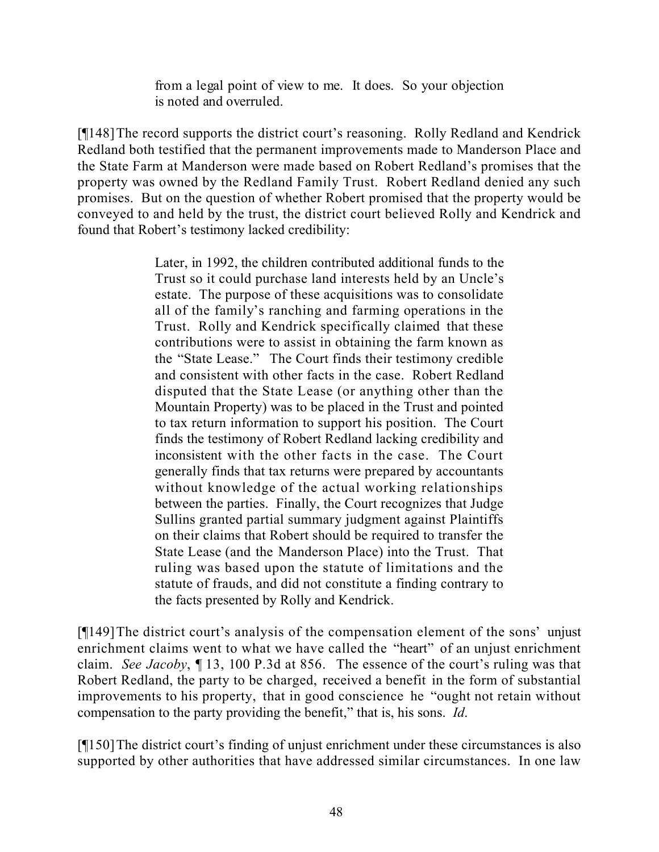from a legal point of view to me. It does. So your objection is noted and overruled.

[¶148]The record supports the district court's reasoning. Rolly Redland and Kendrick Redland both testified that the permanent improvements made to Manderson Place and the State Farm at Manderson were made based on Robert Redland's promises that the property was owned by the Redland Family Trust. Robert Redland denied any such promises. But on the question of whether Robert promised that the property would be conveyed to and held by the trust, the district court believed Rolly and Kendrick and found that Robert's testimony lacked credibility:

> Later, in 1992, the children contributed additional funds to the Trust so it could purchase land interests held by an Uncle's estate. The purpose of these acquisitions was to consolidate all of the family's ranching and farming operations in the Trust. Rolly and Kendrick specifically claimed that these contributions were to assist in obtaining the farm known as the "State Lease." The Court finds their testimony credible and consistent with other facts in the case. Robert Redland disputed that the State Lease (or anything other than the Mountain Property) was to be placed in the Trust and pointed to tax return information to support his position. The Court finds the testimony of Robert Redland lacking credibility and inconsistent with the other facts in the case. The Court generally finds that tax returns were prepared by accountants without knowledge of the actual working relationships between the parties. Finally, the Court recognizes that Judge Sullins granted partial summary judgment against Plaintiffs on their claims that Robert should be required to transfer the State Lease (and the Manderson Place) into the Trust. That ruling was based upon the statute of limitations and the statute of frauds, and did not constitute a finding contrary to the facts presented by Rolly and Kendrick.

[¶149]The district court's analysis of the compensation element of the sons' unjust enrichment claims went to what we have called the "heart" of an unjust enrichment claim. *See Jacoby*, ¶ 13, 100 P.3d at 856. The essence of the court's ruling was that Robert Redland, the party to be charged, received a benefit in the form of substantial improvements to his property, that in good conscience he "ought not retain without compensation to the party providing the benefit," that is, his sons. *Id*.

[¶150]The district court's finding of unjust enrichment under these circumstances is also supported by other authorities that have addressed similar circumstances. In one law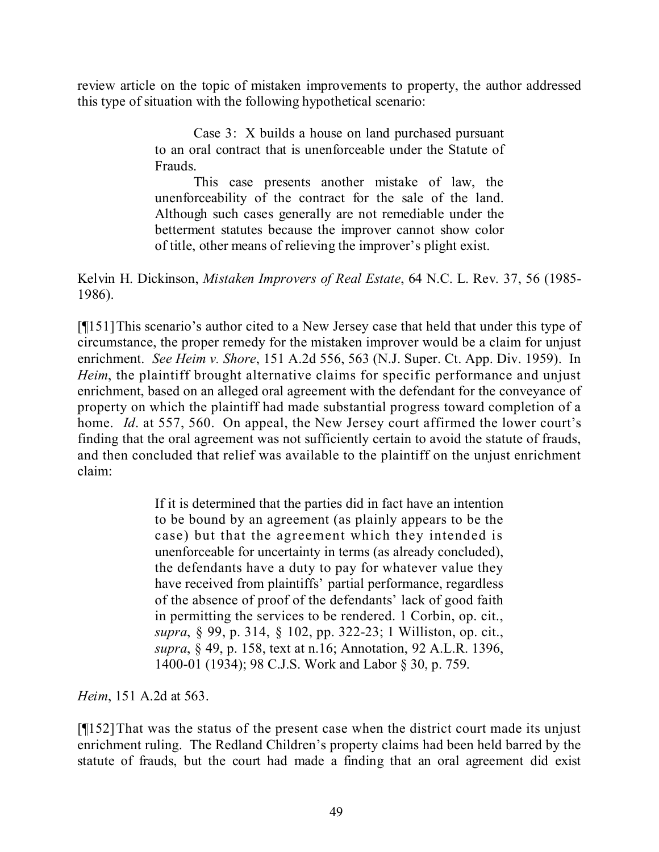review article on the topic of mistaken improvements to property, the author addressed this type of situation with the following hypothetical scenario:

> Case 3: X builds a house on land purchased pursuant to an oral contract that is unenforceable under the Statute of Frauds.

> This case presents another mistake of law, the unenforceability of the contract for the sale of the land. Although such cases generally are not remediable under the betterment statutes because the improver cannot show color of title, other means of relieving the improver's plight exist.

Kelvin H. Dickinson, *Mistaken Improvers of Real Estate*, 64 N.C. L. Rev. 37, 56 (1985- 1986).

[¶151]This scenario's author cited to a New Jersey case that held that under this type of circumstance, the proper remedy for the mistaken improver would be a claim for unjust enrichment. *See Heim v. Shore*, 151 A.2d 556, 563 (N.J. Super. Ct. App. Div. 1959). In *Heim*, the plaintiff brought alternative claims for specific performance and unjust enrichment, based on an alleged oral agreement with the defendant for the conveyance of property on which the plaintiff had made substantial progress toward completion of a home. *Id*. at 557, 560. On appeal, the New Jersey court affirmed the lower court's finding that the oral agreement was not sufficiently certain to avoid the statute of frauds, and then concluded that relief was available to the plaintiff on the unjust enrichment claim:

> If it is determined that the parties did in fact have an intention to be bound by an agreement (as plainly appears to be the case) but that the agreement which they intended is unenforceable for uncertainty in terms (as already concluded), the defendants have a duty to pay for whatever value they have received from plaintiffs' partial performance, regardless of the absence of proof of the defendants' lack of good faith in permitting the services to be rendered. 1 Corbin, op. cit., *supra*, § 99, p. 314, § 102, pp. 322-23; 1 Williston, op. cit., *supra*, § 49, p. 158, text at n.16; Annotation, 92 A.L.R. 1396, 1400-01 (1934); 98 C.J.S. Work and Labor § 30, p. 759.

*Heim*, 151 A.2d at 563.

[¶152]That was the status of the present case when the district court made its unjust enrichment ruling. The Redland Children's property claims had been held barred by the statute of frauds, but the court had made a finding that an oral agreement did exist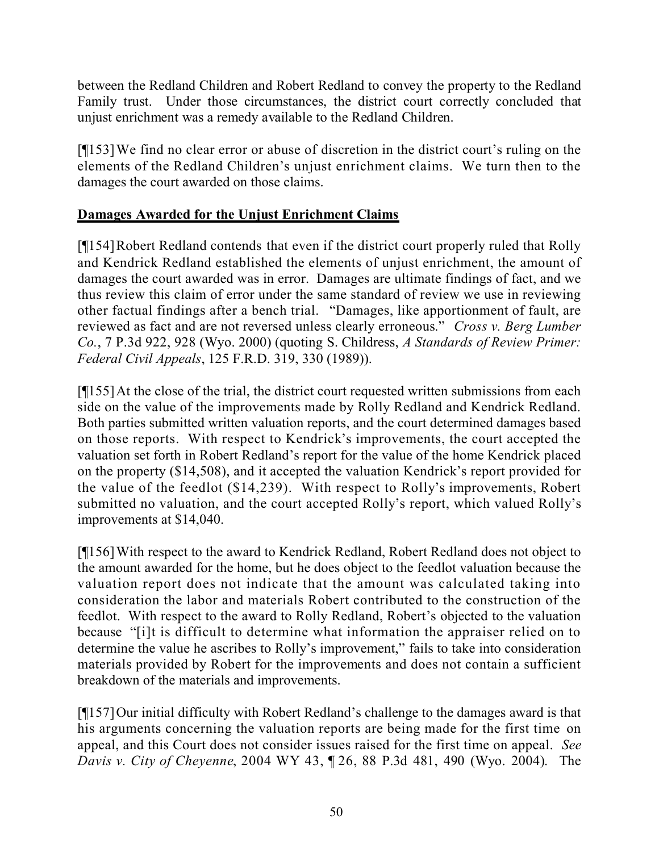between the Redland Children and Robert Redland to convey the property to the Redland Family trust. Under those circumstances, the district court correctly concluded that unjust enrichment was a remedy available to the Redland Children.

[¶153]We find no clear error or abuse of discretion in the district court's ruling on the elements of the Redland Children's unjust enrichment claims. We turn then to the damages the court awarded on those claims.

### **Damages Awarded for the Unjust Enrichment Claims**

[¶154]Robert Redland contends that even if the district court properly ruled that Rolly and Kendrick Redland established the elements of unjust enrichment, the amount of damages the court awarded was in error. Damages are ultimate findings of fact, and we thus review this claim of error under the same standard of review we use in reviewing other factual findings after a bench trial. "Damages, like apportionment of fault, are reviewed as fact and are not reversed unless clearly erroneous." *Cross v. Berg Lumber Co.*, 7 P.3d 922, 928 (Wyo. 2000) (quoting S. Childress, *A Standards of Review Primer: Federal Civil Appeals*, 125 F.R.D. 319, 330 (1989)).

[¶155]At the close of the trial, the district court requested written submissions from each side on the value of the improvements made by Rolly Redland and Kendrick Redland. Both parties submitted written valuation reports, and the court determined damages based on those reports. With respect to Kendrick's improvements, the court accepted the valuation set forth in Robert Redland's report for the value of the home Kendrick placed on the property (\$14,508), and it accepted the valuation Kendrick's report provided for the value of the feedlot (\$14,239). With respect to Rolly's improvements, Robert submitted no valuation, and the court accepted Rolly's report, which valued Rolly's improvements at \$14,040.

[¶156]With respect to the award to Kendrick Redland, Robert Redland does not object to the amount awarded for the home, but he does object to the feedlot valuation because the valuation report does not indicate that the amount was calculated taking into consideration the labor and materials Robert contributed to the construction of the feedlot. With respect to the award to Rolly Redland, Robert's objected to the valuation because "[i]t is difficult to determine what information the appraiser relied on to determine the value he ascribes to Rolly's improvement," fails to take into consideration materials provided by Robert for the improvements and does not contain a sufficient breakdown of the materials and improvements.

[¶157]Our initial difficulty with Robert Redland's challenge to the damages award is that his arguments concerning the valuation reports are being made for the first time on appeal, and this Court does not consider issues raised for the first time on appeal. *See Davis v. City of Cheyenne*, 2004 WY 43, ¶ 26, 88 P.3d 481, 490 (Wyo. 2004). The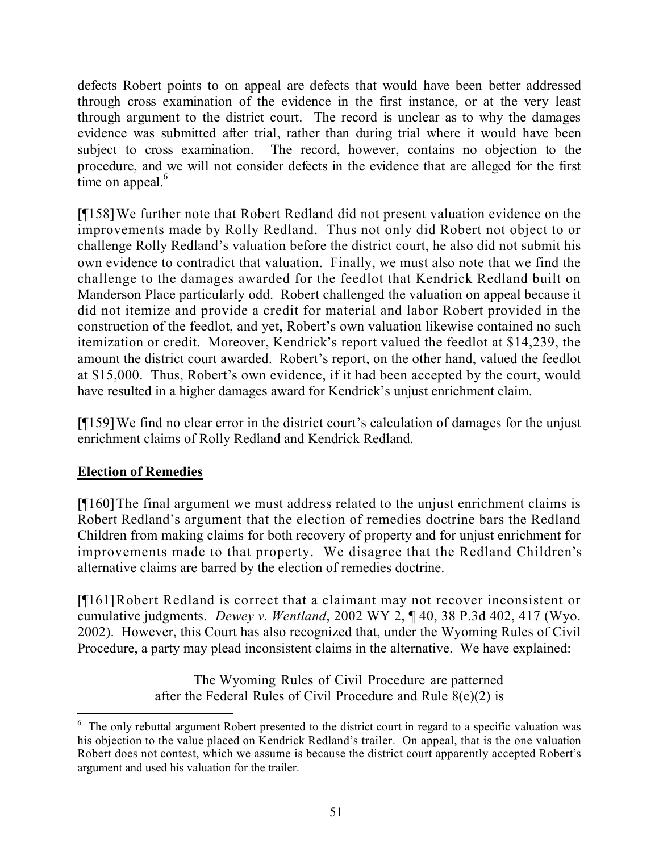defects Robert points to on appeal are defects that would have been better addressed through cross examination of the evidence in the first instance, or at the very least through argument to the district court. The record is unclear as to why the damages evidence was submitted after trial, rather than during trial where it would have been subject to cross examination. The record, however, contains no objection to the procedure, and we will not consider defects in the evidence that are alleged for the first time on appeal.<sup>6</sup>

[¶158]We further note that Robert Redland did not present valuation evidence on the improvements made by Rolly Redland. Thus not only did Robert not object to or challenge Rolly Redland's valuation before the district court, he also did not submit his own evidence to contradict that valuation. Finally, we must also note that we find the challenge to the damages awarded for the feedlot that Kendrick Redland built on Manderson Place particularly odd. Robert challenged the valuation on appeal because it did not itemize and provide a credit for material and labor Robert provided in the construction of the feedlot, and yet, Robert's own valuation likewise contained no such itemization or credit. Moreover, Kendrick's report valued the feedlot at \$14,239, the amount the district court awarded. Robert's report, on the other hand, valued the feedlot at \$15,000. Thus, Robert's own evidence, if it had been accepted by the court, would have resulted in a higher damages award for Kendrick's unjust enrichment claim.

[¶159]We find no clear error in the district court's calculation of damages for the unjust enrichment claims of Rolly Redland and Kendrick Redland.

### **Election of Remedies**

[¶160]The final argument we must address related to the unjust enrichment claims is Robert Redland's argument that the election of remedies doctrine bars the Redland Children from making claims for both recovery of property and for unjust enrichment for improvements made to that property. We disagree that the Redland Children's alternative claims are barred by the election of remedies doctrine.

[¶161]Robert Redland is correct that a claimant may not recover inconsistent or cumulative judgments. *Dewey v. Wentland*, 2002 WY 2, ¶ 40, 38 P.3d 402, 417 (Wyo. 2002). However, this Court has also recognized that, under the Wyoming Rules of Civil Procedure, a party may plead inconsistent claims in the alternative. We have explained:

> The Wyoming Rules of Civil Procedure are patterned after the Federal Rules of Civil Procedure and Rule 8(e)(2) is

> > $\overline{a}$

 $6\,$  The only rebuttal argument Robert presented to the district court in regard to a specific valuation was his objection to the value placed on Kendrick Redland's trailer. On appeal, that is the one valuation Robert does not contest, which we assume is because the district court apparently accepted Robert's argument and used his valuation for the trailer.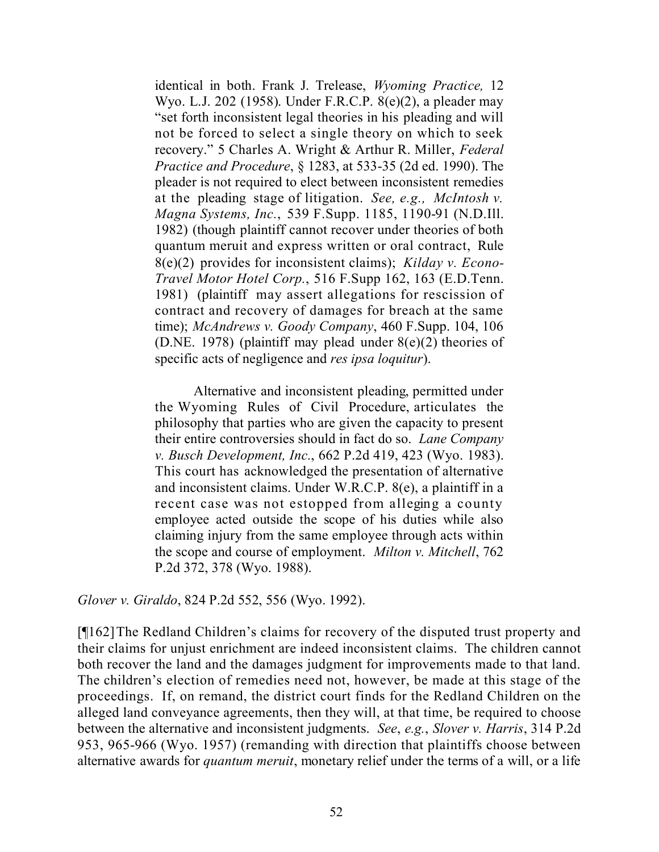identical in both. Frank J. Trelease, *Wyoming Practice,* 12 Wyo. L.J. 202 (1958). Under F.R.C.P. 8(e)(2), a pleader may "set forth inconsistent legal theories in his pleading and will not be forced to select a single theory on which to seek recovery." 5 Charles A. Wright & Arthur R. Miller, *Federal Practice and Procedure*, § 1283, at 533-35 (2d ed. 1990). The pleader is not required to elect between inconsistent remedies at the pleading stage of litigation. *See, e.g., McIntosh v. Magna Systems, Inc.*, 539 F.Supp. 1185, 1190-91 (N.D.Ill. 1982) (though plaintiff cannot recover under theories of both quantum meruit and express written or oral contract, Rule 8(e)(2) provides for inconsistent claims); *Kilday v. Econo-Travel Motor Hotel Corp.*, 516 F.Supp 162, 163 (E.D.Tenn. 1981) (plaintiff may assert allegations for rescission of contract and recovery of damages for breach at the same time); *McAndrews v. Goody Company*, 460 F.Supp. 104, 106 (D.NE. 1978) (plaintiff may plead under  $8(e)(2)$  theories of specific acts of negligence and *res ipsa loquitur*).

Alternative and inconsistent pleading, permitted under the Wyoming Rules of Civil Procedure, articulates the philosophy that parties who are given the capacity to present their entire controversies should in fact do so. *Lane Company v. Busch Development, Inc.*, 662 P.2d 419, 423 (Wyo. 1983). This court has acknowledged the presentation of alternative and inconsistent claims. Under W.R.C.P. 8(e), a plaintiff in a recent case was not estopped from alleging a county employee acted outside the scope of his duties while also claiming injury from the same employee through acts within the scope and course of employment. *Milton v. Mitchell*, 762 P.2d 372, 378 (Wyo. 1988).

*Glover v. Giraldo*, 824 P.2d 552, 556 (Wyo. 1992).

[¶162]The Redland Children's claims for recovery of the disputed trust property and their claims for unjust enrichment are indeed inconsistent claims. The children cannot both recover the land and the damages judgment for improvements made to that land. The children's election of remedies need not, however, be made at this stage of the proceedings. If, on remand, the district court finds for the Redland Children on the alleged land conveyance agreements, then they will, at that time, be required to choose between the alternative and inconsistent judgments. *See*, *e.g.*, *Slover v. Harris*, 314 P.2d 953, 965-966 (Wyo. 1957) (remanding with direction that plaintiffs choose between alternative awards for *quantum meruit*, monetary relief under the terms of a will, or a life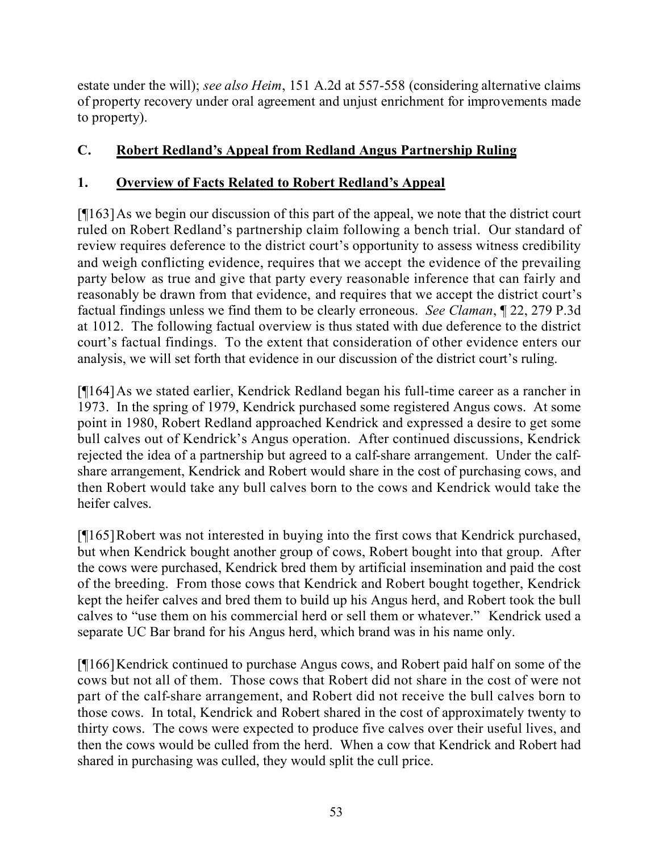estate under the will); *see also Heim*, 151 A.2d at 557-558 (considering alternative claims of property recovery under oral agreement and unjust enrichment for improvements made to property).

## **C. Robert Redland's Appeal from Redland Angus Partnership Ruling**

## **1. Overview of Facts Related to Robert Redland's Appeal**

[¶163]As we begin our discussion of this part of the appeal, we note that the district court ruled on Robert Redland's partnership claim following a bench trial. Our standard of review requires deference to the district court's opportunity to assess witness credibility and weigh conflicting evidence, requires that we accept the evidence of the prevailing party below as true and give that party every reasonable inference that can fairly and reasonably be drawn from that evidence, and requires that we accept the district court's factual findings unless we find them to be clearly erroneous. *See Claman*, ¶ 22, 279 P.3d at 1012. The following factual overview is thus stated with due deference to the district court's factual findings. To the extent that consideration of other evidence enters our analysis, we will set forth that evidence in our discussion of the district court's ruling.

[¶164]As we stated earlier, Kendrick Redland began his full-time career as a rancher in 1973. In the spring of 1979, Kendrick purchased some registered Angus cows. At some point in 1980, Robert Redland approached Kendrick and expressed a desire to get some bull calves out of Kendrick's Angus operation. After continued discussions, Kendrick rejected the idea of a partnership but agreed to a calf-share arrangement. Under the calfshare arrangement, Kendrick and Robert would share in the cost of purchasing cows, and then Robert would take any bull calves born to the cows and Kendrick would take the heifer calves.

[¶165]Robert was not interested in buying into the first cows that Kendrick purchased, but when Kendrick bought another group of cows, Robert bought into that group. After the cows were purchased, Kendrick bred them by artificial insemination and paid the cost of the breeding. From those cows that Kendrick and Robert bought together, Kendrick kept the heifer calves and bred them to build up his Angus herd, and Robert took the bull calves to "use them on his commercial herd or sell them or whatever." Kendrick used a separate UC Bar brand for his Angus herd, which brand was in his name only.

[¶166]Kendrick continued to purchase Angus cows, and Robert paid half on some of the cows but not all of them. Those cows that Robert did not share in the cost of were not part of the calf-share arrangement, and Robert did not receive the bull calves born to those cows. In total, Kendrick and Robert shared in the cost of approximately twenty to thirty cows. The cows were expected to produce five calves over their useful lives, and then the cows would be culled from the herd. When a cow that Kendrick and Robert had shared in purchasing was culled, they would split the cull price.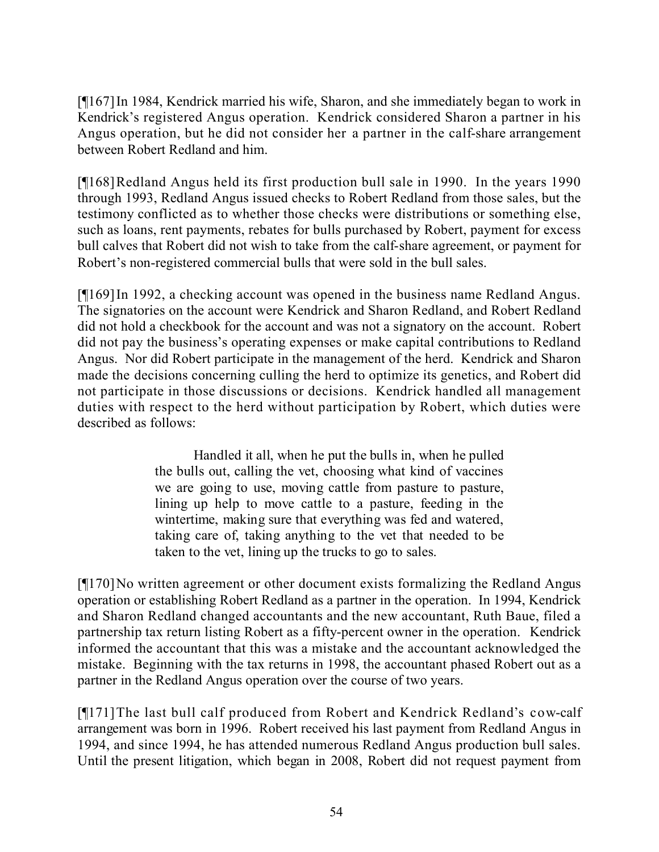[¶167]In 1984, Kendrick married his wife, Sharon, and she immediately began to work in Kendrick's registered Angus operation. Kendrick considered Sharon a partner in his Angus operation, but he did not consider her a partner in the calf-share arrangement between Robert Redland and him.

[¶168]Redland Angus held its first production bull sale in 1990. In the years 1990 through 1993, Redland Angus issued checks to Robert Redland from those sales, but the testimony conflicted as to whether those checks were distributions or something else, such as loans, rent payments, rebates for bulls purchased by Robert, payment for excess bull calves that Robert did not wish to take from the calf-share agreement, or payment for Robert's non-registered commercial bulls that were sold in the bull sales.

[¶169]In 1992, a checking account was opened in the business name Redland Angus. The signatories on the account were Kendrick and Sharon Redland, and Robert Redland did not hold a checkbook for the account and was not a signatory on the account. Robert did not pay the business's operating expenses or make capital contributions to Redland Angus. Nor did Robert participate in the management of the herd. Kendrick and Sharon made the decisions concerning culling the herd to optimize its genetics, and Robert did not participate in those discussions or decisions. Kendrick handled all management duties with respect to the herd without participation by Robert, which duties were described as follows:

> Handled it all, when he put the bulls in, when he pulled the bulls out, calling the vet, choosing what kind of vaccines we are going to use, moving cattle from pasture to pasture, lining up help to move cattle to a pasture, feeding in the wintertime, making sure that everything was fed and watered, taking care of, taking anything to the vet that needed to be taken to the vet, lining up the trucks to go to sales.

[¶170]No written agreement or other document exists formalizing the Redland Angus operation or establishing Robert Redland as a partner in the operation. In 1994, Kendrick and Sharon Redland changed accountants and the new accountant, Ruth Baue, filed a partnership tax return listing Robert as a fifty-percent owner in the operation. Kendrick informed the accountant that this was a mistake and the accountant acknowledged the mistake. Beginning with the tax returns in 1998, the accountant phased Robert out as a partner in the Redland Angus operation over the course of two years.

[¶171]The last bull calf produced from Robert and Kendrick Redland's cow-calf arrangement was born in 1996. Robert received his last payment from Redland Angus in 1994, and since 1994, he has attended numerous Redland Angus production bull sales. Until the present litigation, which began in 2008, Robert did not request payment from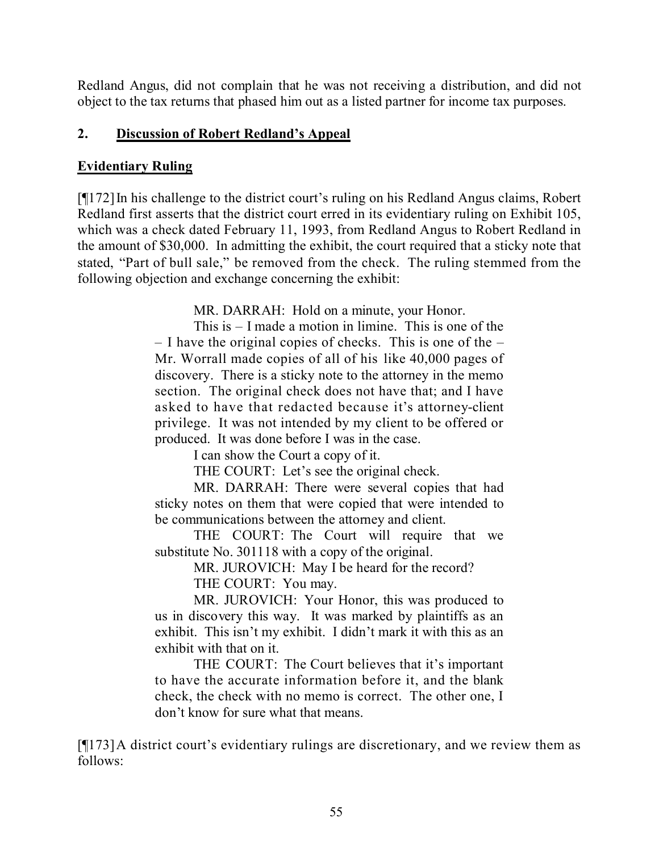Redland Angus, did not complain that he was not receiving a distribution, and did not object to the tax returns that phased him out as a listed partner for income tax purposes.

#### **2. Discussion of Robert Redland's Appeal**

#### **Evidentiary Ruling**

[¶172]In his challenge to the district court's ruling on his Redland Angus claims, Robert Redland first asserts that the district court erred in its evidentiary ruling on Exhibit 105, which was a check dated February 11, 1993, from Redland Angus to Robert Redland in the amount of \$30,000. In admitting the exhibit, the court required that a sticky note that stated, "Part of bull sale," be removed from the check. The ruling stemmed from the following objection and exchange concerning the exhibit:

MR. DARRAH: Hold on a minute, your Honor.

This is – I made a motion in limine. This is one of the – I have the original copies of checks. This is one of the – Mr. Worrall made copies of all of his like 40,000 pages of discovery. There is a sticky note to the attorney in the memo section. The original check does not have that; and I have asked to have that redacted because it's attorney-client privilege. It was not intended by my client to be offered or produced. It was done before I was in the case.

I can show the Court a copy of it.

THE COURT: Let's see the original check.

MR. DARRAH: There were several copies that had sticky notes on them that were copied that were intended to be communications between the attorney and client.

THE COURT: The Court will require that we substitute No. 301118 with a copy of the original.

MR. JUROVICH: May I be heard for the record?

THE COURT: You may.

MR. JUROVICH: Your Honor, this was produced to us in discovery this way. It was marked by plaintiffs as an exhibit. This isn't my exhibit. I didn't mark it with this as an exhibit with that on it.

THE COURT: The Court believes that it's important to have the accurate information before it, and the blank check, the check with no memo is correct. The other one, I don't know for sure what that means.

[¶173]A district court's evidentiary rulings are discretionary, and we review them as follows: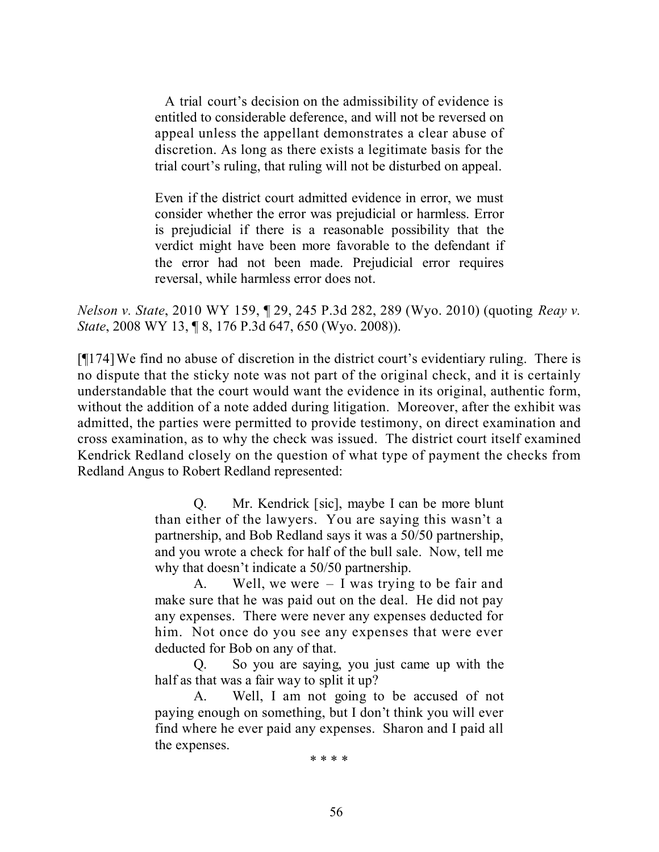A trial court's decision on the admissibility of evidence is entitled to considerable deference, and will not be reversed on appeal unless the appellant demonstrates a clear abuse of discretion. As long as there exists a legitimate basis for the trial court's ruling, that ruling will not be disturbed on appeal.

Even if the district court admitted evidence in error, we must consider whether the error was prejudicial or harmless. Error is prejudicial if there is a reasonable possibility that the verdict might have been more favorable to the defendant if the error had not been made. Prejudicial error requires reversal, while harmless error does not.

*Nelson v. State*, 2010 WY 159, ¶ 29, 245 P.3d 282, 289 (Wyo. 2010) (quoting *Reay v. State*, 2008 WY 13, ¶ 8, 176 P.3d 647, 650 (Wyo. 2008)).

[¶174]We find no abuse of discretion in the district court's evidentiary ruling. There is no dispute that the sticky note was not part of the original check, and it is certainly understandable that the court would want the evidence in its original, authentic form, without the addition of a note added during litigation. Moreover, after the exhibit was admitted, the parties were permitted to provide testimony, on direct examination and cross examination, as to why the check was issued. The district court itself examined Kendrick Redland closely on the question of what type of payment the checks from Redland Angus to Robert Redland represented:

> Q. Mr. Kendrick [sic], maybe I can be more blunt than either of the lawyers. You are saying this wasn't a partnership, and Bob Redland says it was a 50/50 partnership, and you wrote a check for half of the bull sale. Now, tell me why that doesn't indicate a 50/50 partnership.

> A. Well, we were – I was trying to be fair and make sure that he was paid out on the deal. He did not pay any expenses. There were never any expenses deducted for him. Not once do you see any expenses that were ever deducted for Bob on any of that.

> Q. So you are saying, you just came up with the half as that was a fair way to split it up?

> A. Well, I am not going to be accused of not paying enough on something, but I don't think you will ever find where he ever paid any expenses. Sharon and I paid all the expenses.

\* \* \* \*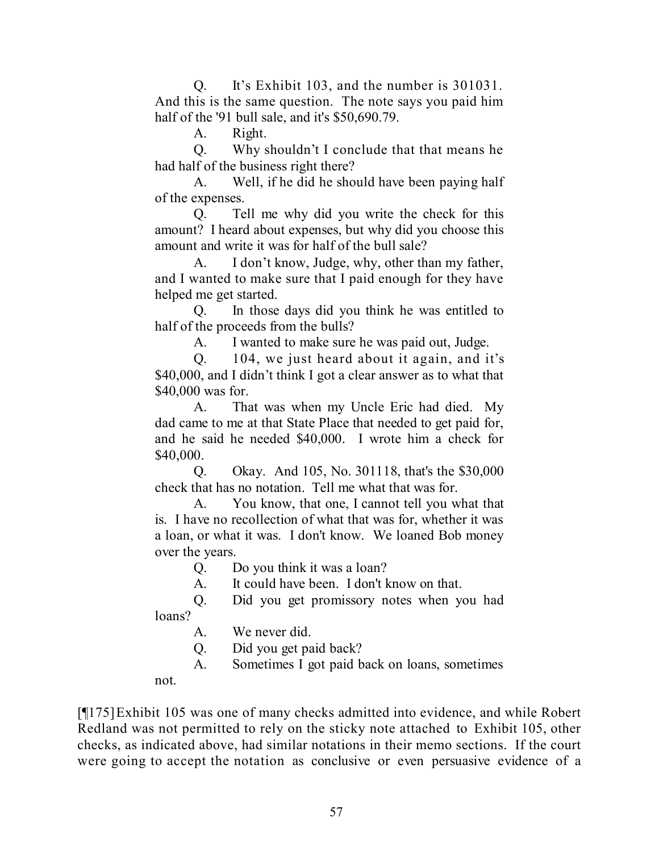Q. It's Exhibit 103, and the number is 301031. And this is the same question. The note says you paid him half of the '91 bull sale, and it's \$50,690.79.

A. Right.

Q. Why shouldn't I conclude that that means he had half of the business right there?

A. Well, if he did he should have been paying half of the expenses.

Q. Tell me why did you write the check for this amount? I heard about expenses, but why did you choose this amount and write it was for half of the bull sale?

A. I don't know, Judge, why, other than my father, and I wanted to make sure that I paid enough for they have helped me get started.

Q. In those days did you think he was entitled to half of the proceeds from the bulls?

A. I wanted to make sure he was paid out, Judge.

Q. 104, we just heard about it again, and it's \$40,000, and I didn't think I got a clear answer as to what that \$40,000 was for.

A. That was when my Uncle Eric had died. My dad came to me at that State Place that needed to get paid for, and he said he needed \$40,000. I wrote him a check for \$40,000.

Q. Okay. And 105, No. 301118, that's the \$30,000 check that has no notation. Tell me what that was for.

A. You know, that one, I cannot tell you what that is. I have no recollection of what that was for, whether it was a loan, or what it was. I don't know. We loaned Bob money over the years.

Q. Do you think it was a loan?

A. It could have been. I don't know on that.

Q. Did you get promissory notes when you had loans?

A. We never did.

Q. Did you get paid back?

A. Sometimes I got paid back on loans, sometimes

not.

[¶175]Exhibit 105 was one of many checks admitted into evidence, and while Robert Redland was not permitted to rely on the sticky note attached to Exhibit 105, other checks, as indicated above, had similar notations in their memo sections. If the court were going to accept the notation as conclusive or even persuasive evidence of a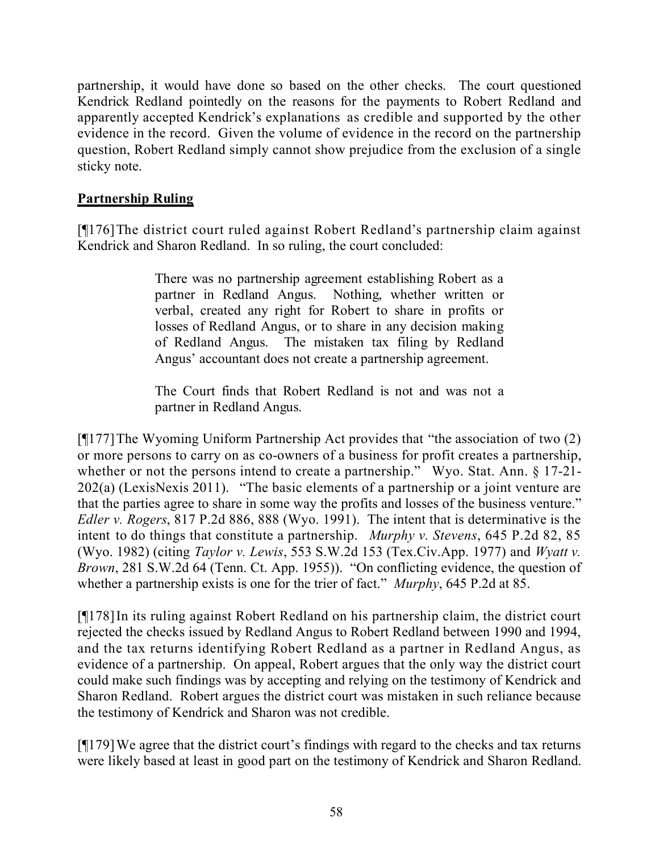partnership, it would have done so based on the other checks. The court questioned Kendrick Redland pointedly on the reasons for the payments to Robert Redland and apparently accepted Kendrick's explanations as credible and supported by the other evidence in the record. Given the volume of evidence in the record on the partnership question, Robert Redland simply cannot show prejudice from the exclusion of a single sticky note.

### **Partnership Ruling**

[¶176]The district court ruled against Robert Redland's partnership claim against Kendrick and Sharon Redland. In so ruling, the court concluded:

> There was no partnership agreement establishing Robert as a partner in Redland Angus. Nothing, whether written or verbal, created any right for Robert to share in profits or losses of Redland Angus, or to share in any decision making of Redland Angus. The mistaken tax filing by Redland Angus' accountant does not create a partnership agreement.

> The Court finds that Robert Redland is not and was not a partner in Redland Angus.

[¶177]The Wyoming Uniform Partnership Act provides that "the association of two (2) or more persons to carry on as co-owners of a business for profit creates a partnership, whether or not the persons intend to create a partnership." Wyo. Stat. Ann. § 17-21-202(a) (LexisNexis 2011). "The basic elements of a partnership or a joint venture are that the parties agree to share in some way the profits and losses of the business venture." *Edler v. Rogers*, 817 P.2d 886, 888 (Wyo. 1991). The intent that is determinative is the intent to do things that constitute a partnership. *Murphy v. Stevens*, 645 P.2d 82, 85 (Wyo. 1982) (citing *Taylor v. Lewis*, 553 S.W.2d 153 (Tex.Civ.App. 1977) and *Wyatt v. Brown*, 281 S.W.2d 64 (Tenn. Ct. App. 1955)). "On conflicting evidence, the question of whether a partnership exists is one for the trier of fact." *Murphy*, 645 P.2d at 85.

[¶178]In its ruling against Robert Redland on his partnership claim, the district court rejected the checks issued by Redland Angus to Robert Redland between 1990 and 1994, and the tax returns identifying Robert Redland as a partner in Redland Angus, as evidence of a partnership. On appeal, Robert argues that the only way the district court could make such findings was by accepting and relying on the testimony of Kendrick and Sharon Redland. Robert argues the district court was mistaken in such reliance because the testimony of Kendrick and Sharon was not credible.

[¶179]We agree that the district court's findings with regard to the checks and tax returns were likely based at least in good part on the testimony of Kendrick and Sharon Redland.